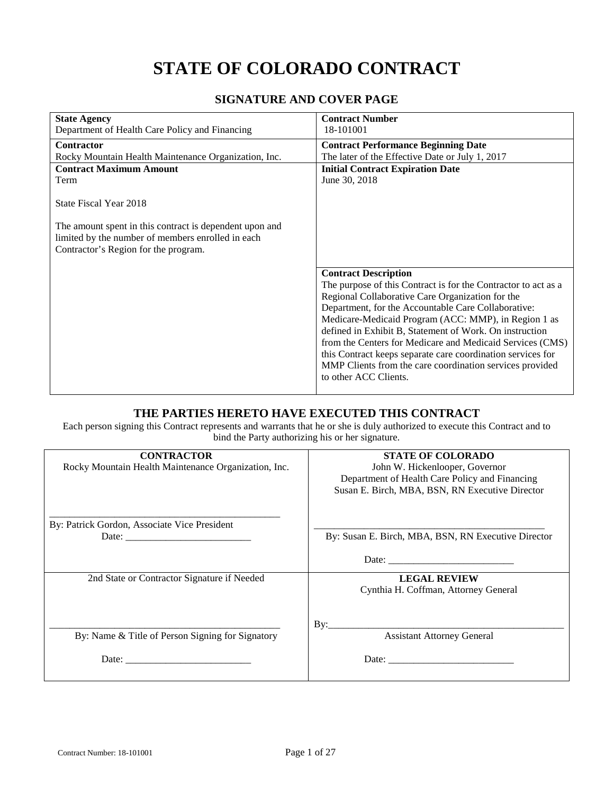# **STATE OF COLORADO CONTRACT**

#### **SIGNATURE AND COVER PAGE**

| <b>State Agency</b>                                                                                                                                  | <b>Contract Number</b>                                                                                                   |
|------------------------------------------------------------------------------------------------------------------------------------------------------|--------------------------------------------------------------------------------------------------------------------------|
| Department of Health Care Policy and Financing                                                                                                       | 18-101001                                                                                                                |
| Contractor                                                                                                                                           | <b>Contract Performance Beginning Date</b>                                                                               |
| Rocky Mountain Health Maintenance Organization, Inc.                                                                                                 | The later of the Effective Date or July 1, 2017                                                                          |
| <b>Contract Maximum Amount</b>                                                                                                                       | <b>Initial Contract Expiration Date</b>                                                                                  |
| Term                                                                                                                                                 | June 30, 2018                                                                                                            |
|                                                                                                                                                      |                                                                                                                          |
| State Fiscal Year 2018                                                                                                                               |                                                                                                                          |
| The amount spent in this contract is dependent upon and<br>limited by the number of members enrolled in each<br>Contractor's Region for the program. |                                                                                                                          |
|                                                                                                                                                      | <b>Contract Description</b>                                                                                              |
|                                                                                                                                                      | The purpose of this Contract is for the Contractor to act as a                                                           |
|                                                                                                                                                      | Regional Collaborative Care Organization for the                                                                         |
|                                                                                                                                                      | Department, for the Accountable Care Collaborative:                                                                      |
|                                                                                                                                                      | Medicare-Medicaid Program (ACC: MMP), in Region 1 as                                                                     |
|                                                                                                                                                      | defined in Exhibit B, Statement of Work. On instruction                                                                  |
|                                                                                                                                                      | from the Centers for Medicare and Medicaid Services (CMS)<br>this Contract keeps separate care coordination services for |
|                                                                                                                                                      | MMP Clients from the care coordination services provided                                                                 |
|                                                                                                                                                      | to other ACC Clients.                                                                                                    |
|                                                                                                                                                      |                                                                                                                          |

## **THE PARTIES HERETO HAVE EXECUTED THIS CONTRACT**

Each person signing this Contract represents and warrants that he or she is duly authorized to execute this Contract and to bind the Party authorizing his or her signature.

| <b>CONTRACTOR</b>                                                                                                                                                                                                              | <b>STATE OF COLORADO</b>                                                                                                                                                                                                       |
|--------------------------------------------------------------------------------------------------------------------------------------------------------------------------------------------------------------------------------|--------------------------------------------------------------------------------------------------------------------------------------------------------------------------------------------------------------------------------|
| Rocky Mountain Health Maintenance Organization, Inc.                                                                                                                                                                           | John W. Hickenlooper, Governor                                                                                                                                                                                                 |
|                                                                                                                                                                                                                                | Department of Health Care Policy and Financing                                                                                                                                                                                 |
|                                                                                                                                                                                                                                | Susan E. Birch, MBA, BSN, RN Executive Director                                                                                                                                                                                |
|                                                                                                                                                                                                                                |                                                                                                                                                                                                                                |
|                                                                                                                                                                                                                                |                                                                                                                                                                                                                                |
| By: Patrick Gordon, Associate Vice President                                                                                                                                                                                   |                                                                                                                                                                                                                                |
| Date: $\frac{1}{\sqrt{1-\frac{1}{2}} \cdot \frac{1}{2}}$                                                                                                                                                                       | By: Susan E. Birch, MBA, BSN, RN Executive Director                                                                                                                                                                            |
|                                                                                                                                                                                                                                |                                                                                                                                                                                                                                |
|                                                                                                                                                                                                                                | Date:                                                                                                                                                                                                                          |
|                                                                                                                                                                                                                                |                                                                                                                                                                                                                                |
| 2nd State or Contractor Signature if Needed                                                                                                                                                                                    | <b>LEGAL REVIEW</b>                                                                                                                                                                                                            |
|                                                                                                                                                                                                                                | Cynthia H. Coffman, Attorney General                                                                                                                                                                                           |
|                                                                                                                                                                                                                                |                                                                                                                                                                                                                                |
|                                                                                                                                                                                                                                |                                                                                                                                                                                                                                |
|                                                                                                                                                                                                                                |                                                                                                                                                                                                                                |
| By: Name & Title of Person Signing for Signatory                                                                                                                                                                               | <b>Assistant Attorney General</b>                                                                                                                                                                                              |
|                                                                                                                                                                                                                                |                                                                                                                                                                                                                                |
| Date: the contract of the contract of the contract of the contract of the contract of the contract of the contract of the contract of the contract of the contract of the contract of the contract of the contract of the cont | Date: the contract of the contract of the contract of the contract of the contract of the contract of the contract of the contract of the contract of the contract of the contract of the contract of the contract of the cont |
|                                                                                                                                                                                                                                |                                                                                                                                                                                                                                |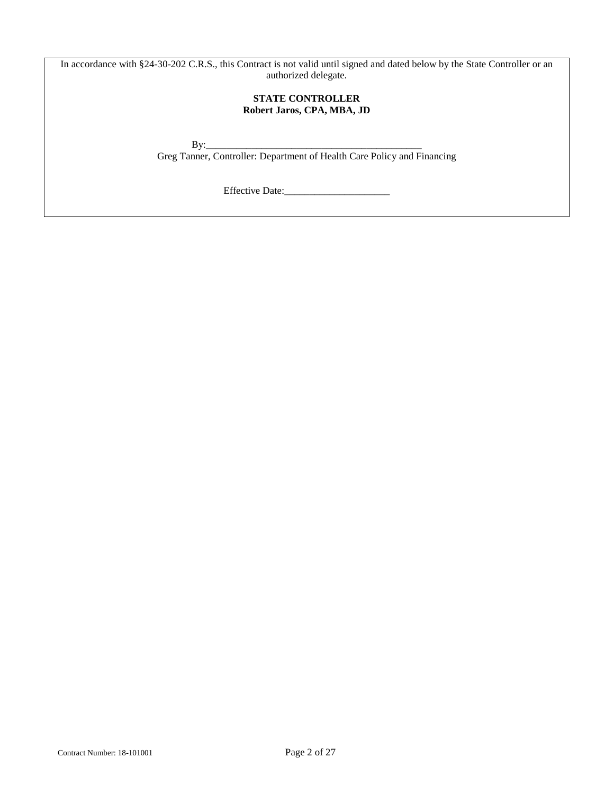In accordance with §24-30-202 C.R.S., this Contract is not valid until signed and dated below by the State Controller or an authorized delegate.

#### **STATE CONTROLLER Robert Jaros, CPA, MBA, JD**

By:\_\_\_\_\_\_\_\_\_\_\_\_\_\_\_\_\_\_\_\_\_\_\_\_\_\_\_\_\_\_\_\_\_\_\_\_\_\_\_\_\_\_\_ Greg Tanner, Controller: Department of Health Care Policy and Financing

Effective Date:\_\_\_\_\_\_\_\_\_\_\_\_\_\_\_\_\_\_\_\_\_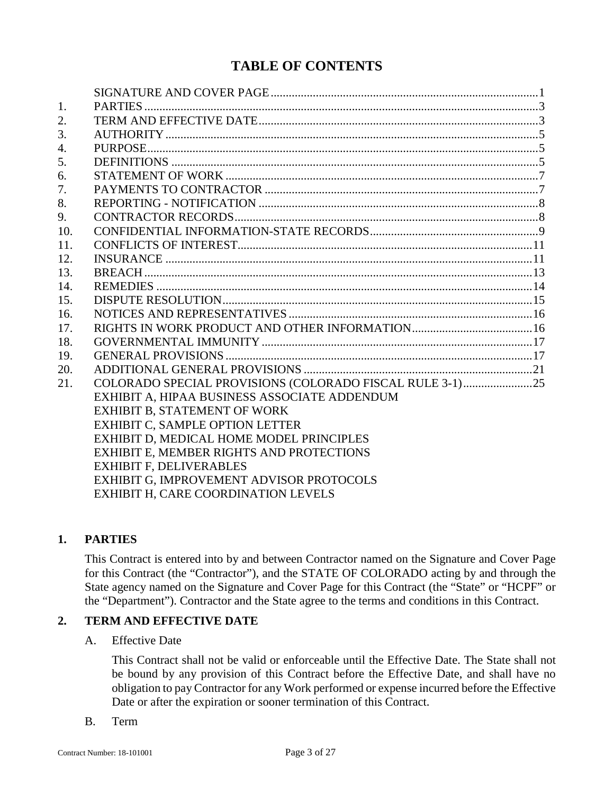# **TABLE OF CONTENTS**

| 1.               |                                                          |  |
|------------------|----------------------------------------------------------|--|
| 2.               |                                                          |  |
| 3.               |                                                          |  |
| $\overline{4}$ . |                                                          |  |
| 5.               |                                                          |  |
| 6.               |                                                          |  |
| 7.               |                                                          |  |
| 8.               |                                                          |  |
| 9.               |                                                          |  |
| 10.              |                                                          |  |
| 11.              |                                                          |  |
| 12.              |                                                          |  |
| 13.              |                                                          |  |
| 14.              |                                                          |  |
| 15.              |                                                          |  |
| 16.              |                                                          |  |
| 17.              |                                                          |  |
| 18.              |                                                          |  |
| 19.              |                                                          |  |
| 20.              |                                                          |  |
| 21.              | COLORADO SPECIAL PROVISIONS (COLORADO FISCAL RULE 3-1)25 |  |
|                  | EXHIBIT A, HIPAA BUSINESS ASSOCIATE ADDENDUM             |  |
|                  | <b>EXHIBIT B, STATEMENT OF WORK</b>                      |  |
|                  | EXHIBIT C, SAMPLE OPTION LETTER                          |  |
|                  | EXHIBIT D, MEDICAL HOME MODEL PRINCIPLES                 |  |
|                  | <b>EXHIBIT E, MEMBER RIGHTS AND PROTECTIONS</b>          |  |
|                  | <b>EXHIBIT F, DELIVERABLES</b>                           |  |
|                  | EXHIBIT G, IMPROVEMENT ADVISOR PROTOCOLS                 |  |
|                  | EXHIBIT H, CARE COORDINATION LEVELS                      |  |

## **1. PARTIES**

<span id="page-2-0"></span>This Contract is entered into by and between Contractor named on the Signature and Cover Page for this Contract (the "Contractor"), and the STATE OF COLORADO acting by and through the State agency named on the Signature and Cover Page for this Contract (the "State" or "HCPF" or the "Department"). Contractor and the State agree to the terms and conditions in this Contract.

## <span id="page-2-1"></span>**2. TERM AND EFFECTIVE DATE**

A. Effective Date

This Contract shall not be valid or enforceable until the Effective Date. The State shall not be bound by any provision of this Contract before the Effective Date, and shall have no obligation to pay Contractor for any Work performed or expense incurred before the Effective Date or after the expiration or sooner termination of this Contract.

<span id="page-2-2"></span>B. Term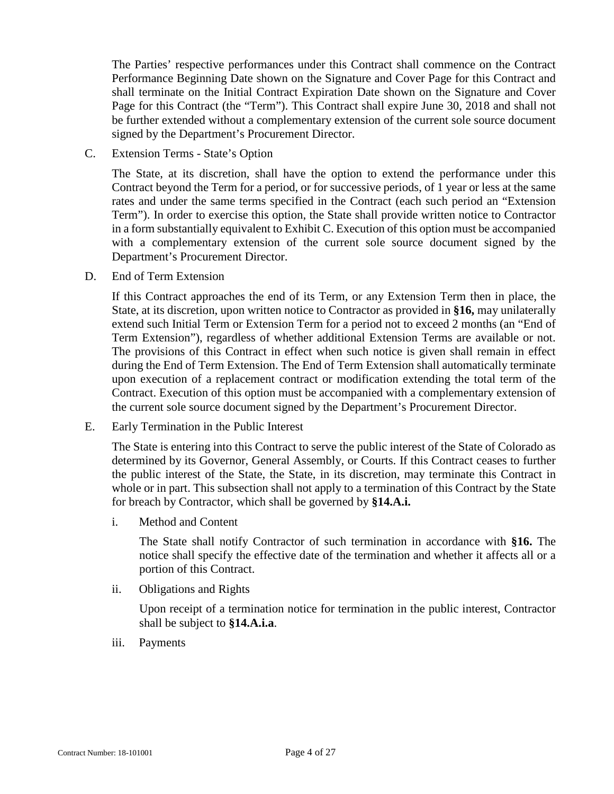The Parties' respective performances under this Contract shall commence on the Contract Performance Beginning Date shown on the Signature and Cover Page for this Contract and shall terminate on the Initial Contract Expiration Date shown on the Signature and Cover Page for this Contract (the "Term"). This Contract shall expire June 30, 2018 and shall not be further extended without a complementary extension of the current sole source document signed by the Department's Procurement Director.

C. Extension Terms - State's Option

The State, at its discretion, shall have the option to extend the performance under this Contract beyond the Term for a period, or for successive periods, of 1 year or less at the same rates and under the same terms specified in the Contract (each such period an "Extension Term"). In order to exercise this option, the State shall provide written notice to Contractor in a form substantially equivalent to Exhibit C. Execution of this option must be accompanied with a complementary extension of the current sole source document signed by the Department's Procurement Director.

D. End of Term Extension

If this Contract approaches the end of its Term, or any Extension Term then in place, the State, at its discretion, upon written notice to Contractor as provided in **[§16,](#page-15-0)** may unilaterally extend such Initial Term or Extension Term for a period not to exceed 2 months (an "End of Term Extension"), regardless of whether additional Extension Terms are available or not. The provisions of this Contract in effect when such notice is given shall remain in effect during the End of Term Extension. The End of Term Extension shall automatically terminate upon execution of a replacement contract or modification extending the total term of the Contract. Execution of this option must be accompanied with a complementary extension of the current sole source document signed by the Department's Procurement Director.

<span id="page-3-0"></span>E. Early Termination in the Public Interest

The State is entering into this Contract to serve the public interest of the State of Colorado as determined by its Governor, General Assembly, or Courts. If this Contract ceases to further the public interest of the State, the State, in its discretion, may terminate this Contract in whole or in part. This subsection shall not apply to a termination of this Contract by the State for breach by Contractor, which shall be governed by **[§14.A.i.](#page-13-0)**

i. Method and Content

The State shall notify Contractor of such termination in accordance with **[§16.](#page-15-0)** The notice shall specify the effective date of the termination and whether it affects all or a portion of this Contract.

ii. Obligations and Rights

Upon receipt of a termination notice for termination in the public interest, Contractor shall be subject to **[§14.A.i.a](#page-13-1)**.

iii. Payments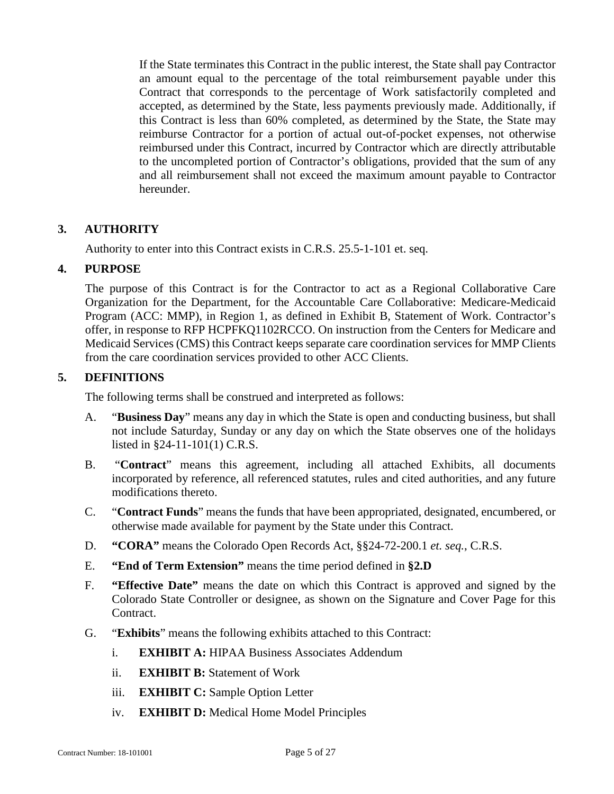If the State terminates this Contract in the public interest, the State shall pay Contractor an amount equal to the percentage of the total reimbursement payable under this Contract that corresponds to the percentage of Work satisfactorily completed and accepted, as determined by the State, less payments previously made. Additionally, if this Contract is less than 60% completed, as determined by the State, the State may reimburse Contractor for a portion of actual out-of-pocket expenses, not otherwise reimbursed under this Contract, incurred by Contractor which are directly attributable to the uncompleted portion of Contractor's obligations, provided that the sum of any and all reimbursement shall not exceed the maximum amount payable to Contractor hereunder.

## <span id="page-4-0"></span>**3. AUTHORITY**

Authority to enter into this Contract exists in C.R.S. 25.5-1-101 et. seq.

## <span id="page-4-1"></span>**4. PURPOSE**

The purpose of this Contract is for the Contractor to act as a Regional Collaborative Care Organization for the Department, for the Accountable Care Collaborative: Medicare-Medicaid Program (ACC: MMP), in Region 1, as defined in Exhibit B, Statement of Work. Contractor's offer, in response to RFP HCPFKQ1102RCCO. On instruction from the Centers for Medicare and Medicaid Services (CMS) this Contract keeps separate care coordination services for MMP Clients from the care coordination services provided to other ACC Clients.

## <span id="page-4-2"></span>**5. DEFINITIONS**

The following terms shall be construed and interpreted as follows:

- A. "**Business Day**" means any day in which the State is open and conducting business, but shall not include Saturday, Sunday or any day on which the State observes one of the holidays listed in §24-11-101(1) C.R.S.
- B. "**Contract**" means this agreement, including all attached Exhibits, all documents incorporated by reference, all referenced statutes, rules and cited authorities, and any future modifications thereto.
- C. "**Contract Funds**" means the funds that have been appropriated, designated, encumbered, or otherwise made available for payment by the State under this Contract.
- D. **"CORA"** means the Colorado Open Records Act, §§24-72-200.1 *et. seq.*, C.R.S.
- E. **"End of Term Extension"** means the time period defined in **§2.D**
- F. **"Effective Date"** means the date on which this Contract is approved and signed by the Colorado State Controller or designee, as shown on the Signature and Cover Page for this Contract.
- G. "**Exhibits**" means the following exhibits attached to this Contract:
	- i. **EXHIBIT A:** HIPAA Business Associates Addendum
	- ii. **EXHIBIT B:** Statement of Work
	- iii. **EXHIBIT C:** Sample Option Letter
	- iv. **EXHIBIT D:** Medical Home Model Principles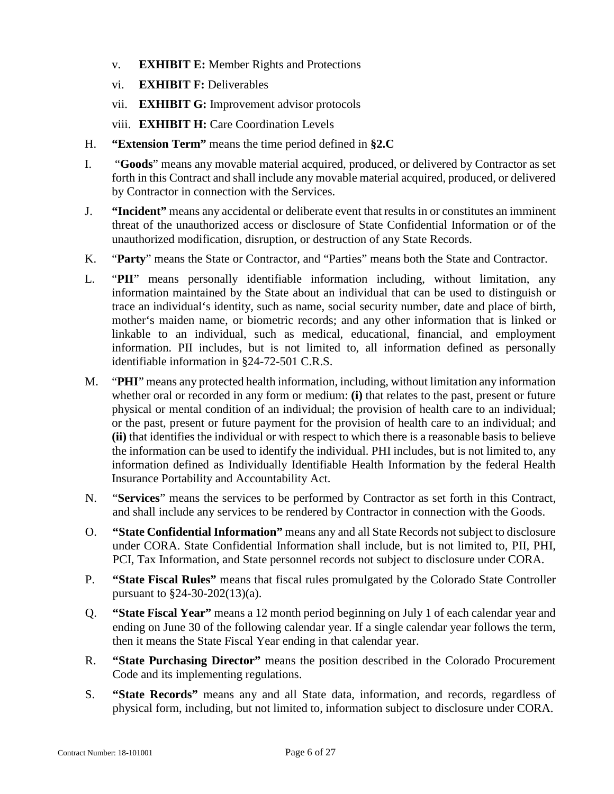- v. **EXHIBIT E:** Member Rights and Protections
- vi. **EXHIBIT F:** Deliverables
- vii. **EXHIBIT G:** Improvement advisor protocols
- viii. **EXHIBIT H:** Care Coordination Levels
- H. **"Extension Term"** means the time period defined in **§2.C**
- I. "**Goods**" means any movable material acquired, produced, or delivered by Contractor as set forth in this Contract and shall include any movable material acquired, produced, or delivered by Contractor in connection with the Services.
- J. **"Incident"** means any accidental or deliberate event that results in or constitutes an imminent threat of the unauthorized access or disclosure of State Confidential Information or of the unauthorized modification, disruption, or destruction of any State Records.
- K. "**Party**" means the State or Contractor, and "Parties" means both the State and Contractor.
- L. "**PII**" means personally identifiable information including, without limitation, any information maintained by the State about an individual that can be used to distinguish or trace an individual's identity, such as name, social security number, date and place of birth, mother's maiden name, or biometric records; and any other information that is linked or linkable to an individual, such as medical, educational, financial, and employment information. PII includes, but is not limited to, all information defined as personally identifiable information in §24-72-501 C.R.S.
- M. "**PHI**" means any protected health information, including, without limitation any information whether oral or recorded in any form or medium: **(i)** that relates to the past, present or future physical or mental condition of an individual; the provision of health care to an individual; or the past, present or future payment for the provision of health care to an individual; and **(ii)** that identifies the individual or with respect to which there is a reasonable basis to believe the information can be used to identify the individual. PHI includes, but is not limited to, any information defined as Individually Identifiable Health Information by the federal Health Insurance Portability and Accountability Act.
- N. "**Services**" means the services to be performed by Contractor as set forth in this Contract, and shall include any services to be rendered by Contractor in connection with the Goods.
- O. **"State Confidential Information"** means any and all State Records not subject to disclosure under CORA. State Confidential Information shall include, but is not limited to, PII, PHI, PCI, Tax Information, and State personnel records not subject to disclosure under CORA.
- P. **"State Fiscal Rules"** means that fiscal rules promulgated by the Colorado State Controller pursuant to §24-30-202(13)(a).
- Q. **"State Fiscal Year"** means a 12 month period beginning on July 1 of each calendar year and ending on June 30 of the following calendar year. If a single calendar year follows the term, then it means the State Fiscal Year ending in that calendar year.
- R. **"State Purchasing Director"** means the position described in the Colorado Procurement Code and its implementing regulations.
- S. **"State Records"** means any and all State data, information, and records, regardless of physical form, including, but not limited to, information subject to disclosure under CORA.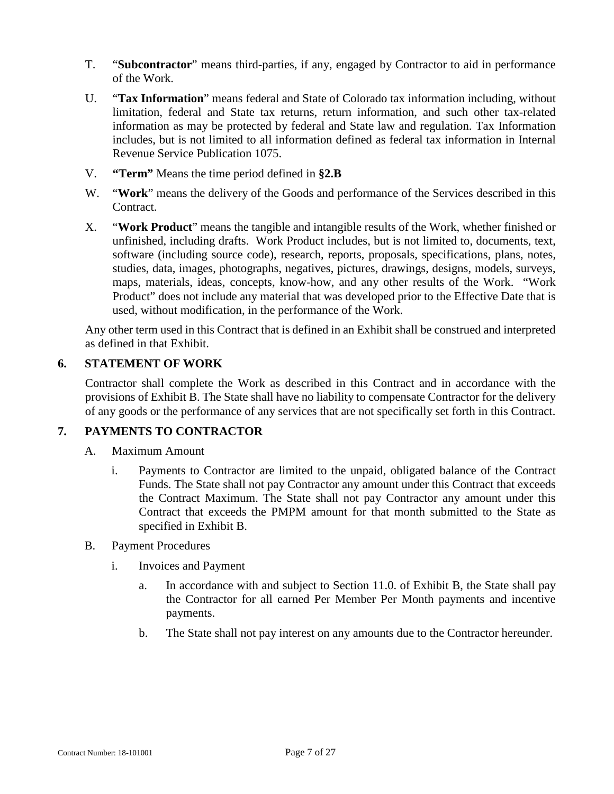- T. "**Subcontractor**" means third-parties, if any, engaged by Contractor to aid in performance of the Work.
- U. "**Tax Information**" means federal and State of Colorado tax information including, without limitation, federal and State tax returns, return information, and such other tax-related information as may be protected by federal and State law and regulation. Tax Information includes, but is not limited to all information defined as federal tax information in Internal Revenue Service Publication 1075.
- V. **"Term"** Means the time period defined in **[§2.B](#page-2-2)**
- W. "**Work**" means the delivery of the Goods and performance of the Services described in this Contract.
- X. "**Work Product**" means the tangible and intangible results of the Work, whether finished or unfinished, including drafts. Work Product includes, but is not limited to, documents, text, software (including source code), research, reports, proposals, specifications, plans, notes, studies, data, images, photographs, negatives, pictures, drawings, designs, models, surveys, maps, materials, ideas, concepts, know-how, and any other results of the Work. "Work Product" does not include any material that was developed prior to the Effective Date that is used, without modification, in the performance of the Work.

Any other term used in this Contract that is defined in an Exhibit shall be construed and interpreted as defined in that Exhibit.

## <span id="page-6-0"></span>**6. STATEMENT OF WORK**

Contractor shall complete the Work as described in this Contract and in accordance with the provisions of Exhibit B. The State shall have no liability to compensate Contractor for the delivery of any goods or the performance of any services that are not specifically set forth in this Contract.

#### <span id="page-6-1"></span>**7. PAYMENTS TO CONTRACTOR**

- A. Maximum Amount
	- i. Payments to Contractor are limited to the unpaid, obligated balance of the Contract Funds. The State shall not pay Contractor any amount under this Contract that exceeds the Contract Maximum. The State shall not pay Contractor any amount under this Contract that exceeds the PMPM amount for that month submitted to the State as specified in Exhibit B.
- B. Payment Procedures
	- i. Invoices and Payment
		- a. In accordance with and subject to Section 11.0. of Exhibit B, the State shall pay the Contractor for all earned Per Member Per Month payments and incentive payments.
		- b. The State shall not pay interest on any amounts due to the Contractor hereunder.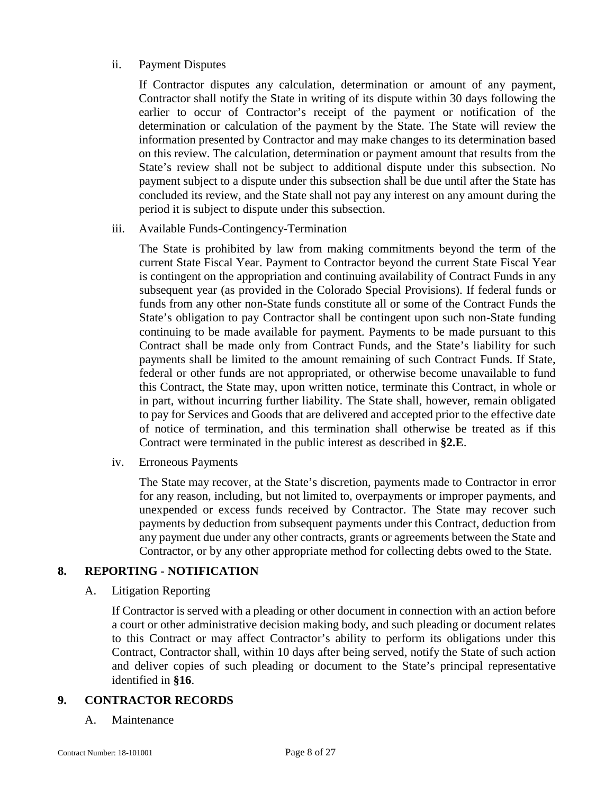#### ii. Payment Disputes

If Contractor disputes any calculation, determination or amount of any payment, Contractor shall notify the State in writing of its dispute within 30 days following the earlier to occur of Contractor's receipt of the payment or notification of the determination or calculation of the payment by the State. The State will review the information presented by Contractor and may make changes to its determination based on this review. The calculation, determination or payment amount that results from the State's review shall not be subject to additional dispute under this subsection. No payment subject to a dispute under this subsection shall be due until after the State has concluded its review, and the State shall not pay any interest on any amount during the period it is subject to dispute under this subsection.

#### iii. Available Funds-Contingency-Termination

The State is prohibited by law from making commitments beyond the term of the current State Fiscal Year. Payment to Contractor beyond the current State Fiscal Year is contingent on the appropriation and continuing availability of Contract Funds in any subsequent year (as provided in the Colorado Special Provisions). If federal funds or funds from any other non-State funds constitute all or some of the Contract Funds the State's obligation to pay Contractor shall be contingent upon such non-State funding continuing to be made available for payment. Payments to be made pursuant to this Contract shall be made only from Contract Funds, and the State's liability for such payments shall be limited to the amount remaining of such Contract Funds. If State, federal or other funds are not appropriated, or otherwise become unavailable to fund this Contract, the State may, upon written notice, terminate this Contract, in whole or in part, without incurring further liability. The State shall, however, remain obligated to pay for Services and Goods that are delivered and accepted prior to the effective date of notice of termination, and this termination shall otherwise be treated as if this Contract were terminated in the public interest as described in **[§2.E](#page-3-0)**.

iv. Erroneous Payments

The State may recover, at the State's discretion, payments made to Contractor in error for any reason, including, but not limited to, overpayments or improper payments, and unexpended or excess funds received by Contractor. The State may recover such payments by deduction from subsequent payments under this Contract, deduction from any payment due under any other contracts, grants or agreements between the State and Contractor, or by any other appropriate method for collecting debts owed to the State.

#### <span id="page-7-0"></span>**8. REPORTING - NOTIFICATION**

A. Litigation Reporting

If Contractor is served with a pleading or other document in connection with an action before a court or other administrative decision making body, and such pleading or document relates to this Contract or may affect Contractor's ability to perform its obligations under this Contract, Contractor shall, within 10 days after being served, notify the State of such action and deliver copies of such pleading or document to the State's principal representative identified in **§16**.

#### <span id="page-7-1"></span>**9. CONTRACTOR RECORDS**

A. Maintenance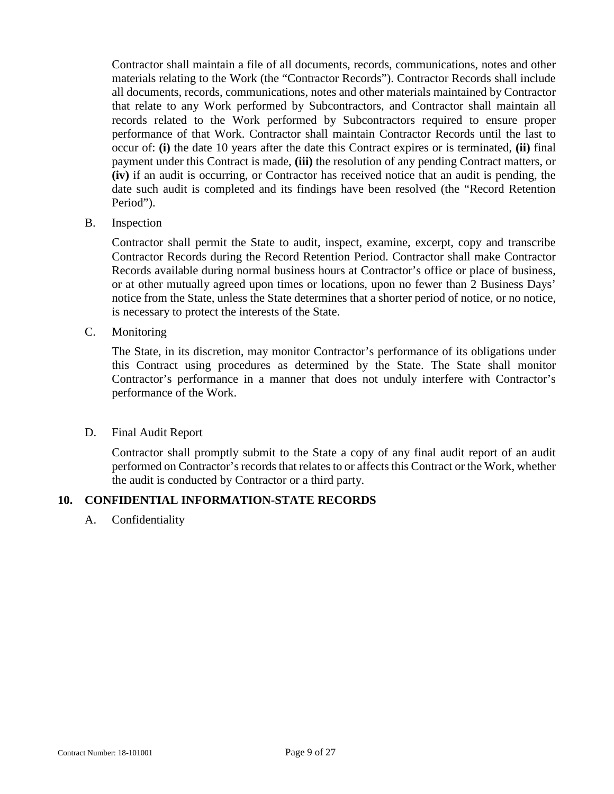Contractor shall maintain a file of all documents, records, communications, notes and other materials relating to the Work (the "Contractor Records"). Contractor Records shall include all documents, records, communications, notes and other materials maintained by Contractor that relate to any Work performed by Subcontractors, and Contractor shall maintain all records related to the Work performed by Subcontractors required to ensure proper performance of that Work. Contractor shall maintain Contractor Records until the last to occur of: **(i)** the date 10 years after the date this Contract expires or is terminated, **(ii)** final payment under this Contract is made, **(iii)** the resolution of any pending Contract matters, or **(iv)** if an audit is occurring, or Contractor has received notice that an audit is pending, the date such audit is completed and its findings have been resolved (the "Record Retention Period").

B. Inspection

Contractor shall permit the State to audit, inspect, examine, excerpt, copy and transcribe Contractor Records during the Record Retention Period. Contractor shall make Contractor Records available during normal business hours at Contractor's office or place of business, or at other mutually agreed upon times or locations, upon no fewer than 2 Business Days' notice from the State, unless the State determines that a shorter period of notice, or no notice, is necessary to protect the interests of the State.

C. Monitoring

The State, in its discretion, may monitor Contractor's performance of its obligations under this Contract using procedures as determined by the State. The State shall monitor Contractor's performance in a manner that does not unduly interfere with Contractor's performance of the Work.

D. Final Audit Report

Contractor shall promptly submit to the State a copy of any final audit report of an audit performed on Contractor's records that relates to or affects this Contract or the Work, whether the audit is conducted by Contractor or a third party.

#### <span id="page-8-0"></span>**10. CONFIDENTIAL INFORMATION-STATE RECORDS**

A. Confidentiality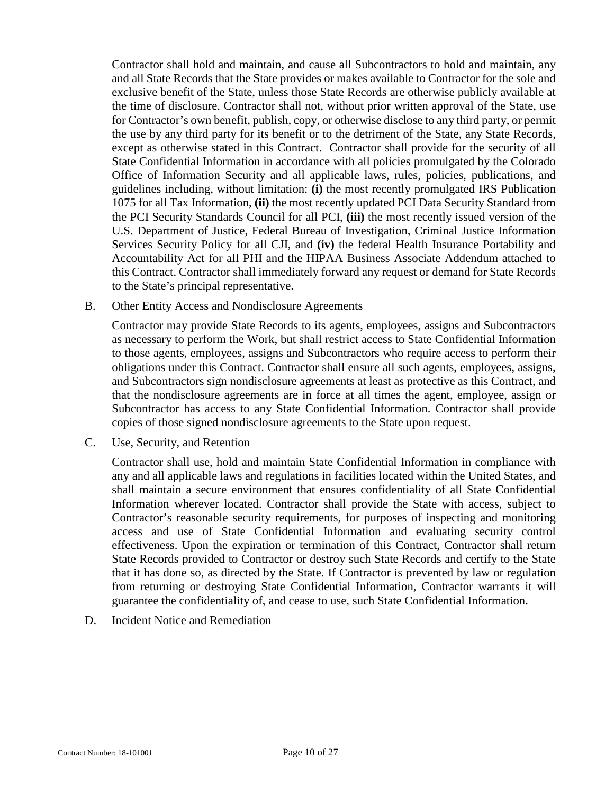Contractor shall hold and maintain, and cause all Subcontractors to hold and maintain, any and all State Records that the State provides or makes available to Contractor for the sole and exclusive benefit of the State, unless those State Records are otherwise publicly available at the time of disclosure. Contractor shall not, without prior written approval of the State, use for Contractor's own benefit, publish, copy, or otherwise disclose to any third party, or permit the use by any third party for its benefit or to the detriment of the State, any State Records, except as otherwise stated in this Contract. Contractor shall provide for the security of all State Confidential Information in accordance with all policies promulgated by the Colorado Office of Information Security and all applicable laws, rules, policies, publications, and guidelines including, without limitation: **(i)** the most recently promulgated IRS Publication 1075 for all Tax Information, **(ii)** the most recently updated PCI Data Security Standard from the PCI Security Standards Council for all PCI, **(iii)** the most recently issued version of the U.S. Department of Justice, Federal Bureau of Investigation, Criminal Justice Information Services Security Policy for all CJI, and **(iv)** the federal Health Insurance Portability and Accountability Act for all PHI and the HIPAA Business Associate Addendum attached to this Contract. Contractor shall immediately forward any request or demand for State Records to the State's principal representative.

B. Other Entity Access and Nondisclosure Agreements

Contractor may provide State Records to its agents, employees, assigns and Subcontractors as necessary to perform the Work, but shall restrict access to State Confidential Information to those agents, employees, assigns and Subcontractors who require access to perform their obligations under this Contract. Contractor shall ensure all such agents, employees, assigns, and Subcontractors sign nondisclosure agreements at least as protective as this Contract, and that the nondisclosure agreements are in force at all times the agent, employee, assign or Subcontractor has access to any State Confidential Information. Contractor shall provide copies of those signed nondisclosure agreements to the State upon request.

C. Use, Security, and Retention

Contractor shall use, hold and maintain State Confidential Information in compliance with any and all applicable laws and regulations in facilities located within the United States, and shall maintain a secure environment that ensures confidentiality of all State Confidential Information wherever located. Contractor shall provide the State with access, subject to Contractor's reasonable security requirements, for purposes of inspecting and monitoring access and use of State Confidential Information and evaluating security control effectiveness. Upon the expiration or termination of this Contract, Contractor shall return State Records provided to Contractor or destroy such State Records and certify to the State that it has done so, as directed by the State. If Contractor is prevented by law or regulation from returning or destroying State Confidential Information, Contractor warrants it will guarantee the confidentiality of, and cease to use, such State Confidential Information.

D. Incident Notice and Remediation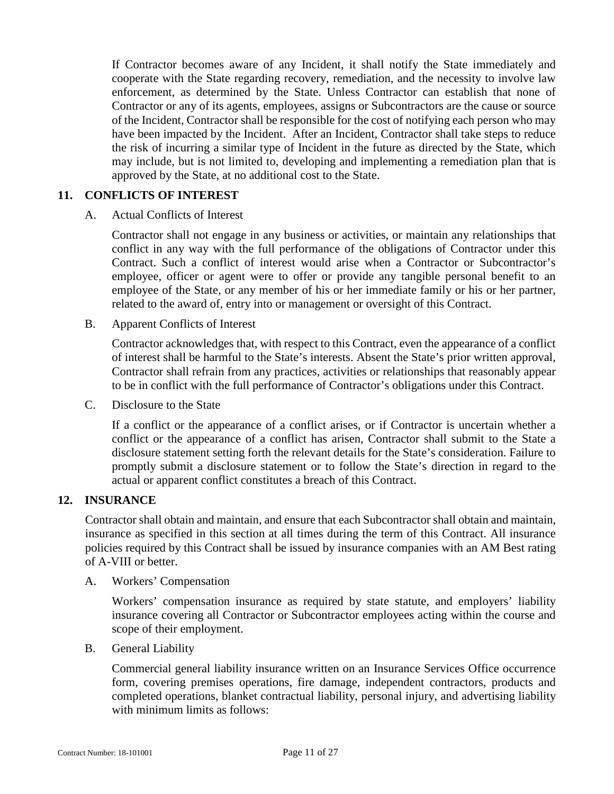If Contractor becomes aware of any Incident, it shall notify the State immediately and cooperate with the State regarding recovery, remediation, and the necessity to involve law enforcement, as determined by the State. Unless Contractor can establish that none of Contractor or any of its agents, employees, assigns or Subcontractors are the cause or source of the Incident, Contractor shall be responsible for the cost of notifying each person who may have been impacted by the Incident. After an Incident, Contractor shall take steps to reduce the risk of incurring a similar type of Incident in the future as directed by the State, which may include, but is not limited to, developing and implementing a remediation plan that is approved by the State, at no additional cost to the State.

#### <span id="page-10-0"></span>**11. CONFLICTS OF INTEREST**

A. Actual Conflicts of Interest

Contractor shall not engage in any business or activities, or maintain any relationships that conflict in any way with the full performance of the obligations of Contractor under this Contract. Such a conflict of interest would arise when a Contractor or Subcontractor's employee, officer or agent were to offer or provide any tangible personal benefit to an employee of the State, or any member of his or her immediate family or his or her partner, related to the award of, entry into or management or oversight of this Contract.

B. Apparent Conflicts of Interest

Contractor acknowledges that, with respect to this Contract, even the appearance of a conflict of interest shall be harmful to the State's interests. Absent the State's prior written approval, Contractor shall refrain from any practices, activities or relationships that reasonably appear to be in conflict with the full performance of Contractor's obligations under this Contract.

C. Disclosure to the State

If a conflict or the appearance of a conflict arises, or if Contractor is uncertain whether a conflict or the appearance of a conflict has arisen, Contractor shall submit to the State a disclosure statement setting forth the relevant details for the State's consideration. Failure to promptly submit a disclosure statement or to follow the State's direction in regard to the actual or apparent conflict constitutes a breach of this Contract.

#### <span id="page-10-1"></span>**12. INSURANCE**

Contractor shall obtain and maintain, and ensure that each Subcontractor shall obtain and maintain, insurance as specified in this section at all times during the term of this Contract. All insurance policies required by this Contract shall be issued by insurance companies with an AM Best rating of A-VIII or better.

A. Workers' Compensation

Workers' compensation insurance as required by state statute, and employers' liability insurance covering all Contractor or Subcontractor employees acting within the course and scope of their employment.

B. General Liability

Commercial general liability insurance written on an Insurance Services Office occurrence form, covering premises operations, fire damage, independent contractors, products and completed operations, blanket contractual liability, personal injury, and advertising liability with minimum limits as follows: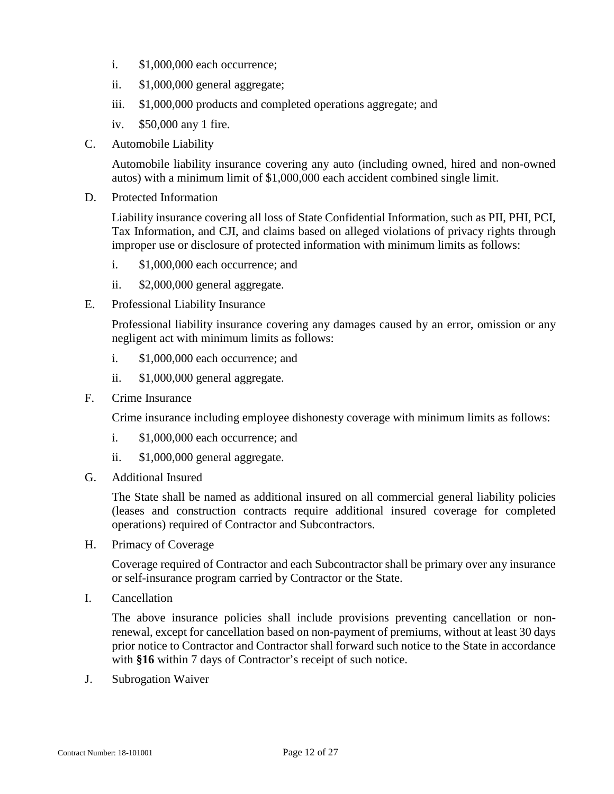- i. \$1,000,000 each occurrence;
- ii. \$1,000,000 general aggregate;
- iii. \$1,000,000 products and completed operations aggregate; and
- iv. \$50,000 any 1 fire.
- C. Automobile Liability

Automobile liability insurance covering any auto (including owned, hired and non-owned autos) with a minimum limit of \$1,000,000 each accident combined single limit.

D. Protected Information

Liability insurance covering all loss of State Confidential Information, such as PII, PHI, PCI, Tax Information, and CJI, and claims based on alleged violations of privacy rights through improper use or disclosure of protected information with minimum limits as follows:

- i. \$1,000,000 each occurrence; and
- ii. \$2,000,000 general aggregate.
- E. Professional Liability Insurance

Professional liability insurance covering any damages caused by an error, omission or any negligent act with minimum limits as follows:

- i. \$1,000,000 each occurrence; and
- ii. \$1,000,000 general aggregate.
- F. Crime Insurance

Crime insurance including employee dishonesty coverage with minimum limits as follows:

- i. \$1,000,000 each occurrence; and
- ii. \$1,000,000 general aggregate.
- G. Additional Insured

The State shall be named as additional insured on all commercial general liability policies (leases and construction contracts require additional insured coverage for completed operations) required of Contractor and Subcontractors.

H. Primacy of Coverage

Coverage required of Contractor and each Subcontractor shall be primary over any insurance or self-insurance program carried by Contractor or the State.

I. Cancellation

The above insurance policies shall include provisions preventing cancellation or nonrenewal, except for cancellation based on non-payment of premiums, without at least 30 days prior notice to Contractor and Contractor shall forward such notice to the State in accordance with **[§16](#page-15-0)** within 7 days of Contractor's receipt of such notice.

J. Subrogation Waiver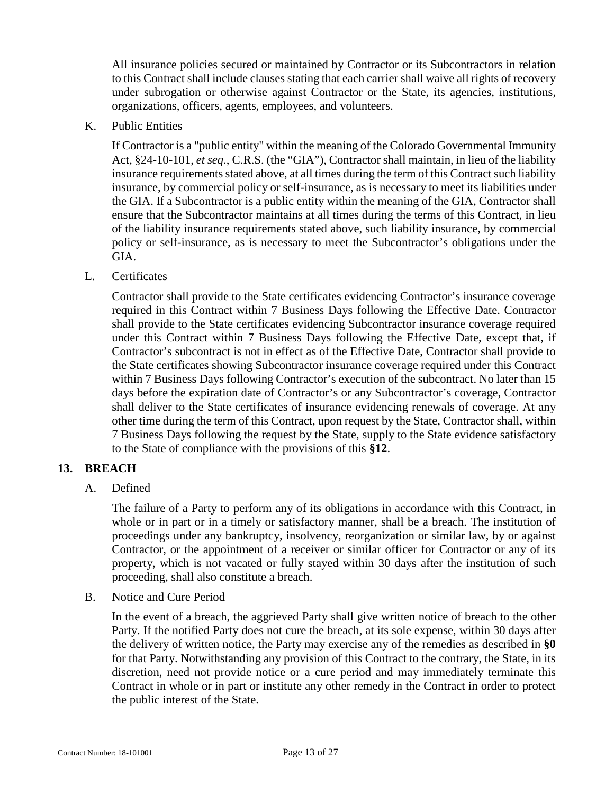All insurance policies secured or maintained by Contractor or its Subcontractors in relation to this Contract shall include clauses stating that each carrier shall waive all rights of recovery under subrogation or otherwise against Contractor or the State, its agencies, institutions, organizations, officers, agents, employees, and volunteers.

K. Public Entities

If Contractor is a "public entity" within the meaning of the Colorado Governmental Immunity Act, §24-10-101, *et seq.*, C.R.S. (the "GIA"), Contractor shall maintain, in lieu of the liability insurance requirements stated above, at all times during the term of this Contract such liability insurance, by commercial policy or self-insurance, as is necessary to meet its liabilities under the GIA. If a Subcontractor is a public entity within the meaning of the GIA, Contractor shall ensure that the Subcontractor maintains at all times during the terms of this Contract, in lieu of the liability insurance requirements stated above, such liability insurance, by commercial policy or self-insurance, as is necessary to meet the Subcontractor's obligations under the GIA.

#### L. Certificates

Contractor shall provide to the State certificates evidencing Contractor's insurance coverage required in this Contract within 7 Business Days following the Effective Date. Contractor shall provide to the State certificates evidencing Subcontractor insurance coverage required under this Contract within 7 Business Days following the Effective Date, except that, if Contractor's subcontract is not in effect as of the Effective Date, Contractor shall provide to the State certificates showing Subcontractor insurance coverage required under this Contract within 7 Business Days following Contractor's execution of the subcontract. No later than 15 days before the expiration date of Contractor's or any Subcontractor's coverage, Contractor shall deliver to the State certificates of insurance evidencing renewals of coverage. At any other time during the term of this Contract, upon request by the State, Contractor shall, within 7 Business Days following the request by the State, supply to the State evidence satisfactory to the State of compliance with the provisions of this **[§12](#page-10-1)**.

#### <span id="page-12-0"></span>**13. BREACH**

A. Defined

The failure of a Party to perform any of its obligations in accordance with this Contract, in whole or in part or in a timely or satisfactory manner, shall be a breach. The institution of proceedings under any bankruptcy, insolvency, reorganization or similar law, by or against Contractor, or the appointment of a receiver or similar officer for Contractor or any of its property, which is not vacated or fully stayed within 30 days after the institution of such proceeding, shall also constitute a breach.

<span id="page-12-2"></span>B. Notice and Cure Period

<span id="page-12-1"></span>In the event of a breach, the aggrieved Party shall give written notice of breach to the other Party. If the notified Party does not cure the breach, at its sole expense, within 30 days after the delivery of written notice, the Party may exercise any of the remedies as described in **[§0](#page-12-1)** for that Party. Notwithstanding any provision of this Contract to the contrary, the State, in its discretion, need not provide notice or a cure period and may immediately terminate this Contract in whole or in part or institute any other remedy in the Contract in order to protect the public interest of the State.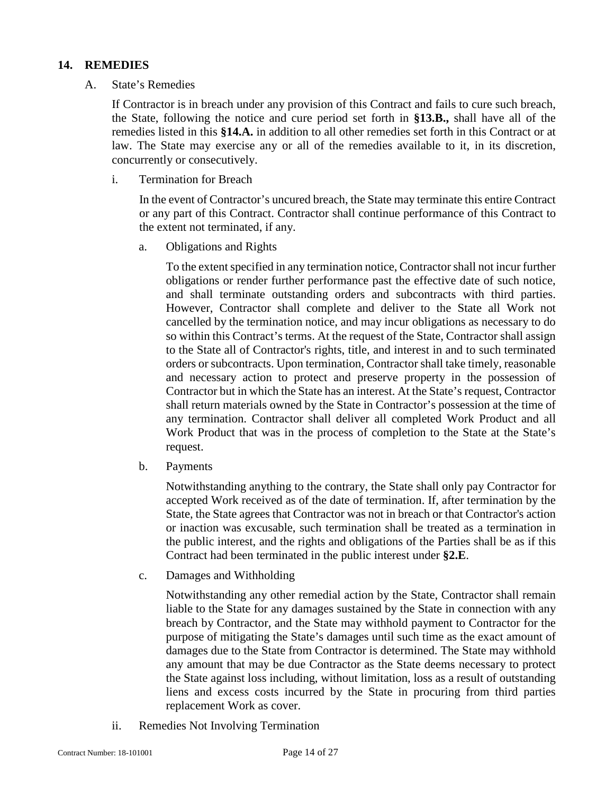#### <span id="page-13-2"></span>**14. REMEDIES**

#### A. State's Remedies

If Contractor is in breach under any provision of this Contract and fails to cure such breach, the State, following the notice and cure period set forth in **[§13.B.](#page-12-2),** shall have all of the remedies listed in this **[§14.A.](#page-13-2)** in addition to all other remedies set forth in this Contract or at law. The State may exercise any or all of the remedies available to it, in its discretion, concurrently or consecutively.

<span id="page-13-0"></span>i. Termination for Breach

In the event of Contractor's uncured breach, the State may terminate this entire Contract or any part of this Contract. Contractor shall continue performance of this Contract to the extent not terminated, if any.

<span id="page-13-1"></span>a. Obligations and Rights

To the extent specified in any termination notice, Contractor shall not incur further obligations or render further performance past the effective date of such notice, and shall terminate outstanding orders and subcontracts with third parties. However, Contractor shall complete and deliver to the State all Work not cancelled by the termination notice, and may incur obligations as necessary to do so within this Contract's terms. At the request of the State, Contractor shall assign to the State all of Contractor's rights, title, and interest in and to such terminated orders or subcontracts. Upon termination, Contractor shall take timely, reasonable and necessary action to protect and preserve property in the possession of Contractor but in which the State has an interest. At the State's request, Contractor shall return materials owned by the State in Contractor's possession at the time of any termination. Contractor shall deliver all completed Work Product and all Work Product that was in the process of completion to the State at the State's request.

b. Payments

Notwithstanding anything to the contrary, the State shall only pay Contractor for accepted Work received as of the date of termination. If, after termination by the State, the State agrees that Contractor was not in breach or that Contractor's action or inaction was excusable, such termination shall be treated as a termination in the public interest, and the rights and obligations of the Parties shall be as if this Contract had been terminated in the public interest under **[§2.E](#page-3-0)**.

c. Damages and Withholding

Notwithstanding any other remedial action by the State, Contractor shall remain liable to the State for any damages sustained by the State in connection with any breach by Contractor, and the State may withhold payment to Contractor for the purpose of mitigating the State's damages until such time as the exact amount of damages due to the State from Contractor is determined. The State may withhold any amount that may be due Contractor as the State deems necessary to protect the State against loss including, without limitation, loss as a result of outstanding liens and excess costs incurred by the State in procuring from third parties replacement Work as cover.

ii. Remedies Not Involving Termination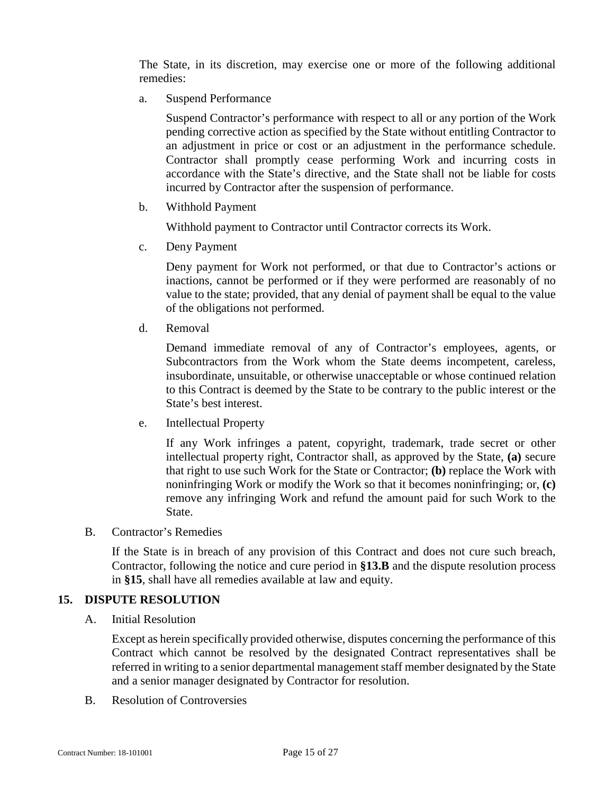The State, in its discretion, may exercise one or more of the following additional remedies:

a. Suspend Performance

Suspend Contractor's performance with respect to all or any portion of the Work pending corrective action as specified by the State without entitling Contractor to an adjustment in price or cost or an adjustment in the performance schedule. Contractor shall promptly cease performing Work and incurring costs in accordance with the State's directive, and the State shall not be liable for costs incurred by Contractor after the suspension of performance.

b. Withhold Payment

Withhold payment to Contractor until Contractor corrects its Work.

c. Deny Payment

Deny payment for Work not performed, or that due to Contractor's actions or inactions, cannot be performed or if they were performed are reasonably of no value to the state; provided, that any denial of payment shall be equal to the value of the obligations not performed.

d. Removal

Demand immediate removal of any of Contractor's employees, agents, or Subcontractors from the Work whom the State deems incompetent, careless, insubordinate, unsuitable, or otherwise unacceptable or whose continued relation to this Contract is deemed by the State to be contrary to the public interest or the State's best interest.

e. Intellectual Property

If any Work infringes a patent, copyright, trademark, trade secret or other intellectual property right, Contractor shall, as approved by the State, **(a)** secure that right to use such Work for the State or Contractor; **(b)** replace the Work with noninfringing Work or modify the Work so that it becomes noninfringing; or, **(c)** remove any infringing Work and refund the amount paid for such Work to the State.

B. Contractor's Remedies

If the State is in breach of any provision of this Contract and does not cure such breach, Contractor, following the notice and cure period in **[§13.B](#page-12-2)** and the dispute resolution process in **[§15](#page-14-0)**, shall have all remedies available at law and equity.

#### <span id="page-14-1"></span><span id="page-14-0"></span>**15. DISPUTE RESOLUTION**

A. Initial Resolution

Except as herein specifically provided otherwise, disputes concerning the performance of this Contract which cannot be resolved by the designated Contract representatives shall be referred in writing to a senior departmental management staff member designated by the State and a senior manager designated by Contractor for resolution.

B. Resolution of Controversies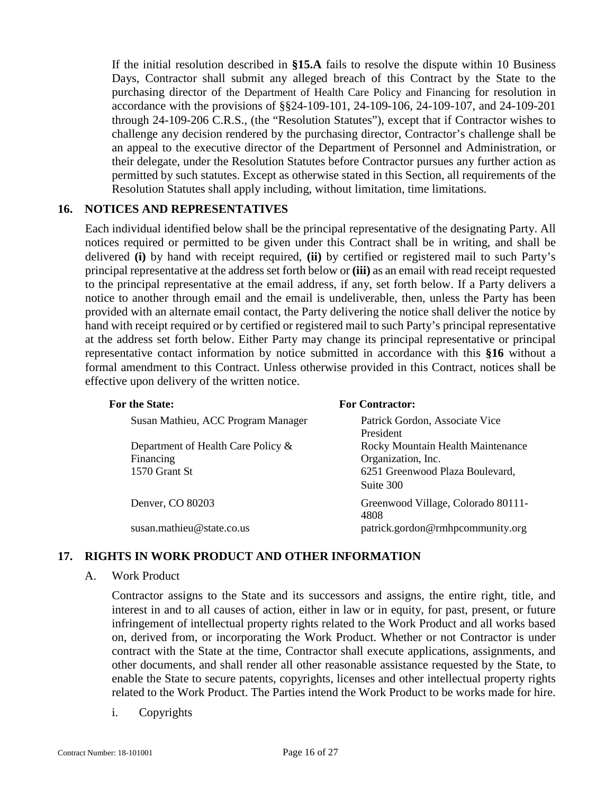If the initial resolution described in **[§15.A](#page-14-1)** fails to resolve the dispute within 10 Business Days, Contractor shall submit any alleged breach of this Contract by the State to the purchasing director of the Department of Health Care Policy and Financing for resolution in accordance with the provisions of §§24-109-101, 24-109-106, 24-109-107, and 24-109-201 through 24-109-206 C.R.S., (the "Resolution Statutes"), except that if Contractor wishes to challenge any decision rendered by the purchasing director, Contractor's challenge shall be an appeal to the executive director of the Department of Personnel and Administration, or their delegate, under the Resolution Statutes before Contractor pursues any further action as permitted by such statutes. Except as otherwise stated in this Section, all requirements of the Resolution Statutes shall apply including, without limitation, time limitations.

## <span id="page-15-0"></span>**16. NOTICES AND REPRESENTATIVES**

Each individual identified below shall be the principal representative of the designating Party. All notices required or permitted to be given under this Contract shall be in writing, and shall be delivered **(i)** by hand with receipt required, **(ii)** by certified or registered mail to such Party's principal representative at the address set forth below or **(iii)** as an email with read receipt requested to the principal representative at the email address, if any, set forth below. If a Party delivers a notice to another through email and the email is undeliverable, then, unless the Party has been provided with an alternate email contact, the Party delivering the notice shall deliver the notice by hand with receipt required or by certified or registered mail to such Party's principal representative at the address set forth below. Either Party may change its principal representative or principal representative contact information by notice submitted in accordance with this **§16** without a formal amendment to this Contract. Unless otherwise provided in this Contract, notices shall be effective upon delivery of the written notice.

| <b>For the State:</b>              | <b>For Contractor:</b>                       |
|------------------------------------|----------------------------------------------|
| Susan Mathieu, ACC Program Manager | Patrick Gordon, Associate Vice<br>President  |
| Department of Health Care Policy & | Rocky Mountain Health Maintenance            |
| Financing                          | Organization, Inc.                           |
| 1570 Grant St                      | 6251 Greenwood Plaza Boulevard,<br>Suite 300 |
| Denver, CO 80203                   | Greenwood Village, Colorado 80111-<br>4808   |
| susan.mathieu@state.co.us          | patrick.gordon@rmhpcommunity.org             |

#### <span id="page-15-1"></span>**17. RIGHTS IN WORK PRODUCT AND OTHER INFORMATION**

A. Work Product

Contractor assigns to the State and its successors and assigns, the entire right, title, and interest in and to all causes of action, either in law or in equity, for past, present, or future infringement of intellectual property rights related to the Work Product and all works based on, derived from, or incorporating the Work Product. Whether or not Contractor is under contract with the State at the time, Contractor shall execute applications, assignments, and other documents, and shall render all other reasonable assistance requested by the State, to enable the State to secure patents, copyrights, licenses and other intellectual property rights related to the Work Product. The Parties intend the Work Product to be works made for hire.

i. Copyrights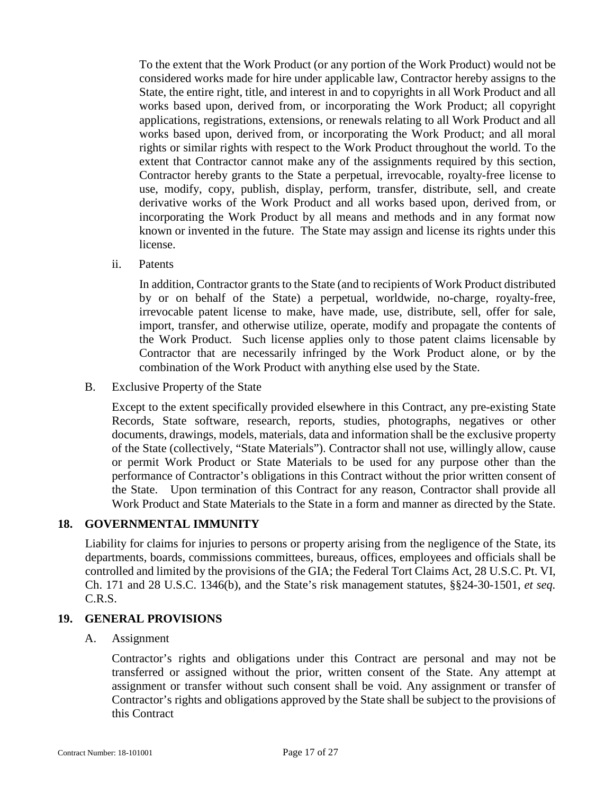To the extent that the Work Product (or any portion of the Work Product) would not be considered works made for hire under applicable law, Contractor hereby assigns to the State, the entire right, title, and interest in and to copyrights in all Work Product and all works based upon, derived from, or incorporating the Work Product; all copyright applications, registrations, extensions, or renewals relating to all Work Product and all works based upon, derived from, or incorporating the Work Product; and all moral rights or similar rights with respect to the Work Product throughout the world. To the extent that Contractor cannot make any of the assignments required by this section, Contractor hereby grants to the State a perpetual, irrevocable, royalty-free license to use, modify, copy, publish, display, perform, transfer, distribute, sell, and create derivative works of the Work Product and all works based upon, derived from, or incorporating the Work Product by all means and methods and in any format now known or invented in the future. The State may assign and license its rights under this license.

ii. Patents

In addition, Contractor grants to the State (and to recipients of Work Product distributed by or on behalf of the State) a perpetual, worldwide, no-charge, royalty-free, irrevocable patent license to make, have made, use, distribute, sell, offer for sale, import, transfer, and otherwise utilize, operate, modify and propagate the contents of the Work Product. Such license applies only to those patent claims licensable by Contractor that are necessarily infringed by the Work Product alone, or by the combination of the Work Product with anything else used by the State.

B. Exclusive Property of the State

Except to the extent specifically provided elsewhere in this Contract, any pre-existing State Records, State software, research, reports, studies, photographs, negatives or other documents, drawings, models, materials, data and information shall be the exclusive property of the State (collectively, "State Materials"). Contractor shall not use, willingly allow, cause or permit Work Product or State Materials to be used for any purpose other than the performance of Contractor's obligations in this Contract without the prior written consent of the State. Upon termination of this Contract for any reason, Contractor shall provide all Work Product and State Materials to the State in a form and manner as directed by the State.

#### <span id="page-16-0"></span>**18. GOVERNMENTAL IMMUNITY**

Liability for claims for injuries to persons or property arising from the negligence of the State, its departments, boards, commissions committees, bureaus, offices, employees and officials shall be controlled and limited by the provisions of the GIA; the Federal Tort Claims Act, 28 U.S.C. Pt. VI, Ch. 171 and 28 U.S.C. 1346(b), and the State's risk management statutes, §§24-30-1501, *et seq.* C.R.S.

## <span id="page-16-2"></span><span id="page-16-1"></span>**19. GENERAL PROVISIONS**

A. Assignment

Contractor's rights and obligations under this Contract are personal and may not be transferred or assigned without the prior, written consent of the State. Any attempt at assignment or transfer without such consent shall be void. Any assignment or transfer of Contractor's rights and obligations approved by the State shall be subject to the provisions of this Contract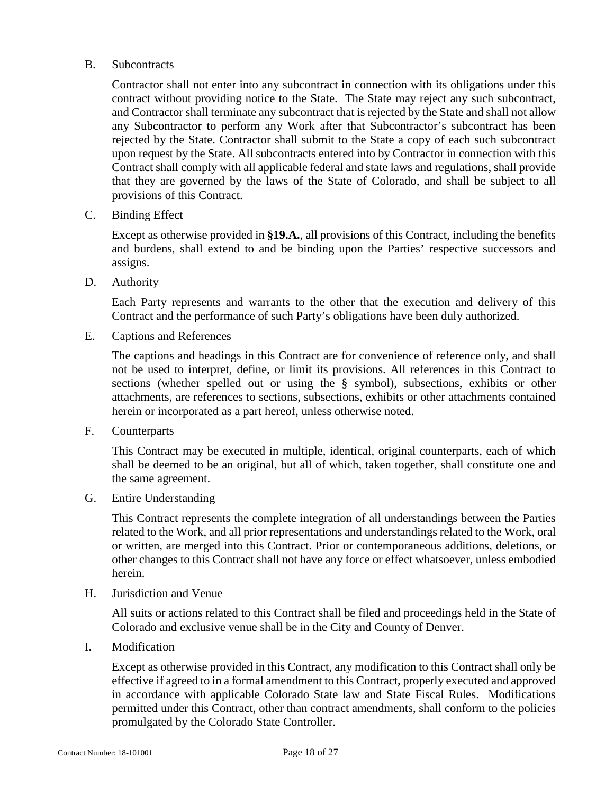#### <span id="page-17-0"></span>B. Subcontracts

Contractor shall not enter into any subcontract in connection with its obligations under this contract without providing notice to the State. The State may reject any such subcontract, and Contractor shall terminate any subcontract that is rejected by the State and shall not allow any Subcontractor to perform any Work after that Subcontractor's subcontract has been rejected by the State. Contractor shall submit to the State a copy of each such subcontract upon request by the State. All subcontracts entered into by Contractor in connection with this Contract shall comply with all applicable federal and state laws and regulations, shall provide that they are governed by the laws of the State of Colorado, and shall be subject to all provisions of this Contract.

C. Binding Effect

Except as otherwise provided in **[§19.A.](#page-16-2)**, all provisions of this Contract, including the benefits and burdens, shall extend to and be binding upon the Parties' respective successors and assigns.

D. Authority

Each Party represents and warrants to the other that the execution and delivery of this Contract and the performance of such Party's obligations have been duly authorized.

E. Captions and References

The captions and headings in this Contract are for convenience of reference only, and shall not be used to interpret, define, or limit its provisions. All references in this Contract to sections (whether spelled out or using the § symbol), subsections, exhibits or other attachments, are references to sections, subsections, exhibits or other attachments contained herein or incorporated as a part hereof, unless otherwise noted.

F. Counterparts

This Contract may be executed in multiple, identical, original counterparts, each of which shall be deemed to be an original, but all of which, taken together, shall constitute one and the same agreement.

G. Entire Understanding

This Contract represents the complete integration of all understandings between the Parties related to the Work, and all prior representations and understandings related to the Work, oral or written, are merged into this Contract. Prior or contemporaneous additions, deletions, or other changes to this Contract shall not have any force or effect whatsoever, unless embodied herein.

H. Jurisdiction and Venue

All suits or actions related to this Contract shall be filed and proceedings held in the State of Colorado and exclusive venue shall be in the City and County of Denver.

I. Modification

Except as otherwise provided in this Contract, any modification to this Contract shall only be effective if agreed to in a formal amendment to this Contract, properly executed and approved in accordance with applicable Colorado State law and State Fiscal Rules. Modifications permitted under this Contract, other than contract amendments, shall conform to the policies promulgated by the Colorado State Controller.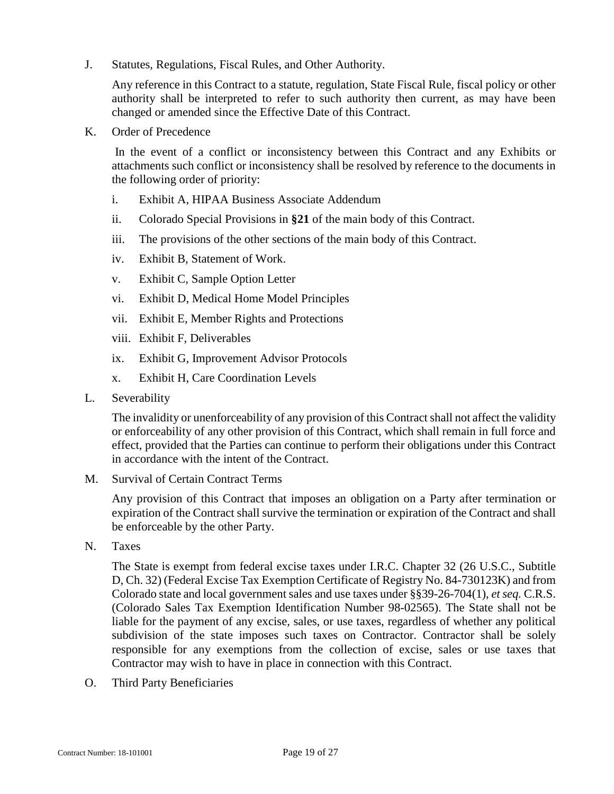J. Statutes, Regulations, Fiscal Rules, and Other Authority.

Any reference in this Contract to a statute, regulation, State Fiscal Rule, fiscal policy or other authority shall be interpreted to refer to such authority then current, as may have been changed or amended since the Effective Date of this Contract.

K. Order of Precedence

In the event of a conflict or inconsistency between this Contract and any Exhibits or attachments such conflict or inconsistency shall be resolved by reference to the documents in the following order of priority:

- i. Exhibit A, HIPAA Business Associate Addendum
- ii. Colorado Special Provisions in **[§21](#page-24-0)** of the main body of this Contract.
- iii. The provisions of the other sections of the main body of this Contract.
- iv. Exhibit B, Statement of Work.
- v. Exhibit C, Sample Option Letter
- vi. Exhibit D, Medical Home Model Principles
- vii. Exhibit E, Member Rights and Protections
- viii. Exhibit F, Deliverables
- ix. Exhibit G, Improvement Advisor Protocols
- x. Exhibit H, Care Coordination Levels
- L. Severability

The invalidity or unenforceability of any provision of this Contract shall not affect the validity or enforceability of any other provision of this Contract, which shall remain in full force and effect, provided that the Parties can continue to perform their obligations under this Contract in accordance with the intent of the Contract.

M. Survival of Certain Contract Terms

Any provision of this Contract that imposes an obligation on a Party after termination or expiration of the Contract shall survive the termination or expiration of the Contract and shall be enforceable by the other Party.

N. Taxes

The State is exempt from federal excise taxes under I.R.C. Chapter 32 (26 U.S.C., Subtitle D, Ch. 32) (Federal Excise Tax Exemption Certificate of Registry No. 84-730123K) and from Colorado state and local government sales and use taxes under §§39-26-704(1), *et seq.* C.R.S. (Colorado Sales Tax Exemption Identification Number 98-02565). The State shall not be liable for the payment of any excise, sales, or use taxes, regardless of whether any political subdivision of the state imposes such taxes on Contractor. Contractor shall be solely responsible for any exemptions from the collection of excise, sales or use taxes that Contractor may wish to have in place in connection with this Contract.

O. Third Party Beneficiaries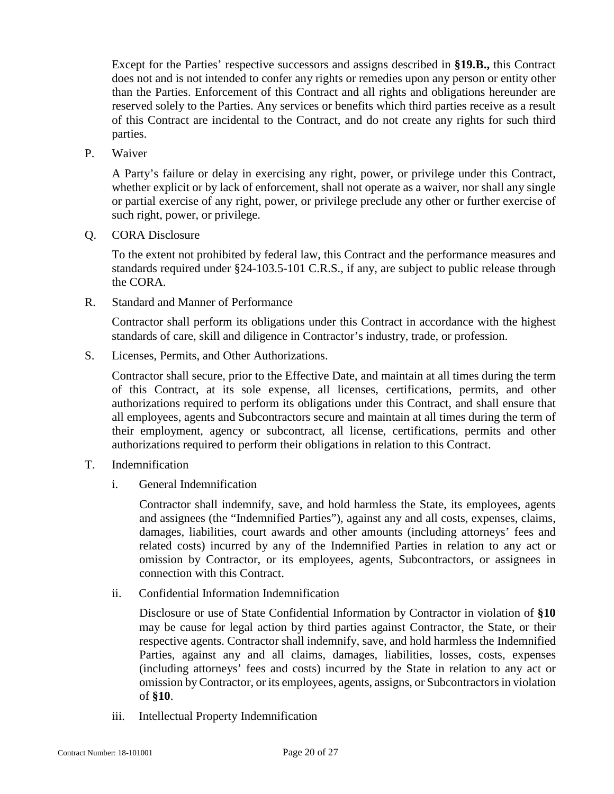Except for the Parties' respective successors and assigns described in **[§19.B.](#page-17-0),** this Contract does not and is not intended to confer any rights or remedies upon any person or entity other than the Parties. Enforcement of this Contract and all rights and obligations hereunder are reserved solely to the Parties. Any services or benefits which third parties receive as a result of this Contract are incidental to the Contract, and do not create any rights for such third parties.

P. Waiver

A Party's failure or delay in exercising any right, power, or privilege under this Contract, whether explicit or by lack of enforcement, shall not operate as a waiver, nor shall any single or partial exercise of any right, power, or privilege preclude any other or further exercise of such right, power, or privilege.

Q. CORA Disclosure

To the extent not prohibited by federal law, this Contract and the performance measures and standards required under §24-103.5-101 C.R.S., if any, are subject to public release through the CORA.

R. Standard and Manner of Performance

Contractor shall perform its obligations under this Contract in accordance with the highest standards of care, skill and diligence in Contractor's industry, trade, or profession.

S. Licenses, Permits, and Other Authorizations.

Contractor shall secure, prior to the Effective Date, and maintain at all times during the term of this Contract, at its sole expense, all licenses, certifications, permits, and other authorizations required to perform its obligations under this Contract, and shall ensure that all employees, agents and Subcontractors secure and maintain at all times during the term of their employment, agency or subcontract, all license, certifications, permits and other authorizations required to perform their obligations in relation to this Contract.

- T. Indemnification
	- i. General Indemnification

Contractor shall indemnify, save, and hold harmless the State, its employees, agents and assignees (the "Indemnified Parties"), against any and all costs, expenses, claims, damages, liabilities, court awards and other amounts (including attorneys' fees and related costs) incurred by any of the Indemnified Parties in relation to any act or omission by Contractor, or its employees, agents, Subcontractors, or assignees in connection with this Contract.

ii. Confidential Information Indemnification

Disclosure or use of State Confidential Information by Contractor in violation of **[§10](#page-8-0)** may be cause for legal action by third parties against Contractor, the State, or their respective agents. Contractor shall indemnify, save, and hold harmless the Indemnified Parties, against any and all claims, damages, liabilities, losses, costs, expenses (including attorneys' fees and costs) incurred by the State in relation to any act or omission by Contractor, or its employees, agents, assigns, or Subcontractorsin violation of **§10**.

iii. Intellectual Property Indemnification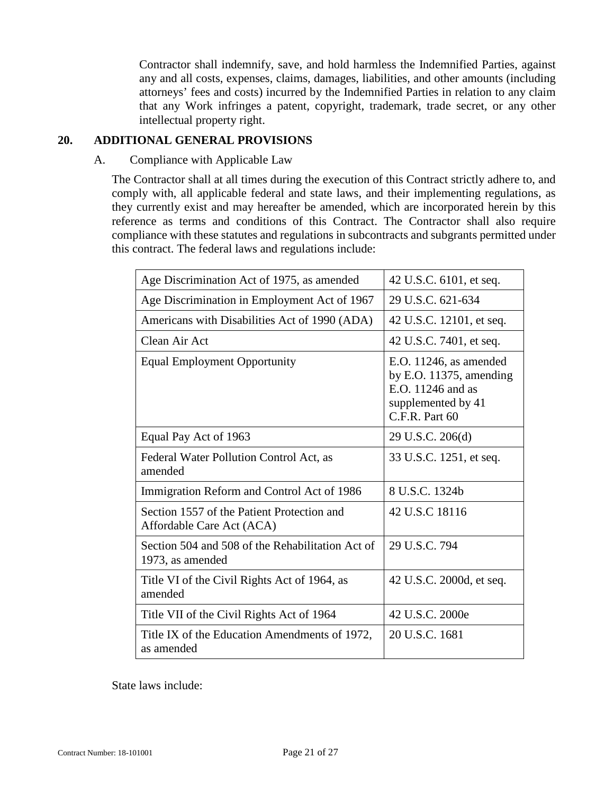Contractor shall indemnify, save, and hold harmless the Indemnified Parties, against any and all costs, expenses, claims, damages, liabilities, and other amounts (including attorneys' fees and costs) incurred by the Indemnified Parties in relation to any claim that any Work infringes a patent, copyright, trademark, trade secret, or any other intellectual property right.

## <span id="page-20-0"></span>**20. ADDITIONAL GENERAL PROVISIONS**

#### A. Compliance with Applicable Law

The Contractor shall at all times during the execution of this Contract strictly adhere to, and comply with, all applicable federal and state laws, and their implementing regulations, as they currently exist and may hereafter be amended, which are incorporated herein by this reference as terms and conditions of this Contract. The Contractor shall also require compliance with these statutes and regulations in subcontracts and subgrants permitted under this contract. The federal laws and regulations include:

| Age Discrimination Act of 1975, as amended                              | 42 U.S.C. 6101, et seq.                                                                                              |
|-------------------------------------------------------------------------|----------------------------------------------------------------------------------------------------------------------|
| Age Discrimination in Employment Act of 1967                            | 29 U.S.C. 621-634                                                                                                    |
| Americans with Disabilities Act of 1990 (ADA)                           | 42 U.S.C. 12101, et seq.                                                                                             |
| Clean Air Act                                                           | 42 U.S.C. 7401, et seq.                                                                                              |
| <b>Equal Employment Opportunity</b>                                     | $E.O. 11246$ , as amended<br>by E.O. $11375$ , amending<br>E.O. 11246 and as<br>supplemented by 41<br>C.F.R. Part 60 |
| Equal Pay Act of 1963                                                   | 29 U.S.C. 206(d)                                                                                                     |
| Federal Water Pollution Control Act, as<br>amended                      | 33 U.S.C. 1251, et seq.                                                                                              |
| Immigration Reform and Control Act of 1986                              | 8 U.S.C. 1324b                                                                                                       |
| Section 1557 of the Patient Protection and<br>Affordable Care Act (ACA) | 42 U.S.C 18116                                                                                                       |
| Section 504 and 508 of the Rehabilitation Act of<br>1973, as amended    | 29 U.S.C. 794                                                                                                        |
| Title VI of the Civil Rights Act of 1964, as<br>amended                 | 42 U.S.C. 2000d, et seq.                                                                                             |
| Title VII of the Civil Rights Act of 1964                               | 42 U.S.C. 2000e                                                                                                      |
| Title IX of the Education Amendments of 1972,<br>as amended             | 20 U.S.C. 1681                                                                                                       |

State laws include: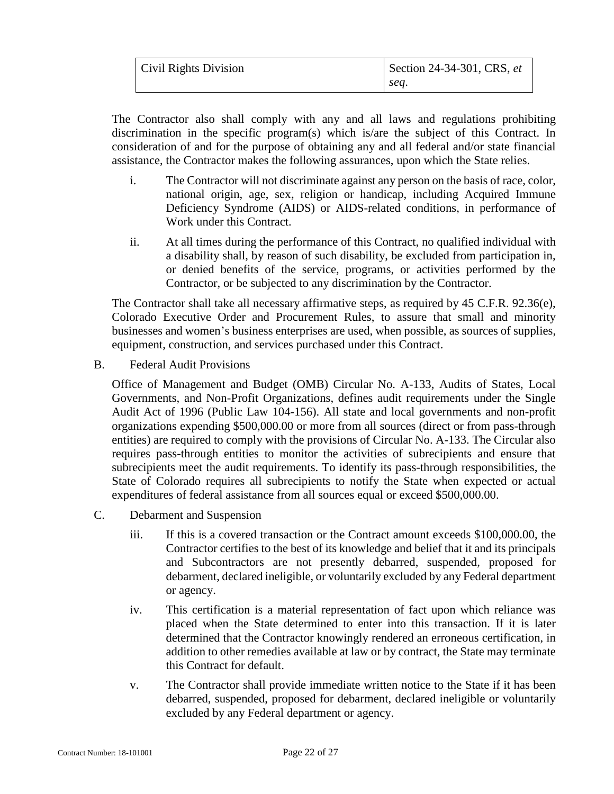| <b>Civil Rights Division</b> | Section 24-34-301, CRS, et |
|------------------------------|----------------------------|
|                              | seg.                       |

The Contractor also shall comply with any and all laws and regulations prohibiting discrimination in the specific program(s) which is/are the subject of this Contract. In consideration of and for the purpose of obtaining any and all federal and/or state financial assistance, the Contractor makes the following assurances, upon which the State relies.

- i. The Contractor will not discriminate against any person on the basis of race, color, national origin, age, sex, religion or handicap, including Acquired Immune Deficiency Syndrome (AIDS) or AIDS-related conditions, in performance of Work under this Contract.
- ii. At all times during the performance of this Contract, no qualified individual with a disability shall, by reason of such disability, be excluded from participation in, or denied benefits of the service, programs, or activities performed by the Contractor, or be subjected to any discrimination by the Contractor.

The Contractor shall take all necessary affirmative steps, as required by 45 C.F.R. 92.36(e), Colorado Executive Order and Procurement Rules, to assure that small and minority businesses and women's business enterprises are used, when possible, as sources of supplies, equipment, construction, and services purchased under this Contract.

B. Federal Audit Provisions

Office of Management and Budget (OMB) Circular No. A-133, Audits of States, Local Governments, and Non-Profit Organizations, defines audit requirements under the Single Audit Act of 1996 (Public Law 104-156). All state and local governments and non-profit organizations expending \$500,000.00 or more from all sources (direct or from pass-through entities) are required to comply with the provisions of Circular No. A-133. The Circular also requires pass-through entities to monitor the activities of subrecipients and ensure that subrecipients meet the audit requirements. To identify its pass-through responsibilities, the State of Colorado requires all subrecipients to notify the State when expected or actual expenditures of federal assistance from all sources equal or exceed \$500,000.00.

- C. Debarment and Suspension
	- iii. If this is a covered transaction or the Contract amount exceeds \$100,000.00, the Contractor certifies to the best of its knowledge and belief that it and its principals and Subcontractors are not presently debarred, suspended, proposed for debarment, declared ineligible, or voluntarily excluded by any Federal department or agency.
	- iv. This certification is a material representation of fact upon which reliance was placed when the State determined to enter into this transaction. If it is later determined that the Contractor knowingly rendered an erroneous certification, in addition to other remedies available at law or by contract, the State may terminate this Contract for default.
	- v. The Contractor shall provide immediate written notice to the State if it has been debarred, suspended, proposed for debarment, declared ineligible or voluntarily excluded by any Federal department or agency.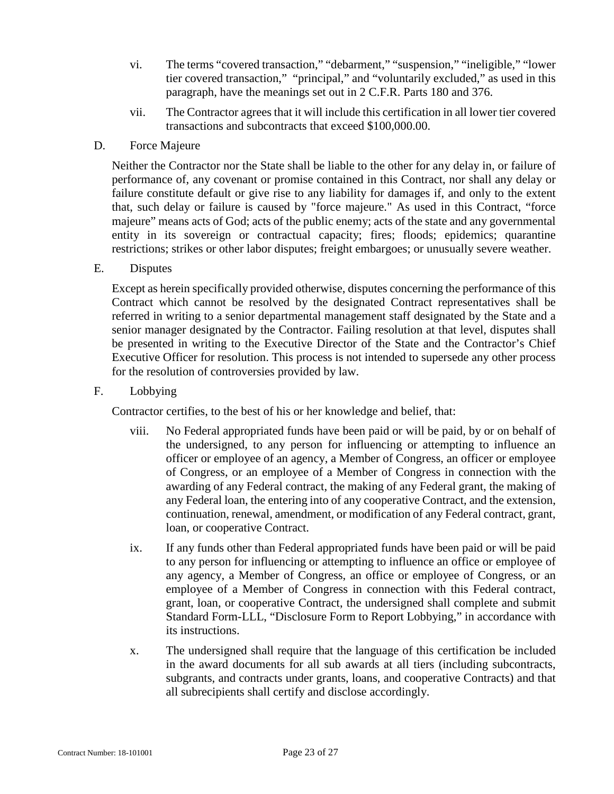- vi. The terms "covered transaction," "debarment," "suspension," "ineligible," "lower tier covered transaction," "principal," and "voluntarily excluded," as used in this paragraph, have the meanings set out in 2 C.F.R. Parts 180 and 376.
- vii. The Contractor agrees that it will include this certification in all lower tier covered transactions and subcontracts that exceed \$100,000.00.
- D. Force Majeure

Neither the Contractor nor the State shall be liable to the other for any delay in, or failure of performance of, any covenant or promise contained in this Contract, nor shall any delay or failure constitute default or give rise to any liability for damages if, and only to the extent that, such delay or failure is caused by "force majeure." As used in this Contract, "force majeure" means acts of God; acts of the public enemy; acts of the state and any governmental entity in its sovereign or contractual capacity; fires; floods; epidemics; quarantine restrictions; strikes or other labor disputes; freight embargoes; or unusually severe weather.

#### E. Disputes

Except as herein specifically provided otherwise, disputes concerning the performance of this Contract which cannot be resolved by the designated Contract representatives shall be referred in writing to a senior departmental management staff designated by the State and a senior manager designated by the Contractor. Failing resolution at that level, disputes shall be presented in writing to the Executive Director of the State and the Contractor's Chief Executive Officer for resolution. This process is not intended to supersede any other process for the resolution of controversies provided by law.

#### F. Lobbying

Contractor certifies, to the best of his or her knowledge and belief, that:

- viii. No Federal appropriated funds have been paid or will be paid, by or on behalf of the undersigned, to any person for influencing or attempting to influence an officer or employee of an agency, a Member of Congress, an officer or employee of Congress, or an employee of a Member of Congress in connection with the awarding of any Federal contract, the making of any Federal grant, the making of any Federal loan, the entering into of any cooperative Contract, and the extension, continuation, renewal, amendment, or modification of any Federal contract, grant, loan, or cooperative Contract.
- ix. If any funds other than Federal appropriated funds have been paid or will be paid to any person for influencing or attempting to influence an office or employee of any agency, a Member of Congress, an office or employee of Congress, or an employee of a Member of Congress in connection with this Federal contract, grant, loan, or cooperative Contract, the undersigned shall complete and submit Standard Form-LLL, "Disclosure Form to Report Lobbying," in accordance with its instructions.
- x. The undersigned shall require that the language of this certification be included in the award documents for all sub awards at all tiers (including subcontracts, subgrants, and contracts under grants, loans, and cooperative Contracts) and that all subrecipients shall certify and disclose accordingly.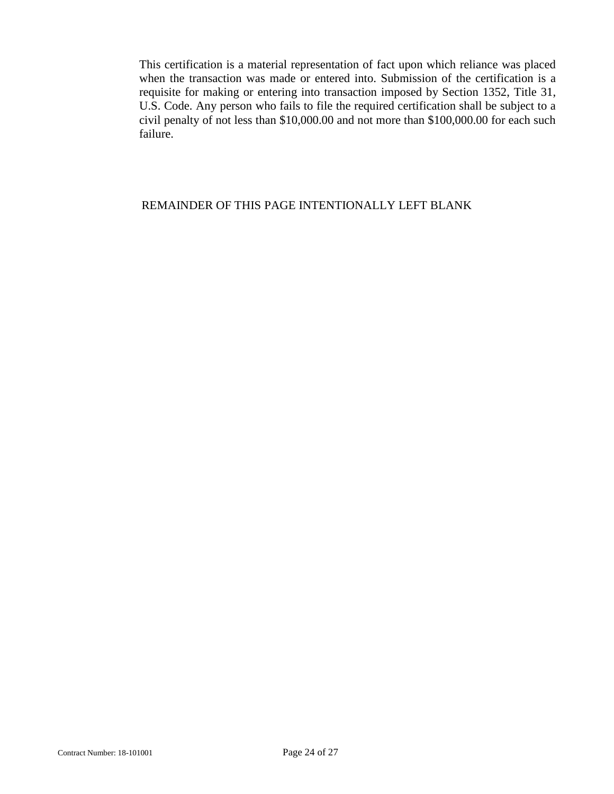This certification is a material representation of fact upon which reliance was placed when the transaction was made or entered into. Submission of the certification is a requisite for making or entering into transaction imposed by Section 1352, Title 31, U.S. Code. Any person who fails to file the required certification shall be subject to a civil penalty of not less than \$10,000.00 and not more than \$100,000.00 for each such failure.

## REMAINDER OF THIS PAGE INTENTIONALLY LEFT BLANK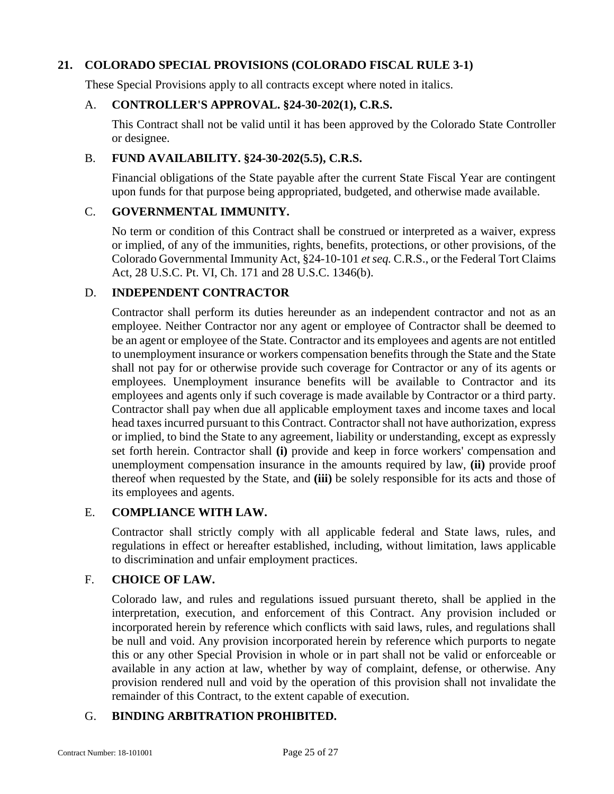## <span id="page-24-0"></span>**21. COLORADO SPECIAL PROVISIONS (COLORADO FISCAL RULE 3-1)**

These Special Provisions apply to all contracts except where noted in italics.

## A. **CONTROLLER'S APPROVAL. §24-30-202(1), C.R.S.**

This Contract shall not be valid until it has been approved by the Colorado State Controller or designee.

## B. **FUND AVAILABILITY. §24-30-202(5.5), C.R.S.**

Financial obligations of the State payable after the current State Fiscal Year are contingent upon funds for that purpose being appropriated, budgeted, and otherwise made available.

## C. **GOVERNMENTAL IMMUNITY.**

No term or condition of this Contract shall be construed or interpreted as a waiver, express or implied, of any of the immunities, rights, benefits, protections, or other provisions, of the Colorado Governmental Immunity Act, §24-10-101 *et seq.* C.R.S., or the Federal Tort Claims Act, 28 U.S.C. Pt. VI, Ch. 171 and 28 U.S.C. 1346(b).

## D. **INDEPENDENT CONTRACTOR**

Contractor shall perform its duties hereunder as an independent contractor and not as an employee. Neither Contractor nor any agent or employee of Contractor shall be deemed to be an agent or employee of the State. Contractor and its employees and agents are not entitled to unemployment insurance or workers compensation benefits through the State and the State shall not pay for or otherwise provide such coverage for Contractor or any of its agents or employees. Unemployment insurance benefits will be available to Contractor and its employees and agents only if such coverage is made available by Contractor or a third party. Contractor shall pay when due all applicable employment taxes and income taxes and local head taxes incurred pursuant to this Contract. Contractor shall not have authorization, express or implied, to bind the State to any agreement, liability or understanding, except as expressly set forth herein. Contractor shall **(i)** provide and keep in force workers' compensation and unemployment compensation insurance in the amounts required by law, **(ii)** provide proof thereof when requested by the State, and **(iii)** be solely responsible for its acts and those of its employees and agents.

#### E. **COMPLIANCE WITH LAW.**

Contractor shall strictly comply with all applicable federal and State laws, rules, and regulations in effect or hereafter established, including, without limitation, laws applicable to discrimination and unfair employment practices.

## F. **CHOICE OF LAW.**

Colorado law, and rules and regulations issued pursuant thereto, shall be applied in the interpretation, execution, and enforcement of this Contract. Any provision included or incorporated herein by reference which conflicts with said laws, rules, and regulations shall be null and void. Any provision incorporated herein by reference which purports to negate this or any other Special Provision in whole or in part shall not be valid or enforceable or available in any action at law, whether by way of complaint, defense, or otherwise. Any provision rendered null and void by the operation of this provision shall not invalidate the remainder of this Contract, to the extent capable of execution.

## G. **BINDING ARBITRATION PROHIBITED.**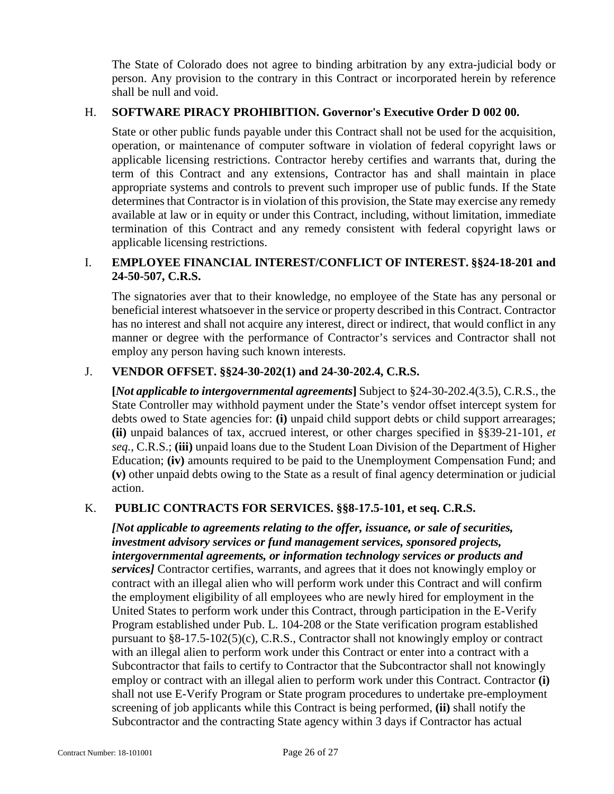The State of Colorado does not agree to binding arbitration by any extra-judicial body or person. Any provision to the contrary in this Contract or incorporated herein by reference shall be null and void.

#### H. **SOFTWARE PIRACY PROHIBITION. Governor's Executive Order D 002 00.**

State or other public funds payable under this Contract shall not be used for the acquisition, operation, or maintenance of computer software in violation of federal copyright laws or applicable licensing restrictions. Contractor hereby certifies and warrants that, during the term of this Contract and any extensions, Contractor has and shall maintain in place appropriate systems and controls to prevent such improper use of public funds. If the State determines that Contractor is in violation of this provision, the State may exercise any remedy available at law or in equity or under this Contract, including, without limitation, immediate termination of this Contract and any remedy consistent with federal copyright laws or applicable licensing restrictions.

## I. **EMPLOYEE FINANCIAL INTEREST/CONFLICT OF INTEREST. §§24-18-201 and 24-50-507, C.R.S.**

The signatories aver that to their knowledge, no employee of the State has any personal or beneficial interest whatsoever in the service or property described in this Contract. Contractor has no interest and shall not acquire any interest, direct or indirect, that would conflict in any manner or degree with the performance of Contractor's services and Contractor shall not employ any person having such known interests.

## J. **VENDOR OFFSET. §§24-30-202(1) and 24-30-202.4, C.R.S.**

**[***Not applicable to intergovernmental agreements***]** Subject to §24-30-202.4(3.5), C.R.S., the State Controller may withhold payment under the State's vendor offset intercept system for debts owed to State agencies for: **(i)** unpaid child support debts or child support arrearages; **(ii)** unpaid balances of tax, accrued interest, or other charges specified in §§39-21-101, *et seq.*, C.R.S.; **(iii)** unpaid loans due to the Student Loan Division of the Department of Higher Education; **(iv)** amounts required to be paid to the Unemployment Compensation Fund; and **(v)** other unpaid debts owing to the State as a result of final agency determination or judicial action.

## K. **PUBLIC CONTRACTS FOR SERVICES. §§8-17.5-101, et seq. C.R.S.**

*[Not applicable to agreements relating to the offer, issuance, or sale of securities, investment advisory services or fund management services, sponsored projects, intergovernmental agreements, or information technology services or products and services]* Contractor certifies, warrants, and agrees that it does not knowingly employ or contract with an illegal alien who will perform work under this Contract and will confirm the employment eligibility of all employees who are newly hired for employment in the United States to perform work under this Contract, through participation in the E-Verify Program established under Pub. L. 104-208 or the State verification program established pursuant to §8-17.5-102(5)(c), C.R.S., Contractor shall not knowingly employ or contract with an illegal alien to perform work under this Contract or enter into a contract with a Subcontractor that fails to certify to Contractor that the Subcontractor shall not knowingly employ or contract with an illegal alien to perform work under this Contract. Contractor **(i)** shall not use E-Verify Program or State program procedures to undertake pre-employment screening of job applicants while this Contract is being performed, **(ii)** shall notify the Subcontractor and the contracting State agency within 3 days if Contractor has actual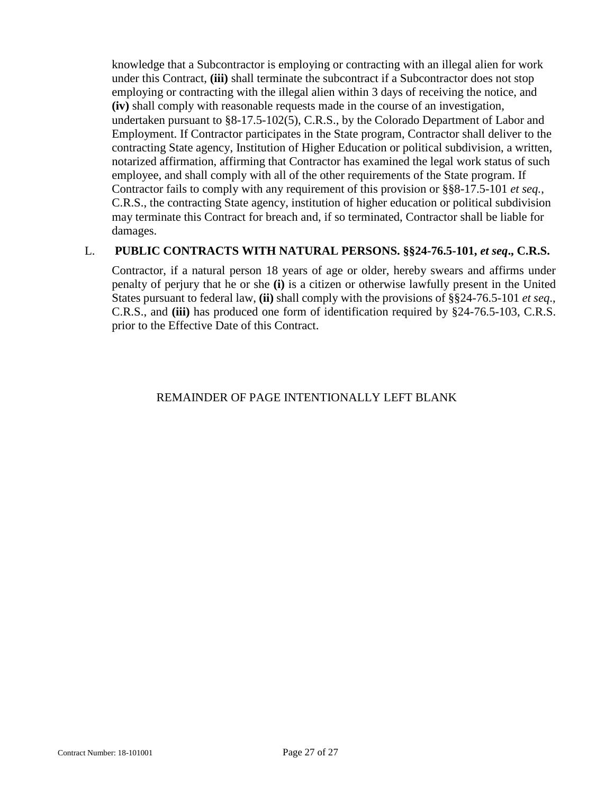knowledge that a Subcontractor is employing or contracting with an illegal alien for work under this Contract, **(iii)** shall terminate the subcontract if a Subcontractor does not stop employing or contracting with the illegal alien within 3 days of receiving the notice, and **(iv)** shall comply with reasonable requests made in the course of an investigation, undertaken pursuant to §8-17.5-102(5), C.R.S., by the Colorado Department of Labor and Employment. If Contractor participates in the State program, Contractor shall deliver to the contracting State agency, Institution of Higher Education or political subdivision, a written, notarized affirmation, affirming that Contractor has examined the legal work status of such employee, and shall comply with all of the other requirements of the State program. If Contractor fails to comply with any requirement of this provision or §§8-17.5-101 *et seq.*, C.R.S., the contracting State agency, institution of higher education or political subdivision may terminate this Contract for breach and, if so terminated, Contractor shall be liable for damages.

## L. **PUBLIC CONTRACTS WITH NATURAL PERSONS. §§24-76.5-101,** *et seq***., C.R.S.**

Contractor, if a natural person 18 years of age or older, hereby swears and affirms under penalty of perjury that he or she **(i)** is a citizen or otherwise lawfully present in the United States pursuant to federal law, **(ii)** shall comply with the provisions of §§24-76.5-101 *et seq*., C.R.S., and **(iii)** has produced one form of identification required by §24-76.5-103, C.R.S. prior to the Effective Date of this Contract.

## REMAINDER OF PAGE INTENTIONALLY LEFT BLANK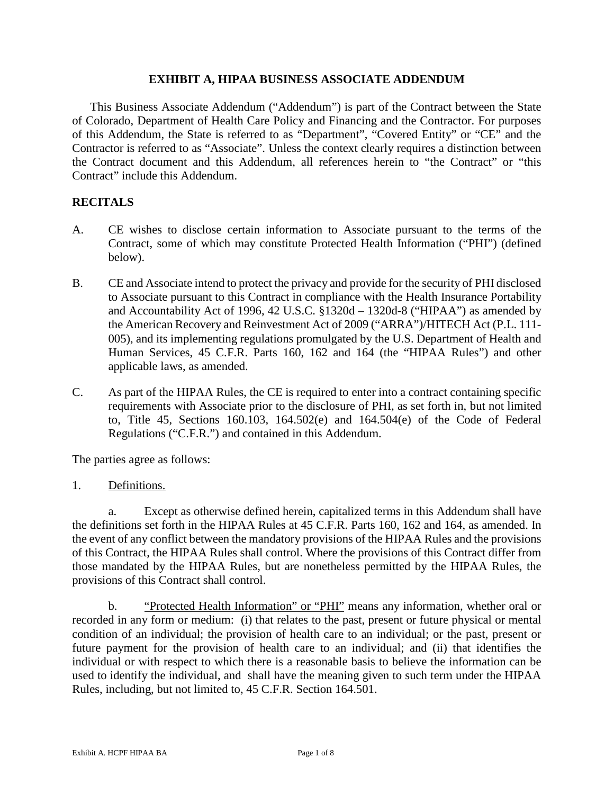#### **EXHIBIT A, HIPAA BUSINESS ASSOCIATE ADDENDUM**

This Business Associate Addendum ("Addendum") is part of the Contract between the State of Colorado, Department of Health Care Policy and Financing and the Contractor. For purposes of this Addendum, the State is referred to as "Department", "Covered Entity" or "CE" and the Contractor is referred to as "Associate". Unless the context clearly requires a distinction between the Contract document and this Addendum, all references herein to "the Contract" or "this Contract" include this Addendum.

#### **RECITALS**

- A. CE wishes to disclose certain information to Associate pursuant to the terms of the Contract, some of which may constitute Protected Health Information ("PHI") (defined below).
- B. CE and Associate intend to protect the privacy and provide for the security of PHI disclosed to Associate pursuant to this Contract in compliance with the Health Insurance Portability and Accountability Act of 1996, 42 U.S.C. §1320d – 1320d-8 ("HIPAA") as amended by the American Recovery and Reinvestment Act of 2009 ("ARRA")/HITECH Act (P.L. 111- 005), and its implementing regulations promulgated by the U.S. Department of Health and Human Services, 45 C.F.R. Parts 160, 162 and 164 (the "HIPAA Rules") and other applicable laws, as amended.
- C. As part of the HIPAA Rules, the CE is required to enter into a contract containing specific requirements with Associate prior to the disclosure of PHI, as set forth in, but not limited to, Title 45, Sections 160.103, 164.502(e) and 164.504(e) of the Code of Federal Regulations ("C.F.R.") and contained in this Addendum.

The parties agree as follows:

1. Definitions.

a. Except as otherwise defined herein, capitalized terms in this Addendum shall have the definitions set forth in the HIPAA Rules at 45 C.F.R. Parts 160, 162 and 164, as amended. In the event of any conflict between the mandatory provisions of the HIPAA Rules and the provisions of this Contract, the HIPAA Rules shall control. Where the provisions of this Contract differ from those mandated by the HIPAA Rules, but are nonetheless permitted by the HIPAA Rules, the provisions of this Contract shall control.

b. "Protected Health Information" or "PHI" means any information, whether oral or recorded in any form or medium: (i) that relates to the past, present or future physical or mental condition of an individual; the provision of health care to an individual; or the past, present or future payment for the provision of health care to an individual; and (ii) that identifies the individual or with respect to which there is a reasonable basis to believe the information can be used to identify the individual, and shall have the meaning given to such term under the HIPAA Rules, including, but not limited to, 45 C.F.R. Section 164.501.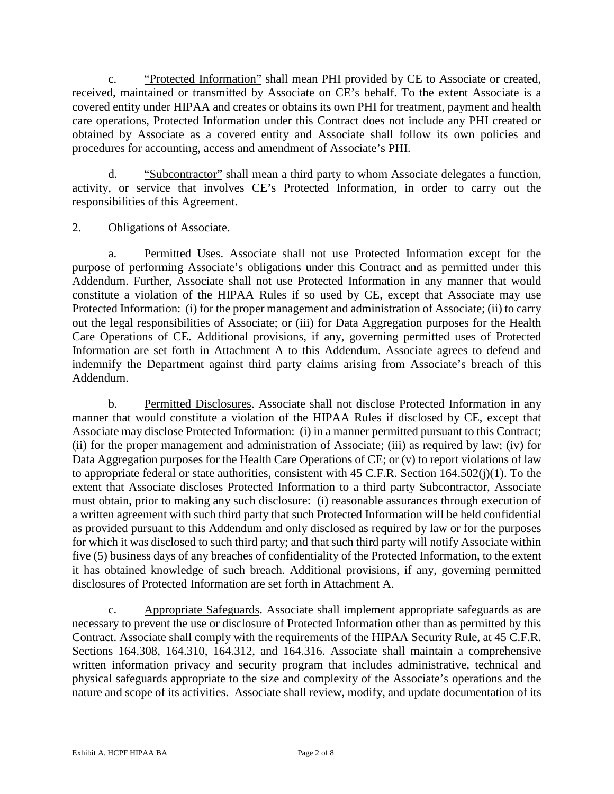c. "Protected Information" shall mean PHI provided by CE to Associate or created, received, maintained or transmitted by Associate on CE's behalf. To the extent Associate is a covered entity under HIPAA and creates or obtains its own PHI for treatment, payment and health care operations, Protected Information under this Contract does not include any PHI created or obtained by Associate as a covered entity and Associate shall follow its own policies and procedures for accounting, access and amendment of Associate's PHI.

d. "Subcontractor" shall mean a third party to whom Associate delegates a function, activity, or service that involves CE's Protected Information, in order to carry out the responsibilities of this Agreement.

## 2. Obligations of Associate.

a. Permitted Uses. Associate shall not use Protected Information except for the purpose of performing Associate's obligations under this Contract and as permitted under this Addendum. Further, Associate shall not use Protected Information in any manner that would constitute a violation of the HIPAA Rules if so used by CE, except that Associate may use Protected Information: (i) for the proper management and administration of Associate; (ii) to carry out the legal responsibilities of Associate; or (iii) for Data Aggregation purposes for the Health Care Operations of CE. Additional provisions, if any, governing permitted uses of Protected Information are set forth in Attachment A to this Addendum. Associate agrees to defend and indemnify the Department against third party claims arising from Associate's breach of this Addendum.

b. Permitted Disclosures. Associate shall not disclose Protected Information in any manner that would constitute a violation of the HIPAA Rules if disclosed by CE, except that Associate may disclose Protected Information: (i) in a manner permitted pursuant to this Contract; (ii) for the proper management and administration of Associate; (iii) as required by law; (iv) for Data Aggregation purposes for the Health Care Operations of CE; or (v) to report violations of law to appropriate federal or state authorities, consistent with 45 C.F.R. Section 164.502(j)(1). To the extent that Associate discloses Protected Information to a third party Subcontractor, Associate must obtain, prior to making any such disclosure: (i) reasonable assurances through execution of a written agreement with such third party that such Protected Information will be held confidential as provided pursuant to this Addendum and only disclosed as required by law or for the purposes for which it was disclosed to such third party; and that such third party will notify Associate within five (5) business days of any breaches of confidentiality of the Protected Information, to the extent it has obtained knowledge of such breach. Additional provisions, if any, governing permitted disclosures of Protected Information are set forth in Attachment A.

c. Appropriate Safeguards. Associate shall implement appropriate safeguards as are necessary to prevent the use or disclosure of Protected Information other than as permitted by this Contract. Associate shall comply with the requirements of the HIPAA Security Rule, at 45 C.F.R. Sections 164.308, 164.310, 164.312, and 164.316. Associate shall maintain a comprehensive written information privacy and security program that includes administrative, technical and physical safeguards appropriate to the size and complexity of the Associate's operations and the nature and scope of its activities. Associate shall review, modify, and update documentation of its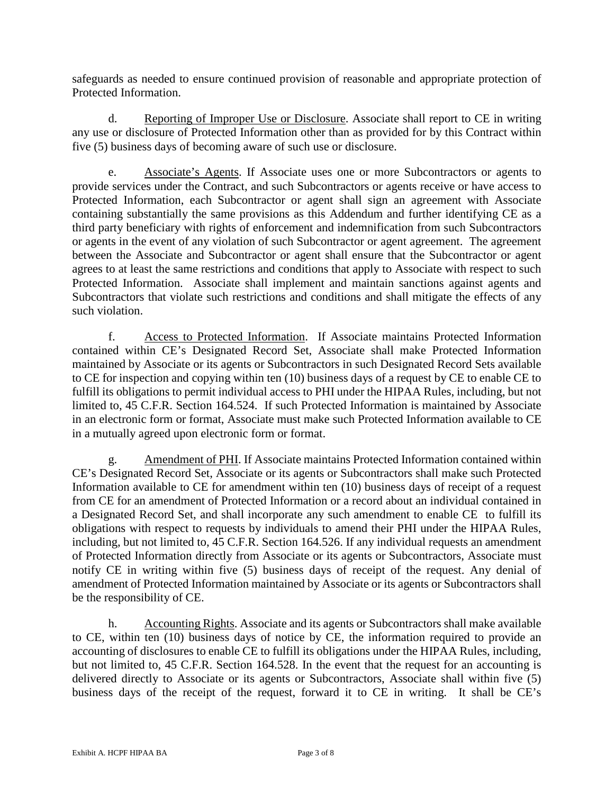safeguards as needed to ensure continued provision of reasonable and appropriate protection of Protected Information.

d. Reporting of Improper Use or Disclosure. Associate shall report to CE in writing any use or disclosure of Protected Information other than as provided for by this Contract within five (5) business days of becoming aware of such use or disclosure.

e. Associate's Agents. If Associate uses one or more Subcontractors or agents to provide services under the Contract, and such Subcontractors or agents receive or have access to Protected Information, each Subcontractor or agent shall sign an agreement with Associate containing substantially the same provisions as this Addendum and further identifying CE as a third party beneficiary with rights of enforcement and indemnification from such Subcontractors or agents in the event of any violation of such Subcontractor or agent agreement. The agreement between the Associate and Subcontractor or agent shall ensure that the Subcontractor or agent agrees to at least the same restrictions and conditions that apply to Associate with respect to such Protected Information. Associate shall implement and maintain sanctions against agents and Subcontractors that violate such restrictions and conditions and shall mitigate the effects of any such violation.

f. Access to Protected Information. If Associate maintains Protected Information contained within CE's Designated Record Set, Associate shall make Protected Information maintained by Associate or its agents or Subcontractors in such Designated Record Sets available to CE for inspection and copying within ten (10) business days of a request by CE to enable CE to fulfill its obligations to permit individual access to PHI under the HIPAA Rules, including, but not limited to, 45 C.F.R. Section 164.524. If such Protected Information is maintained by Associate in an electronic form or format, Associate must make such Protected Information available to CE in a mutually agreed upon electronic form or format.

g. Amendment of PHI. If Associate maintains Protected Information contained within CE's Designated Record Set, Associate or its agents or Subcontractors shall make such Protected Information available to CE for amendment within ten (10) business days of receipt of a request from CE for an amendment of Protected Information or a record about an individual contained in a Designated Record Set, and shall incorporate any such amendment to enable CE to fulfill its obligations with respect to requests by individuals to amend their PHI under the HIPAA Rules, including, but not limited to, 45 C.F.R. Section 164.526. If any individual requests an amendment of Protected Information directly from Associate or its agents or Subcontractors, Associate must notify CE in writing within five (5) business days of receipt of the request. Any denial of amendment of Protected Information maintained by Associate or its agents or Subcontractors shall be the responsibility of CE.

h. Accounting Rights. Associate and its agents or Subcontractors shall make available to CE, within ten (10) business days of notice by CE, the information required to provide an accounting of disclosures to enable CE to fulfill its obligations under the HIPAA Rules, including, but not limited to, 45 C.F.R. Section 164.528. In the event that the request for an accounting is delivered directly to Associate or its agents or Subcontractors, Associate shall within five (5) business days of the receipt of the request, forward it to CE in writing. It shall be CE's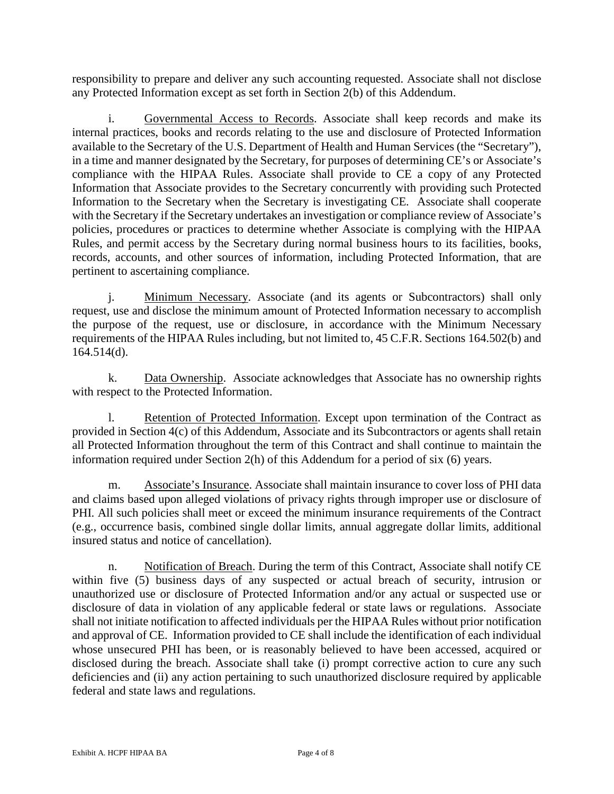responsibility to prepare and deliver any such accounting requested. Associate shall not disclose any Protected Information except as set forth in Section 2(b) of this Addendum.

i. Governmental Access to Records. Associate shall keep records and make its internal practices, books and records relating to the use and disclosure of Protected Information available to the Secretary of the U.S. Department of Health and Human Services (the "Secretary"), in a time and manner designated by the Secretary, for purposes of determining CE's or Associate's compliance with the HIPAA Rules. Associate shall provide to CE a copy of any Protected Information that Associate provides to the Secretary concurrently with providing such Protected Information to the Secretary when the Secretary is investigating CE*.* Associate shall cooperate with the Secretary if the Secretary undertakes an investigation or compliance review of Associate's policies, procedures or practices to determine whether Associate is complying with the HIPAA Rules, and permit access by the Secretary during normal business hours to its facilities, books, records, accounts, and other sources of information, including Protected Information, that are pertinent to ascertaining compliance.

j. Minimum Necessary. Associate (and its agents or Subcontractors) shall only request, use and disclose the minimum amount of Protected Information necessary to accomplish the purpose of the request, use or disclosure, in accordance with the Minimum Necessary requirements of the HIPAA Rules including, but not limited to, 45 C.F.R. Sections 164.502(b) and 164.514(d).

k. Data Ownership. Associate acknowledges that Associate has no ownership rights with respect to the Protected Information.

l. Retention of Protected Information. Except upon termination of the Contract as provided in Section 4(c) of this Addendum, Associate and its Subcontractors or agents shall retain all Protected Information throughout the term of this Contract and shall continue to maintain the information required under Section 2(h) of this Addendum for a period of six (6) years.

m. Associate's Insurance. Associate shall maintain insurance to cover loss of PHI data and claims based upon alleged violations of privacy rights through improper use or disclosure of PHI. All such policies shall meet or exceed the minimum insurance requirements of the Contract (e.g., occurrence basis, combined single dollar limits, annual aggregate dollar limits, additional insured status and notice of cancellation).

n. Notification of Breach. During the term of this Contract, Associate shall notify CE within five (5) business days of any suspected or actual breach of security, intrusion or unauthorized use or disclosure of Protected Information and/or any actual or suspected use or disclosure of data in violation of any applicable federal or state laws or regulations. Associate shall not initiate notification to affected individuals per the HIPAA Rules without prior notification and approval of CE. Information provided to CE shall include the identification of each individual whose unsecured PHI has been, or is reasonably believed to have been accessed, acquired or disclosed during the breach. Associate shall take (i) prompt corrective action to cure any such deficiencies and (ii) any action pertaining to such unauthorized disclosure required by applicable federal and state laws and regulations.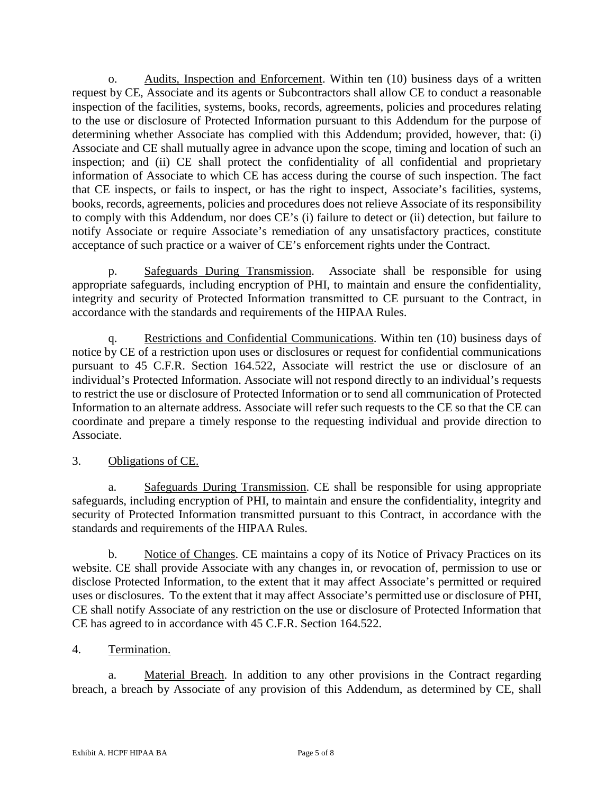o. Audits, Inspection and Enforcement. Within ten (10) business days of a written request by CE, Associate and its agents or Subcontractors shall allow CE to conduct a reasonable inspection of the facilities, systems, books, records, agreements, policies and procedures relating to the use or disclosure of Protected Information pursuant to this Addendum for the purpose of determining whether Associate has complied with this Addendum; provided, however, that: (i) Associate and CE shall mutually agree in advance upon the scope, timing and location of such an inspection; and (ii) CE shall protect the confidentiality of all confidential and proprietary information of Associate to which CE has access during the course of such inspection. The fact that CE inspects, or fails to inspect, or has the right to inspect, Associate's facilities, systems, books, records, agreements, policies and procedures does not relieve Associate of its responsibility to comply with this Addendum, nor does CE's (i) failure to detect or (ii) detection, but failure to notify Associate or require Associate's remediation of any unsatisfactory practices, constitute acceptance of such practice or a waiver of CE's enforcement rights under the Contract.

p. Safeguards During Transmission. Associate shall be responsible for using appropriate safeguards, including encryption of PHI, to maintain and ensure the confidentiality, integrity and security of Protected Information transmitted to CE pursuant to the Contract, in accordance with the standards and requirements of the HIPAA Rules.

q. Restrictions and Confidential Communications. Within ten (10) business days of notice by CE of a restriction upon uses or disclosures or request for confidential communications pursuant to 45 C.F.R. Section 164.522, Associate will restrict the use or disclosure of an individual's Protected Information. Associate will not respond directly to an individual's requests to restrict the use or disclosure of Protected Information or to send all communication of Protected Information to an alternate address. Associate will refer such requests to the CE so that the CE can coordinate and prepare a timely response to the requesting individual and provide direction to Associate.

## 3. Obligations of CE.

a. Safeguards During Transmission. CE shall be responsible for using appropriate safeguards, including encryption of PHI, to maintain and ensure the confidentiality, integrity and security of Protected Information transmitted pursuant to this Contract, in accordance with the standards and requirements of the HIPAA Rules.

b. Notice of Changes. CE maintains a copy of its Notice of Privacy Practices on its website. CE shall provide Associate with any changes in, or revocation of, permission to use or disclose Protected Information, to the extent that it may affect Associate's permitted or required uses or disclosures. To the extent that it may affect Associate's permitted use or disclosure of PHI, CE shall notify Associate of any restriction on the use or disclosure of Protected Information that CE has agreed to in accordance with 45 C.F.R. Section 164.522.

4. Termination.

a. Material Breach. In addition to any other provisions in the Contract regarding breach, a breach by Associate of any provision of this Addendum, as determined by CE, shall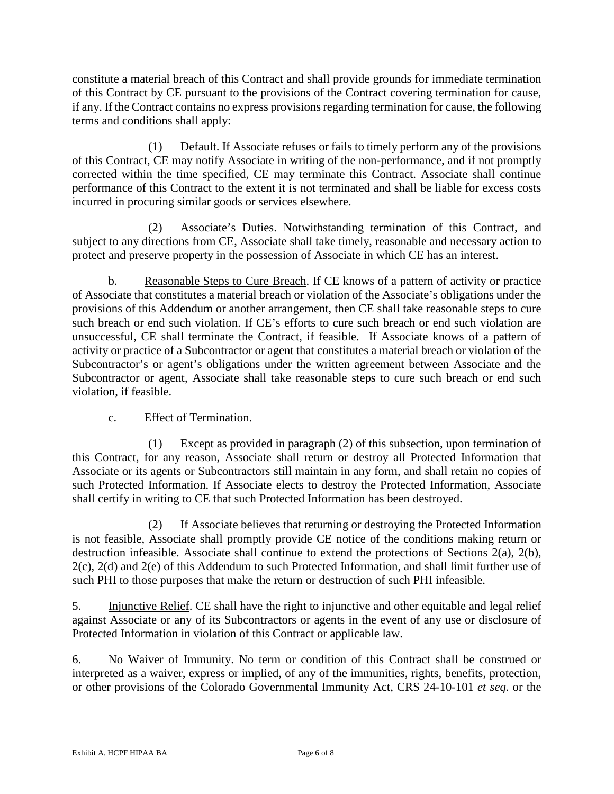constitute a material breach of this Contract and shall provide grounds for immediate termination of this Contract by CE pursuant to the provisions of the Contract covering termination for cause, if any. If the Contract contains no express provisions regarding termination for cause, the following terms and conditions shall apply:

(1) Default. If Associate refuses or fails to timely perform any of the provisions of this Contract, CE may notify Associate in writing of the non-performance, and if not promptly corrected within the time specified, CE may terminate this Contract. Associate shall continue performance of this Contract to the extent it is not terminated and shall be liable for excess costs incurred in procuring similar goods or services elsewhere.

(2) Associate's Duties. Notwithstanding termination of this Contract, and subject to any directions from CE, Associate shall take timely, reasonable and necessary action to protect and preserve property in the possession of Associate in which CE has an interest.

b. Reasonable Steps to Cure Breach. If CE knows of a pattern of activity or practice of Associate that constitutes a material breach or violation of the Associate's obligations under the provisions of this Addendum or another arrangement, then CE shall take reasonable steps to cure such breach or end such violation. If CE's efforts to cure such breach or end such violation are unsuccessful, CE shall terminate the Contract, if feasible. If Associate knows of a pattern of activity or practice of a Subcontractor or agent that constitutes a material breach or violation of the Subcontractor's or agent's obligations under the written agreement between Associate and the Subcontractor or agent, Associate shall take reasonable steps to cure such breach or end such violation, if feasible.

## c. Effect of Termination.

(1) Except as provided in paragraph (2) of this subsection, upon termination of this Contract, for any reason, Associate shall return or destroy all Protected Information that Associate or its agents or Subcontractors still maintain in any form, and shall retain no copies of such Protected Information. If Associate elects to destroy the Protected Information, Associate shall certify in writing to CE that such Protected Information has been destroyed.

(2) If Associate believes that returning or destroying the Protected Information is not feasible, Associate shall promptly provide CE notice of the conditions making return or destruction infeasible. Associate shall continue to extend the protections of Sections 2(a), 2(b), 2(c), 2(d) and 2(e) of this Addendum to such Protected Information, and shall limit further use of such PHI to those purposes that make the return or destruction of such PHI infeasible.

5. Injunctive Relief. CE shall have the right to injunctive and other equitable and legal relief against Associate or any of its Subcontractors or agents in the event of any use or disclosure of Protected Information in violation of this Contract or applicable law.

6. No Waiver of Immunity. No term or condition of this Contract shall be construed or interpreted as a waiver, express or implied, of any of the immunities, rights, benefits, protection, or other provisions of the Colorado Governmental Immunity Act, CRS 24-10-101 *et seq*. or the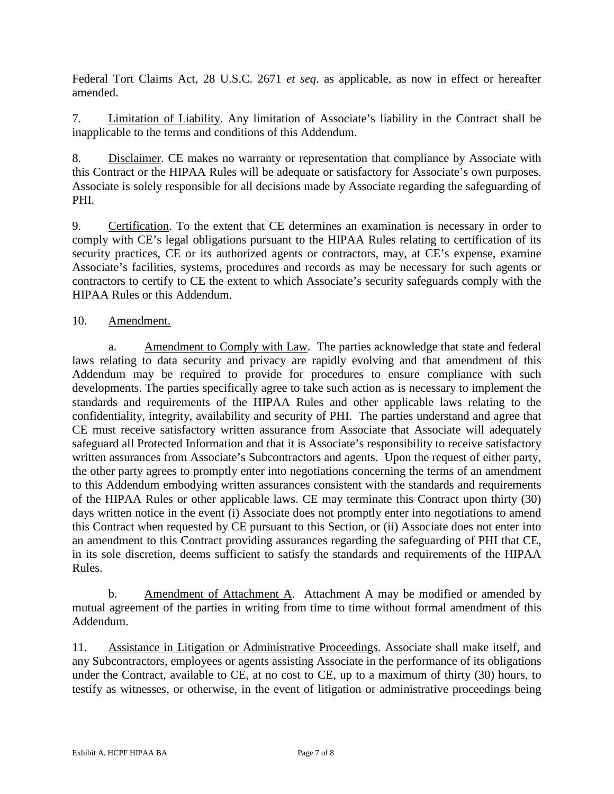Federal Tort Claims Act, 28 U.S.C. 2671 *et seq*. as applicable, as now in effect or hereafter amended.

7. Limitation of Liability. Any limitation of Associate's liability in the Contract shall be inapplicable to the terms and conditions of this Addendum.

8. Disclaimer. CE makes no warranty or representation that compliance by Associate with this Contract or the HIPAA Rules will be adequate or satisfactory for Associate's own purposes. Associate is solely responsible for all decisions made by Associate regarding the safeguarding of PHI.

9. Certification. To the extent that CE determines an examination is necessary in order to comply with CE's legal obligations pursuant to the HIPAA Rules relating to certification of its security practices, CE or its authorized agents or contractors, may, at CE's expense, examine Associate's facilities, systems, procedures and records as may be necessary for such agents or contractors to certify to CE the extent to which Associate's security safeguards comply with the HIPAA Rules or this Addendum.

#### 10. Amendment.

a. Amendment to Comply with Law. The parties acknowledge that state and federal laws relating to data security and privacy are rapidly evolving and that amendment of this Addendum may be required to provide for procedures to ensure compliance with such developments. The parties specifically agree to take such action as is necessary to implement the standards and requirements of the HIPAA Rules and other applicable laws relating to the confidentiality, integrity, availability and security of PHI. The parties understand and agree that CE must receive satisfactory written assurance from Associate that Associate will adequately safeguard all Protected Information and that it is Associate's responsibility to receive satisfactory written assurances from Associate's Subcontractors and agents. Upon the request of either party, the other party agrees to promptly enter into negotiations concerning the terms of an amendment to this Addendum embodying written assurances consistent with the standards and requirements of the HIPAA Rules or other applicable laws. CE may terminate this Contract upon thirty (30) days written notice in the event (i) Associate does not promptly enter into negotiations to amend this Contract when requested by CE pursuant to this Section, or (ii) Associate does not enter into an amendment to this Contract providing assurances regarding the safeguarding of PHI that CE, in its sole discretion, deems sufficient to satisfy the standards and requirements of the HIPAA Rules.

b. Amendment of Attachment A. Attachment A may be modified or amended by mutual agreement of the parties in writing from time to time without formal amendment of this Addendum.

11. Assistance in Litigation or Administrative Proceedings. Associate shall make itself, and any Subcontractors, employees or agents assisting Associate in the performance of its obligations under the Contract, available to CE, at no cost to CE, up to a maximum of thirty (30) hours, to testify as witnesses, or otherwise, in the event of litigation or administrative proceedings being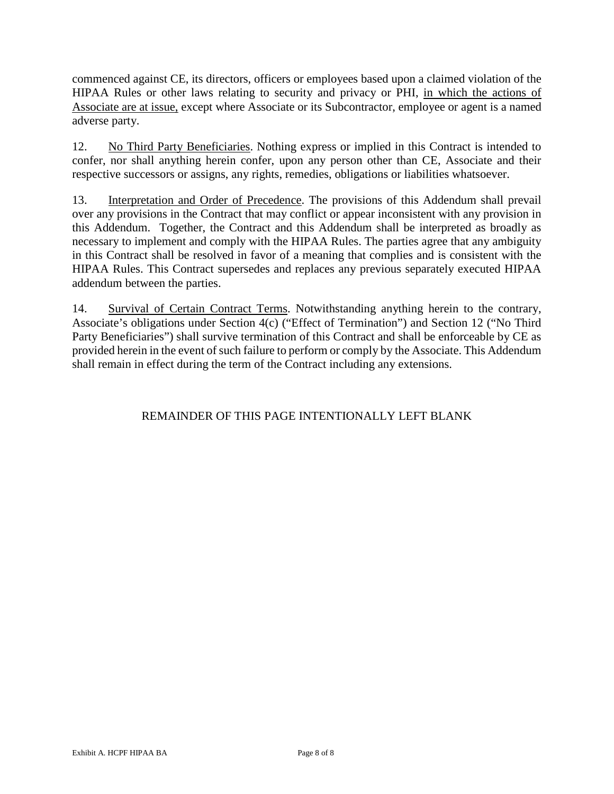commenced against CE, its directors, officers or employees based upon a claimed violation of the HIPAA Rules or other laws relating to security and privacy or PHI, in which the actions of Associate are at issue, except where Associate or its Subcontractor, employee or agent is a named adverse party.

12. No Third Party Beneficiaries. Nothing express or implied in this Contract is intended to confer, nor shall anything herein confer, upon any person other than CE, Associate and their respective successors or assigns, any rights, remedies, obligations or liabilities whatsoever.

13. Interpretation and Order of Precedence. The provisions of this Addendum shall prevail over any provisions in the Contract that may conflict or appear inconsistent with any provision in this Addendum. Together, the Contract and this Addendum shall be interpreted as broadly as necessary to implement and comply with the HIPAA Rules. The parties agree that any ambiguity in this Contract shall be resolved in favor of a meaning that complies and is consistent with the HIPAA Rules. This Contract supersedes and replaces any previous separately executed HIPAA addendum between the parties.

14. Survival of Certain Contract Terms. Notwithstanding anything herein to the contrary, Associate's obligations under Section 4(c) ("Effect of Termination") and Section 12 ("No Third Party Beneficiaries") shall survive termination of this Contract and shall be enforceable by CE as provided herein in the event of such failure to perform or comply by the Associate. This Addendum shall remain in effect during the term of the Contract including any extensions.

## REMAINDER OF THIS PAGE INTENTIONALLY LEFT BLANK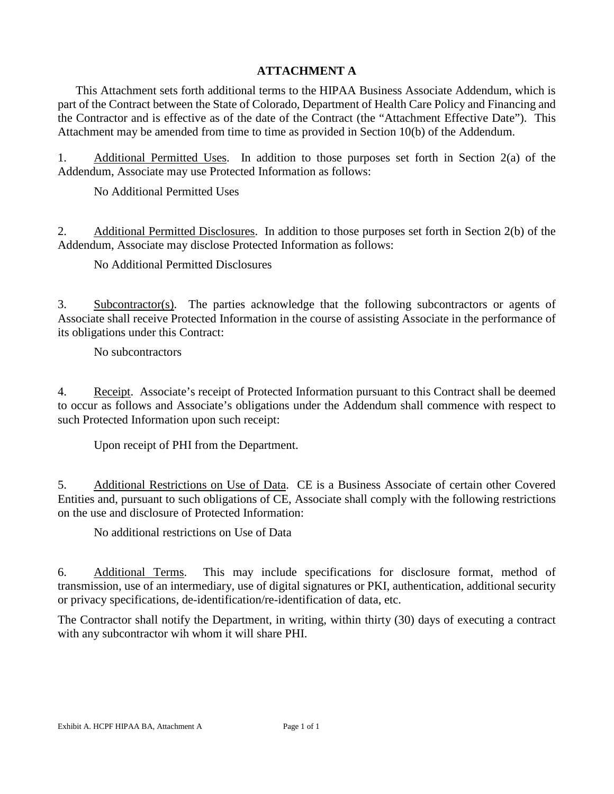## **ATTACHMENT A**

This Attachment sets forth additional terms to the HIPAA Business Associate Addendum, which is part of the Contract between the State of Colorado, Department of Health Care Policy and Financing and the Contractor and is effective as of the date of the Contract (the "Attachment Effective Date"). This Attachment may be amended from time to time as provided in Section 10(b) of the Addendum.

1. Additional Permitted Uses. In addition to those purposes set forth in Section 2(a) of the Addendum, Associate may use Protected Information as follows:

No Additional Permitted Uses

2. Additional Permitted Disclosures. In addition to those purposes set forth in Section 2(b) of the Addendum, Associate may disclose Protected Information as follows:

No Additional Permitted Disclosures

3. Subcontractor(s). The parties acknowledge that the following subcontractors or agents of Associate shall receive Protected Information in the course of assisting Associate in the performance of its obligations under this Contract:

No subcontractors

4. Receipt. Associate's receipt of Protected Information pursuant to this Contract shall be deemed to occur as follows and Associate's obligations under the Addendum shall commence with respect to such Protected Information upon such receipt:

Upon receipt of PHI from the Department.

5. Additional Restrictions on Use of Data. CE is a Business Associate of certain other Covered Entities and, pursuant to such obligations of CE, Associate shall comply with the following restrictions on the use and disclosure of Protected Information:

No additional restrictions on Use of Data

6. Additional Terms. This may include specifications for disclosure format, method of transmission, use of an intermediary, use of digital signatures or PKI, authentication, additional security or privacy specifications, de-identification/re-identification of data, etc.

The Contractor shall notify the Department, in writing, within thirty (30) days of executing a contract with any subcontractor wih whom it will share PHI.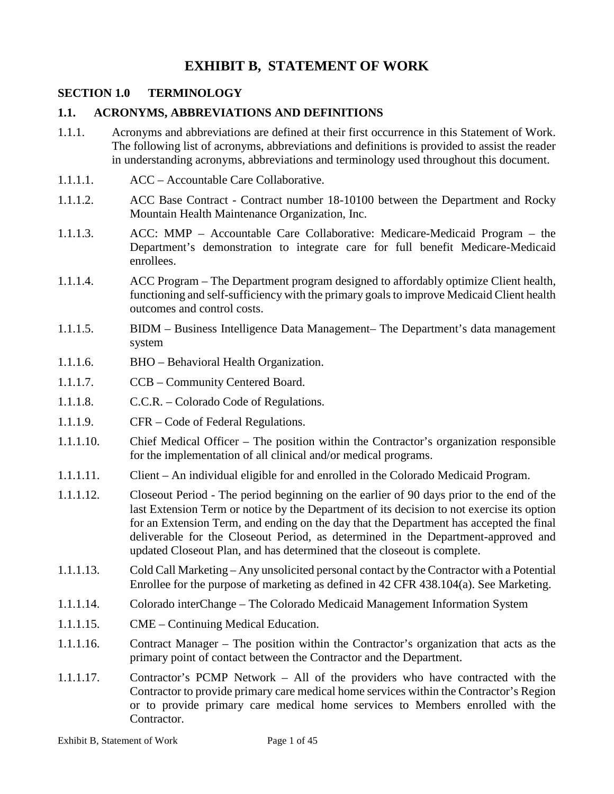# **EXHIBIT B, STATEMENT OF WORK**

### **SECTION 1.0 TERMINOLOGY**

#### **1.1. ACRONYMS, ABBREVIATIONS AND DEFINITIONS**

- 1.1.1. Acronyms and abbreviations are defined at their first occurrence in this Statement of Work. The following list of acronyms, abbreviations and definitions is provided to assist the reader in understanding acronyms, abbreviations and terminology used throughout this document.
- 1.1.1.1. ACC Accountable Care Collaborative.
- 1.1.1.2. ACC Base Contract Contract number 18-10100 between the Department and Rocky Mountain Health Maintenance Organization, Inc.
- 1.1.1.3. ACC: MMP Accountable Care Collaborative: Medicare-Medicaid Program the Department's demonstration to integrate care for full benefit Medicare-Medicaid enrollees.
- 1.1.1.4. ACC Program The Department program designed to affordably optimize Client health, functioning and self-sufficiency with the primary goals to improve Medicaid Client health outcomes and control costs.
- 1.1.1.5. BIDM Business Intelligence Data Management– The Department's data management system
- 1.1.1.6. BHO Behavioral Health Organization.
- 1.1.1.7. CCB Community Centered Board.
- 1.1.1.8. C.C.R. Colorado Code of Regulations.
- 1.1.1.9. CFR Code of Federal Regulations.
- 1.1.1.10. Chief Medical Officer The position within the Contractor's organization responsible for the implementation of all clinical and/or medical programs.
- 1.1.1.11. Client An individual eligible for and enrolled in the Colorado Medicaid Program.
- 1.1.1.12. Closeout Period The period beginning on the earlier of 90 days prior to the end of the last Extension Term or notice by the Department of its decision to not exercise its option for an Extension Term, and ending on the day that the Department has accepted the final deliverable for the Closeout Period, as determined in the Department-approved and updated Closeout Plan, and has determined that the closeout is complete.
- 1.1.1.13. Cold Call Marketing Any unsolicited personal contact by the Contractor with a Potential Enrollee for the purpose of marketing as defined in 42 CFR 438.104(a). See Marketing.
- 1.1.1.14. Colorado interChange The Colorado Medicaid Management Information System
- 1.1.1.15. CME Continuing Medical Education.
- 1.1.1.16. Contract Manager The position within the Contractor's organization that acts as the primary point of contact between the Contractor and the Department.
- 1.1.1.17. Contractor's PCMP Network All of the providers who have contracted with the Contractor to provide primary care medical home services within the Contractor's Region or to provide primary care medical home services to Members enrolled with the Contractor.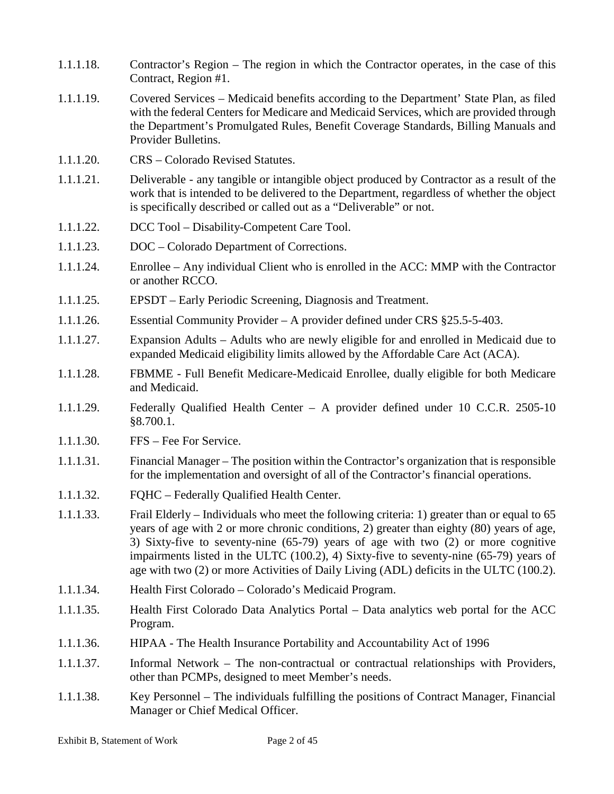- 1.1.1.18. Contractor's Region The region in which the Contractor operates, in the case of this Contract, Region #1.
- 1.1.1.19. Covered Services Medicaid benefits according to the Department' State Plan, as filed with the federal Centers for Medicare and Medicaid Services, which are provided through the Department's Promulgated Rules, Benefit Coverage Standards, Billing Manuals and Provider Bulletins.
- 1.1.1.20. CRS Colorado Revised Statutes.
- 1.1.1.21. Deliverable any tangible or intangible object produced by Contractor as a result of the work that is intended to be delivered to the Department, regardless of whether the object is specifically described or called out as a "Deliverable" or not.
- 1.1.1.22. DCC Tool Disability-Competent Care Tool.
- 1.1.1.23. DOC Colorado Department of Corrections.
- 1.1.1.24. Enrollee Any individual Client who is enrolled in the ACC: MMP with the Contractor or another RCCO.
- 1.1.1.25. EPSDT Early Periodic Screening, Diagnosis and Treatment.
- 1.1.1.26. Essential Community Provider A provider defined under CRS §25.5-5-403.
- 1.1.1.27. Expansion Adults Adults who are newly eligible for and enrolled in Medicaid due to expanded Medicaid eligibility limits allowed by the Affordable Care Act (ACA).
- 1.1.1.28. FBMME Full Benefit Medicare-Medicaid Enrollee, dually eligible for both Medicare and Medicaid.
- 1.1.1.29. Federally Qualified Health Center A provider defined under 10 C.C.R. 2505-10 §8.700.1.
- 1.1.1.30. FFS Fee For Service.
- 1.1.1.31. Financial Manager The position within the Contractor's organization that is responsible for the implementation and oversight of all of the Contractor's financial operations.
- 1.1.1.32. FQHC Federally Qualified Health Center.
- 1.1.1.33. Frail Elderly Individuals who meet the following criteria: 1) greater than or equal to 65 years of age with 2 or more chronic conditions, 2) greater than eighty (80) years of age, 3) Sixty-five to seventy-nine (65-79) years of age with two (2) or more cognitive impairments listed in the ULTC (100.2), 4) Sixty-five to seventy-nine (65-79) years of age with two (2) or more Activities of Daily Living (ADL) deficits in the ULTC (100.2).
- 1.1.1.34. Health First Colorado Colorado's Medicaid Program.
- 1.1.1.35. Health First Colorado Data Analytics Portal Data analytics web portal for the ACC Program.
- 1.1.1.36. HIPAA The Health Insurance Portability and Accountability Act of 1996
- 1.1.1.37. Informal Network The non-contractual or contractual relationships with Providers, other than PCMPs, designed to meet Member's needs.
- 1.1.1.38. Key Personnel The individuals fulfilling the positions of Contract Manager, Financial Manager or Chief Medical Officer.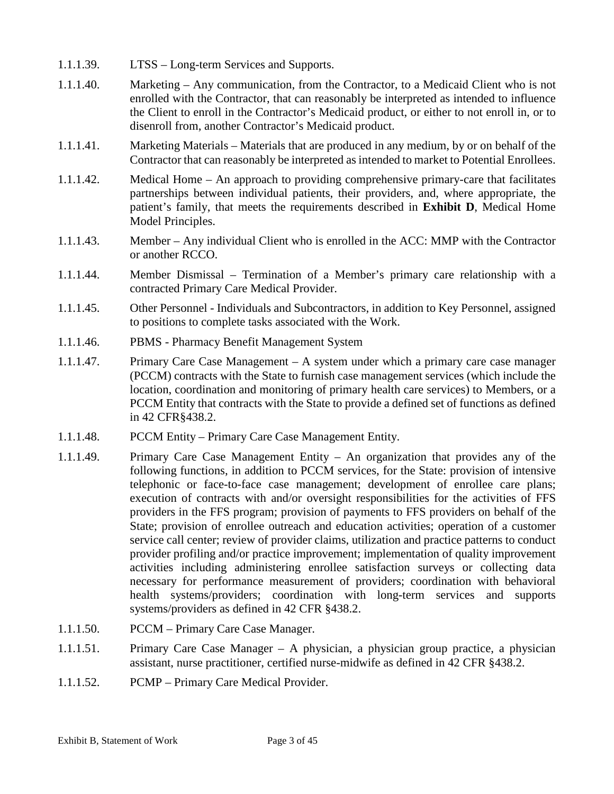- 1.1.1.39. LTSS Long-term Services and Supports.
- 1.1.1.40. Marketing Any communication, from the Contractor, to a Medicaid Client who is not enrolled with the Contractor, that can reasonably be interpreted as intended to influence the Client to enroll in the Contractor's Medicaid product, or either to not enroll in, or to disenroll from, another Contractor's Medicaid product.
- 1.1.1.41. Marketing Materials Materials that are produced in any medium, by or on behalf of the Contractor that can reasonably be interpreted as intended to market to Potential Enrollees.
- 1.1.1.42. Medical Home An approach to providing comprehensive primary-care that facilitates partnerships between individual patients, their providers, and, where appropriate, the patient's family, that meets the requirements described in **Exhibit D**, Medical Home Model Principles.
- 1.1.1.43. Member Any individual Client who is enrolled in the ACC: MMP with the Contractor or another RCCO.
- 1.1.1.44. Member Dismissal Termination of a Member's primary care relationship with a contracted Primary Care Medical Provider.
- 1.1.1.45. Other Personnel Individuals and Subcontractors, in addition to Key Personnel, assigned to positions to complete tasks associated with the Work.
- 1.1.1.46. PBMS Pharmacy Benefit Management System
- 1.1.1.47. Primary Care Case Management A system under which a primary care case manager (PCCM) contracts with the State to furnish case management services (which include the location, coordination and monitoring of primary health care services) to Members, or a PCCM Entity that contracts with the State to provide a defined set of functions as defined in 42 CFR§438.2.
- 1.1.1.48. PCCM Entity Primary Care Case Management Entity.
- 1.1.1.49. Primary Care Case Management Entity An organization that provides any of the following functions, in addition to PCCM services, for the State: provision of intensive telephonic or face-to-face case management; development of enrollee care plans; execution of contracts with and/or oversight responsibilities for the activities of FFS providers in the FFS program; provision of payments to FFS providers on behalf of the State; provision of enrollee outreach and education activities; operation of a customer service call center; review of provider claims, utilization and practice patterns to conduct provider profiling and/or practice improvement; implementation of quality improvement activities including administering enrollee satisfaction surveys or collecting data necessary for performance measurement of providers; coordination with behavioral health systems/providers; coordination with long-term services and supports systems/providers as defined in 42 CFR §438.2.
- 1.1.1.50. PCCM Primary Care Case Manager.
- 1.1.1.51. Primary Care Case Manager A physician, a physician group practice, a physician assistant, nurse practitioner, certified nurse-midwife as defined in 42 CFR §438.2.
- 1.1.1.52. PCMP Primary Care Medical Provider.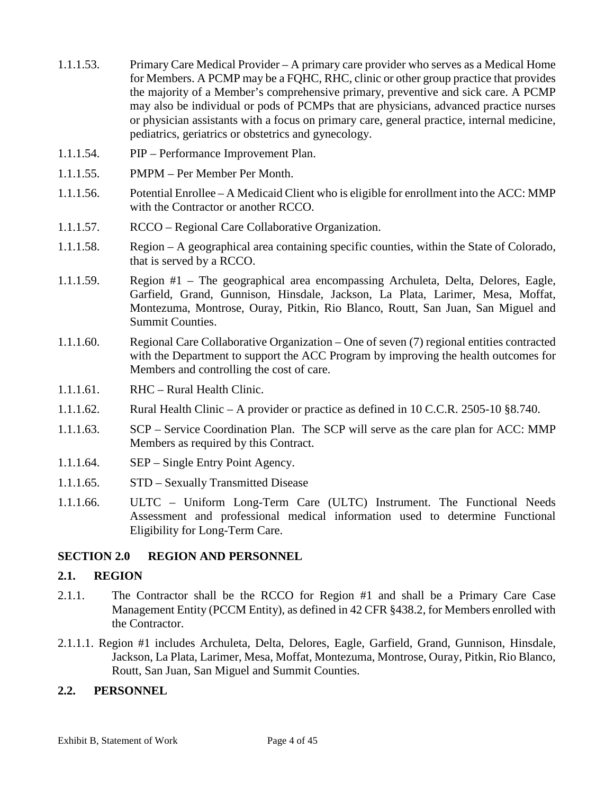- 1.1.1.53. Primary Care Medical Provider A primary care provider who serves as a Medical Home for Members. A PCMP may be a FQHC, RHC, clinic or other group practice that provides the majority of a Member's comprehensive primary, preventive and sick care. A PCMP may also be individual or pods of PCMPs that are physicians, advanced practice nurses or physician assistants with a focus on primary care, general practice, internal medicine, pediatrics, geriatrics or obstetrics and gynecology.
- 1.1.1.54. PIP Performance Improvement Plan.
- 1.1.1.55. PMPM Per Member Per Month.
- 1.1.1.56. Potential Enrollee A Medicaid Client who is eligible for enrollment into the ACC: MMP with the Contractor or another RCCO.
- 1.1.1.57. RCCO Regional Care Collaborative Organization.
- 1.1.1.58. Region A geographical area containing specific counties, within the State of Colorado, that is served by a RCCO.
- 1.1.1.59. Region #1 The geographical area encompassing Archuleta, Delta, Delores, Eagle, Garfield, Grand, Gunnison, Hinsdale, Jackson, La Plata, Larimer, Mesa, Moffat, Montezuma, Montrose, Ouray, Pitkin, Rio Blanco, Routt, San Juan, San Miguel and Summit Counties.
- 1.1.1.60. Regional Care Collaborative Organization One of seven (7) regional entities contracted with the Department to support the ACC Program by improving the health outcomes for Members and controlling the cost of care.
- 1.1.1.61. RHC Rural Health Clinic.
- 1.1.1.62. Rural Health Clinic A provider or practice as defined in 10 C.C.R. 2505-10 §8.740.
- 1.1.1.63. SCP Service Coordination Plan. The SCP will serve as the care plan for ACC: MMP Members as required by this Contract.
- 1.1.1.64. SEP Single Entry Point Agency.
- 1.1.1.65. STD Sexually Transmitted Disease
- 1.1.1.66. ULTC Uniform Long-Term Care (ULTC) Instrument. The Functional Needs Assessment and professional medical information used to determine Functional Eligibility for Long-Term Care.

#### **SECTION 2.0 REGION AND PERSONNEL**

### **2.1. REGION**

- 2.1.1. The Contractor shall be the RCCO for Region #1 and shall be a Primary Care Case Management Entity (PCCM Entity), as defined in 42 CFR §438.2, for Members enrolled with the Contractor.
- 2.1.1.1. Region #1 includes Archuleta, Delta, Delores, Eagle, Garfield, Grand, Gunnison, Hinsdale, Jackson, La Plata, Larimer, Mesa, Moffat, Montezuma, Montrose, Ouray, Pitkin, Rio Blanco, Routt, San Juan, San Miguel and Summit Counties.

#### **2.2. PERSONNEL**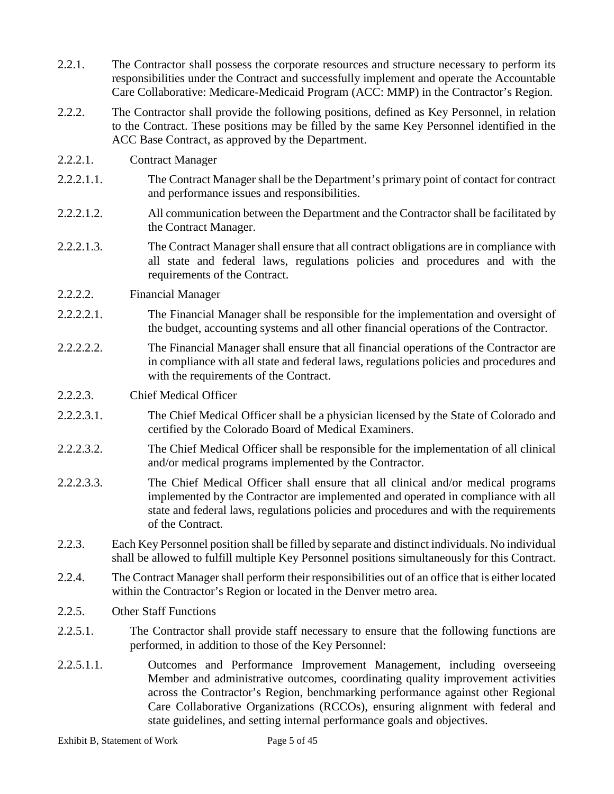- 2.2.1. The Contractor shall possess the corporate resources and structure necessary to perform its responsibilities under the Contract and successfully implement and operate the Accountable Care Collaborative: Medicare-Medicaid Program (ACC: MMP) in the Contractor's Region.
- 2.2.2. The Contractor shall provide the following positions, defined as Key Personnel, in relation to the Contract. These positions may be filled by the same Key Personnel identified in the ACC Base Contract, as approved by the Department.
- 2.2.2.1. Contract Manager
- 2.2.2.1.1. The Contract Manager shall be the Department's primary point of contact for contract and performance issues and responsibilities.
- 2.2.2.1.2. All communication between the Department and the Contractor shall be facilitated by the Contract Manager.
- 2.2.2.1.3. The Contract Manager shall ensure that all contract obligations are in compliance with all state and federal laws, regulations policies and procedures and with the requirements of the Contract.

#### 2.2.2.2. Financial Manager

- 2.2.2.2.1. The Financial Manager shall be responsible for the implementation and oversight of the budget, accounting systems and all other financial operations of the Contractor.
- 2.2.2.2.2. The Financial Manager shall ensure that all financial operations of the Contractor are in compliance with all state and federal laws, regulations policies and procedures and with the requirements of the Contract.

#### 2.2.2.3. Chief Medical Officer

- 2.2.2.3.1. The Chief Medical Officer shall be a physician licensed by the State of Colorado and certified by the Colorado Board of Medical Examiners.
- 2.2.2.3.2. The Chief Medical Officer shall be responsible for the implementation of all clinical and/or medical programs implemented by the Contractor.
- 2.2.2.3.3. The Chief Medical Officer shall ensure that all clinical and/or medical programs implemented by the Contractor are implemented and operated in compliance with all state and federal laws, regulations policies and procedures and with the requirements of the Contract.
- 2.2.3. Each Key Personnel position shall be filled by separate and distinct individuals. No individual shall be allowed to fulfill multiple Key Personnel positions simultaneously for this Contract.
- 2.2.4. The Contract Manager shall perform their responsibilities out of an office that is either located within the Contractor's Region or located in the Denver metro area.
- 2.2.5. Other Staff Functions
- 2.2.5.1. The Contractor shall provide staff necessary to ensure that the following functions are performed, in addition to those of the Key Personnel:
- 2.2.5.1.1. Outcomes and Performance Improvement Management, including overseeing Member and administrative outcomes, coordinating quality improvement activities across the Contractor's Region, benchmarking performance against other Regional Care Collaborative Organizations (RCCOs), ensuring alignment with federal and state guidelines, and setting internal performance goals and objectives.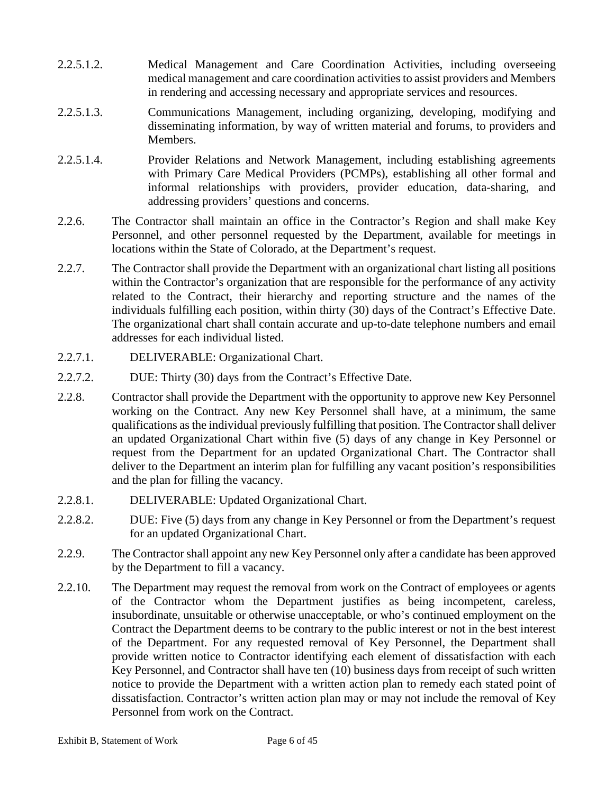- 2.2.5.1.2. Medical Management and Care Coordination Activities, including overseeing medical management and care coordination activitiesto assist providers and Members in rendering and accessing necessary and appropriate services and resources.
- 2.2.5.1.3. Communications Management, including organizing, developing, modifying and disseminating information, by way of written material and forums, to providers and Members.
- 2.2.5.1.4. Provider Relations and Network Management, including establishing agreements with Primary Care Medical Providers (PCMPs), establishing all other formal and informal relationships with providers, provider education, data-sharing, and addressing providers' questions and concerns.
- 2.2.6. The Contractor shall maintain an office in the Contractor's Region and shall make Key Personnel, and other personnel requested by the Department, available for meetings in locations within the State of Colorado, at the Department's request.
- 2.2.7. The Contractor shall provide the Department with an organizational chart listing all positions within the Contractor's organization that are responsible for the performance of any activity related to the Contract, their hierarchy and reporting structure and the names of the individuals fulfilling each position, within thirty (30) days of the Contract's Effective Date. The organizational chart shall contain accurate and up-to-date telephone numbers and email addresses for each individual listed.
- 2.2.7.1. DELIVERABLE: Organizational Chart.
- 2.2.7.2. DUE: Thirty (30) days from the Contract's Effective Date.
- 2.2.8. Contractor shall provide the Department with the opportunity to approve new Key Personnel working on the Contract. Any new Key Personnel shall have, at a minimum, the same qualifications as the individual previously fulfilling that position. The Contractor shall deliver an updated Organizational Chart within five (5) days of any change in Key Personnel or request from the Department for an updated Organizational Chart. The Contractor shall deliver to the Department an interim plan for fulfilling any vacant position's responsibilities and the plan for filling the vacancy.
- 2.2.8.1. DELIVERABLE: Updated Organizational Chart.
- 2.2.8.2. DUE: Five (5) days from any change in Key Personnel or from the Department's request for an updated Organizational Chart.
- 2.2.9. The Contractor shall appoint any new Key Personnel only after a candidate has been approved by the Department to fill a vacancy.
- 2.2.10. The Department may request the removal from work on the Contract of employees or agents of the Contractor whom the Department justifies as being incompetent, careless, insubordinate, unsuitable or otherwise unacceptable, or who's continued employment on the Contract the Department deems to be contrary to the public interest or not in the best interest of the Department. For any requested removal of Key Personnel, the Department shall provide written notice to Contractor identifying each element of dissatisfaction with each Key Personnel, and Contractor shall have ten (10) business days from receipt of such written notice to provide the Department with a written action plan to remedy each stated point of dissatisfaction. Contractor's written action plan may or may not include the removal of Key Personnel from work on the Contract.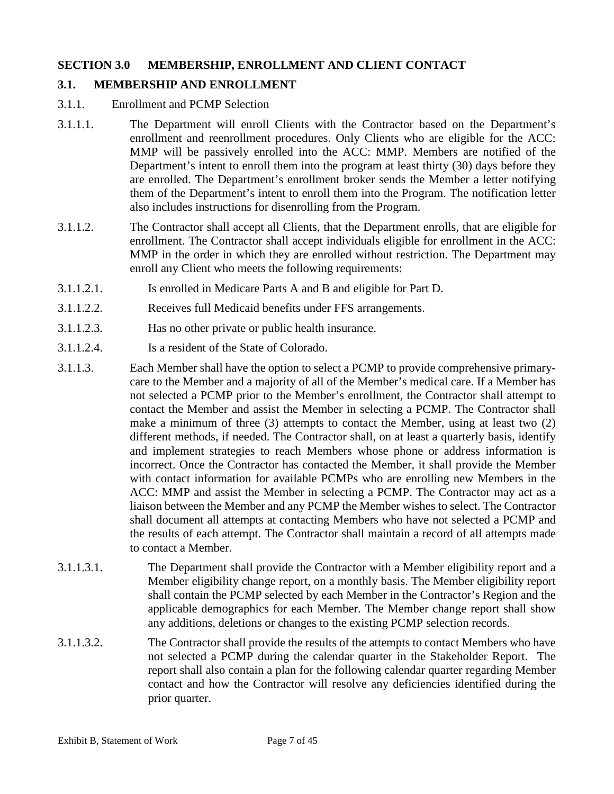#### **SECTION 3.0 MEMBERSHIP, ENROLLMENT AND CLIENT CONTACT**

### **3.1. MEMBERSHIP AND ENROLLMENT**

#### 3.1.1. Enrollment and PCMP Selection

- 3.1.1.1. The Department will enroll Clients with the Contractor based on the Department's enrollment and reenrollment procedures. Only Clients who are eligible for the ACC: MMP will be passively enrolled into the ACC: MMP. Members are notified of the Department's intent to enroll them into the program at least thirty (30) days before they are enrolled. The Department's enrollment broker sends the Member a letter notifying them of the Department's intent to enroll them into the Program. The notification letter also includes instructions for disenrolling from the Program.
- 3.1.1.2. The Contractor shall accept all Clients, that the Department enrolls, that are eligible for enrollment. The Contractor shall accept individuals eligible for enrollment in the ACC: MMP in the order in which they are enrolled without restriction. The Department may enroll any Client who meets the following requirements:
- 3.1.1.2.1. Is enrolled in Medicare Parts A and B and eligible for Part D.
- 3.1.1.2.2. Receives full Medicaid benefits under FFS arrangements.
- 3.1.1.2.3. Has no other private or public health insurance.
- 3.1.1.2.4. Is a resident of the State of Colorado.
- 3.1.1.3. Each Member shall have the option to select a PCMP to provide comprehensive primarycare to the Member and a majority of all of the Member's medical care. If a Member has not selected a PCMP prior to the Member's enrollment, the Contractor shall attempt to contact the Member and assist the Member in selecting a PCMP. The Contractor shall make a minimum of three  $(3)$  attempts to contact the Member, using at least two  $(2)$ different methods, if needed. The Contractor shall, on at least a quarterly basis, identify and implement strategies to reach Members whose phone or address information is incorrect. Once the Contractor has contacted the Member, it shall provide the Member with contact information for available PCMPs who are enrolling new Members in the ACC: MMP and assist the Member in selecting a PCMP. The Contractor may act as a liaison between the Member and any PCMP the Member wishes to select. The Contractor shall document all attempts at contacting Members who have not selected a PCMP and the results of each attempt. The Contractor shall maintain a record of all attempts made to contact a Member.
- 3.1.1.3.1. The Department shall provide the Contractor with a Member eligibility report and a Member eligibility change report, on a monthly basis. The Member eligibility report shall contain the PCMP selected by each Member in the Contractor's Region and the applicable demographics for each Member. The Member change report shall show any additions, deletions or changes to the existing PCMP selection records.
- 3.1.1.3.2. The Contractor shall provide the results of the attempts to contact Members who have not selected a PCMP during the calendar quarter in the Stakeholder Report. The report shall also contain a plan for the following calendar quarter regarding Member contact and how the Contractor will resolve any deficiencies identified during the prior quarter.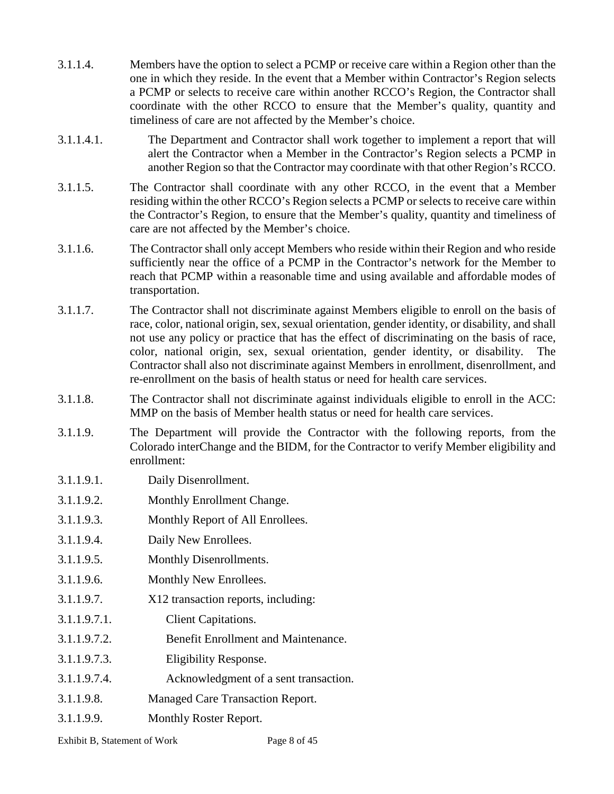- 3.1.1.4. Members have the option to select a PCMP or receive care within a Region other than the one in which they reside. In the event that a Member within Contractor's Region selects a PCMP or selects to receive care within another RCCO's Region, the Contractor shall coordinate with the other RCCO to ensure that the Member's quality, quantity and timeliness of care are not affected by the Member's choice.
- 3.1.1.4.1. The Department and Contractor shall work together to implement a report that will alert the Contractor when a Member in the Contractor's Region selects a PCMP in another Region so that the Contractor may coordinate with that other Region's RCCO.
- 3.1.1.5. The Contractor shall coordinate with any other RCCO, in the event that a Member residing within the other RCCO's Region selects a PCMP or selects to receive care within the Contractor's Region, to ensure that the Member's quality, quantity and timeliness of care are not affected by the Member's choice.
- 3.1.1.6. The Contractor shall only accept Members who reside within their Region and who reside sufficiently near the office of a PCMP in the Contractor's network for the Member to reach that PCMP within a reasonable time and using available and affordable modes of transportation.
- 3.1.1.7. The Contractor shall not discriminate against Members eligible to enroll on the basis of race, color, national origin, sex, sexual orientation, gender identity, or disability, and shall not use any policy or practice that has the effect of discriminating on the basis of race, color, national origin, sex, sexual orientation, gender identity, or disability. The Contractor shall also not discriminate against Members in enrollment, disenrollment, and re-enrollment on the basis of health status or need for health care services.
- 3.1.1.8. The Contractor shall not discriminate against individuals eligible to enroll in the ACC: MMP on the basis of Member health status or need for health care services.
- 3.1.1.9. The Department will provide the Contractor with the following reports, from the Colorado interChange and the BIDM, for the Contractor to verify Member eligibility and enrollment:
- 3.1.1.9.1. Daily Disenrollment.
- 3.1.1.9.2. Monthly Enrollment Change.
- 3.1.1.9.3. Monthly Report of All Enrollees.
- 3.1.1.9.4. Daily New Enrollees.
- 3.1.1.9.5. Monthly Disenrollments.
- 3.1.1.9.6. Monthly New Enrollees.
- 3.1.1.9.7. X12 transaction reports, including:
- 3.1.1.9.7.1. Client Capitations.
- 3.1.1.9.7.2. Benefit Enrollment and Maintenance.
- 3.1.1.9.7.3. Eligibility Response.
- 3.1.1.9.7.4. Acknowledgment of a sent transaction.
- 3.1.1.9.8. Managed Care Transaction Report.
- 3.1.1.9.9. Monthly Roster Report.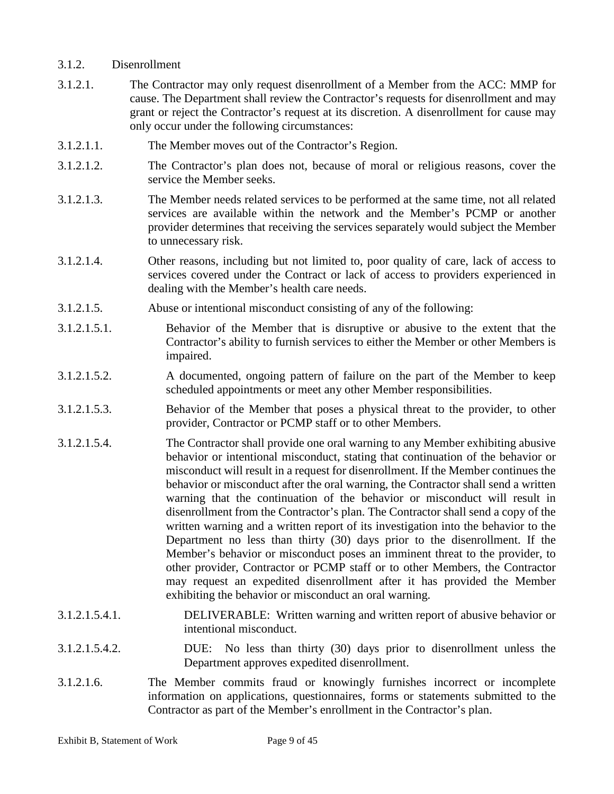- 3.1.2. Disenrollment
- 3.1.2.1. The Contractor may only request disenrollment of a Member from the ACC: MMP for cause. The Department shall review the Contractor's requests for disenrollment and may grant or reject the Contractor's request at its discretion. A disenrollment for cause may only occur under the following circumstances:
- 3.1.2.1.1. The Member moves out of the Contractor's Region.
- 3.1.2.1.2. The Contractor's plan does not, because of moral or religious reasons, cover the service the Member seeks.
- 3.1.2.1.3. The Member needs related services to be performed at the same time, not all related services are available within the network and the Member's PCMP or another provider determines that receiving the services separately would subject the Member to unnecessary risk.
- 3.1.2.1.4. Other reasons, including but not limited to, poor quality of care, lack of access to services covered under the Contract or lack of access to providers experienced in dealing with the Member's health care needs.
- 3.1.2.1.5. Abuse or intentional misconduct consisting of any of the following:
- 3.1.2.1.5.1. Behavior of the Member that is disruptive or abusive to the extent that the Contractor's ability to furnish services to either the Member or other Members is impaired.
- 3.1.2.1.5.2. A documented, ongoing pattern of failure on the part of the Member to keep scheduled appointments or meet any other Member responsibilities.
- 3.1.2.1.5.3. Behavior of the Member that poses a physical threat to the provider, to other provider, Contractor or PCMP staff or to other Members.
- 3.1.2.1.5.4. The Contractor shall provide one oral warning to any Member exhibiting abusive behavior or intentional misconduct, stating that continuation of the behavior or misconduct will result in a request for disenrollment. If the Member continues the behavior or misconduct after the oral warning, the Contractor shall send a written warning that the continuation of the behavior or misconduct will result in disenrollment from the Contractor's plan. The Contractor shall send a copy of the written warning and a written report of its investigation into the behavior to the Department no less than thirty (30) days prior to the disenrollment. If the Member's behavior or misconduct poses an imminent threat to the provider, to other provider, Contractor or PCMP staff or to other Members, the Contractor may request an expedited disenrollment after it has provided the Member exhibiting the behavior or misconduct an oral warning.
- 3.1.2.1.5.4.1. DELIVERABLE: Written warning and written report of abusive behavior or intentional misconduct.
- 3.1.2.1.5.4.2. DUE: No less than thirty (30) days prior to disenrollment unless the Department approves expedited disenrollment.
- 3.1.2.1.6. The Member commits fraud or knowingly furnishes incorrect or incomplete information on applications, questionnaires, forms or statements submitted to the Contractor as part of the Member's enrollment in the Contractor's plan.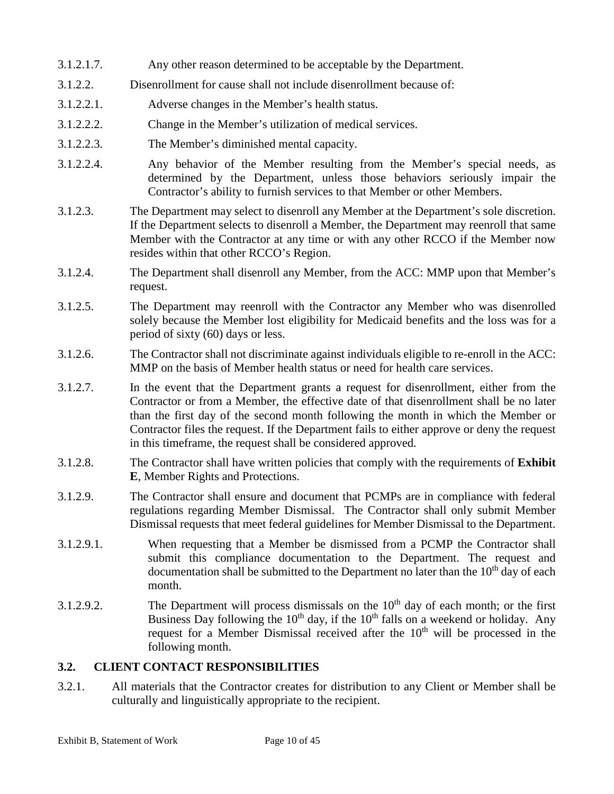- 3.1.2.1.7. Any other reason determined to be acceptable by the Department.
- 3.1.2.2. Disenrollment for cause shall not include disenrollment because of:
- 3.1.2.2.1. Adverse changes in the Member's health status.
- 3.1.2.2.2. Change in the Member's utilization of medical services.
- 3.1.2.2.3. The Member's diminished mental capacity.
- 3.1.2.2.4. Any behavior of the Member resulting from the Member's special needs, as determined by the Department, unless those behaviors seriously impair the Contractor's ability to furnish services to that Member or other Members.
- 3.1.2.3. The Department may select to disenroll any Member at the Department's sole discretion. If the Department selects to disenroll a Member, the Department may reenroll that same Member with the Contractor at any time or with any other RCCO if the Member now resides within that other RCCO's Region.
- 3.1.2.4. The Department shall disenroll any Member, from the ACC: MMP upon that Member's request.
- 3.1.2.5. The Department may reenroll with the Contractor any Member who was disenrolled solely because the Member lost eligibility for Medicaid benefits and the loss was for a period of sixty (60) days or less.
- 3.1.2.6. The Contractor shall not discriminate against individuals eligible to re-enroll in the ACC: MMP on the basis of Member health status or need for health care services.
- 3.1.2.7. In the event that the Department grants a request for disenrollment, either from the Contractor or from a Member, the effective date of that disenrollment shall be no later than the first day of the second month following the month in which the Member or Contractor files the request. If the Department fails to either approve or deny the request in this timeframe, the request shall be considered approved.
- 3.1.2.8. The Contractor shall have written policies that comply with the requirements of **Exhibit E**, Member Rights and Protections.
- 3.1.2.9. The Contractor shall ensure and document that PCMPs are in compliance with federal regulations regarding Member Dismissal. The Contractor shall only submit Member Dismissal requests that meet federal guidelines for Member Dismissal to the Department.
- 3.1.2.9.1. When requesting that a Member be dismissed from a PCMP the Contractor shall submit this compliance documentation to the Department. The request and documentation shall be submitted to the Department no later than the  $10<sup>th</sup>$  day of each month.
- 3.1.2.9.2. The Department will process dismissals on the  $10<sup>th</sup>$  day of each month; or the first Business Day following the  $10<sup>th</sup>$  day, if the  $10<sup>th</sup>$  falls on a weekend or holiday. Any request for a Member Dismissal received after the  $10<sup>th</sup>$  will be processed in the following month.

### **3.2. CLIENT CONTACT RESPONSIBILITIES**

3.2.1. All materials that the Contractor creates for distribution to any Client or Member shall be culturally and linguistically appropriate to the recipient.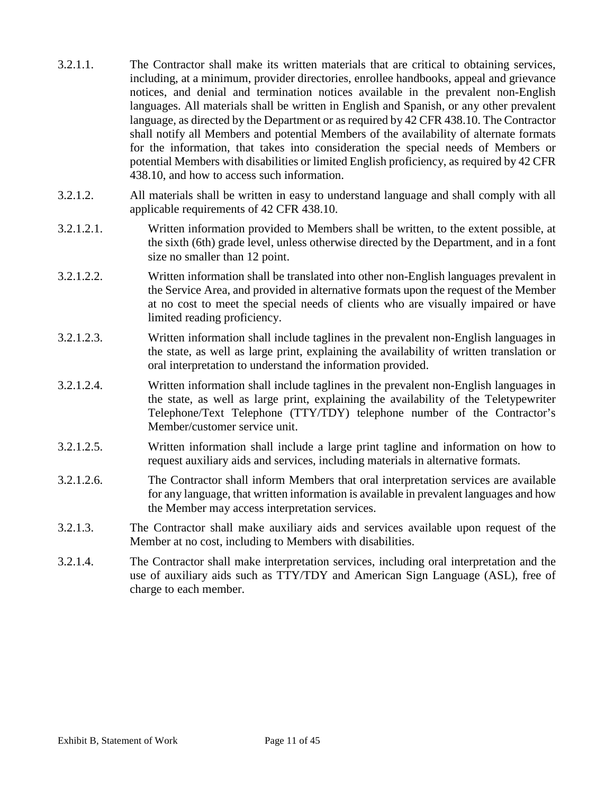- 3.2.1.1. The Contractor shall make its written materials that are critical to obtaining services, including, at a minimum, provider directories, enrollee handbooks, appeal and grievance notices, and denial and termination notices available in the prevalent non-English languages. All materials shall be written in English and Spanish, or any other prevalent language, as directed by the Department or as required by 42 CFR 438.10. The Contractor shall notify all Members and potential Members of the availability of alternate formats for the information, that takes into consideration the special needs of Members or potential Members with disabilities or limited English proficiency, as required by 42 CFR 438.10, and how to access such information.
- 3.2.1.2. All materials shall be written in easy to understand language and shall comply with all applicable requirements of 42 CFR 438.10.
- 3.2.1.2.1. Written information provided to Members shall be written, to the extent possible, at the sixth (6th) grade level, unless otherwise directed by the Department, and in a font size no smaller than 12 point.
- 3.2.1.2.2. Written information shall be translated into other non-English languages prevalent in the Service Area, and provided in alternative formats upon the request of the Member at no cost to meet the special needs of clients who are visually impaired or have limited reading proficiency.
- 3.2.1.2.3. Written information shall include taglines in the prevalent non-English languages in the state, as well as large print, explaining the availability of written translation or oral interpretation to understand the information provided.
- 3.2.1.2.4. Written information shall include taglines in the prevalent non-English languages in the state, as well as large print, explaining the availability of the Teletypewriter Telephone/Text Telephone (TTY/TDY) telephone number of the Contractor's Member/customer service unit.
- 3.2.1.2.5. Written information shall include a large print tagline and information on how to request auxiliary aids and services, including materials in alternative formats.
- 3.2.1.2.6. The Contractor shall inform Members that oral interpretation services are available for any language, that written information is available in prevalent languages and how the Member may access interpretation services.
- 3.2.1.3. The Contractor shall make auxiliary aids and services available upon request of the Member at no cost, including to Members with disabilities.
- 3.2.1.4. The Contractor shall make interpretation services, including oral interpretation and the use of auxiliary aids such as TTY/TDY and American Sign Language (ASL), free of charge to each member.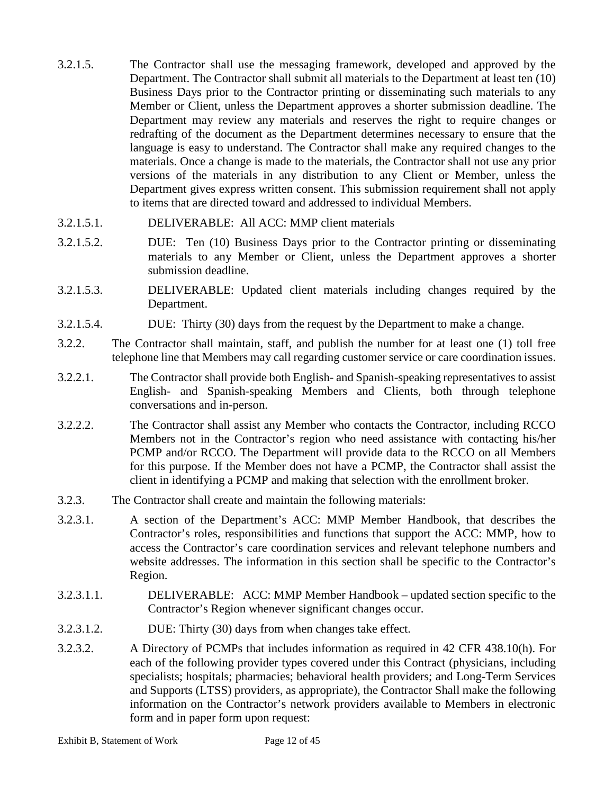- 3.2.1.5. The Contractor shall use the messaging framework, developed and approved by the Department. The Contractor shall submit all materials to the Department at least ten (10) Business Days prior to the Contractor printing or disseminating such materials to any Member or Client, unless the Department approves a shorter submission deadline. The Department may review any materials and reserves the right to require changes or redrafting of the document as the Department determines necessary to ensure that the language is easy to understand. The Contractor shall make any required changes to the materials. Once a change is made to the materials, the Contractor shall not use any prior versions of the materials in any distribution to any Client or Member, unless the Department gives express written consent. This submission requirement shall not apply to items that are directed toward and addressed to individual Members.
- 3.2.1.5.1. DELIVERABLE: All ACC: MMP client materials
- 3.2.1.5.2. DUE: Ten (10) Business Days prior to the Contractor printing or disseminating materials to any Member or Client, unless the Department approves a shorter submission deadline.
- 3.2.1.5.3. DELIVERABLE: Updated client materials including changes required by the Department.
- 3.2.1.5.4. DUE: Thirty (30) days from the request by the Department to make a change.
- 3.2.2. The Contractor shall maintain, staff, and publish the number for at least one (1) toll free telephone line that Members may call regarding customer service or care coordination issues.
- 3.2.2.1. The Contractor shall provide both English- and Spanish-speaking representatives to assist English- and Spanish-speaking Members and Clients, both through telephone conversations and in-person.
- 3.2.2.2. The Contractor shall assist any Member who contacts the Contractor, including RCCO Members not in the Contractor's region who need assistance with contacting his/her PCMP and/or RCCO. The Department will provide data to the RCCO on all Members for this purpose. If the Member does not have a PCMP, the Contractor shall assist the client in identifying a PCMP and making that selection with the enrollment broker.
- 3.2.3. The Contractor shall create and maintain the following materials:
- 3.2.3.1. A section of the Department's ACC: MMP Member Handbook, that describes the Contractor's roles, responsibilities and functions that support the ACC: MMP, how to access the Contractor's care coordination services and relevant telephone numbers and website addresses. The information in this section shall be specific to the Contractor's Region.
- 3.2.3.1.1. DELIVERABLE: ACC: MMP Member Handbook updated section specific to the Contractor's Region whenever significant changes occur.
- 3.2.3.1.2. DUE: Thirty (30) days from when changes take effect.
- 3.2.3.2. A Directory of PCMPs that includes information as required in 42 CFR 438.10(h). For each of the following provider types covered under this Contract (physicians, including specialists; hospitals; pharmacies; behavioral health providers; and Long-Term Services and Supports (LTSS) providers, as appropriate), the Contractor Shall make the following information on the Contractor's network providers available to Members in electronic form and in paper form upon request: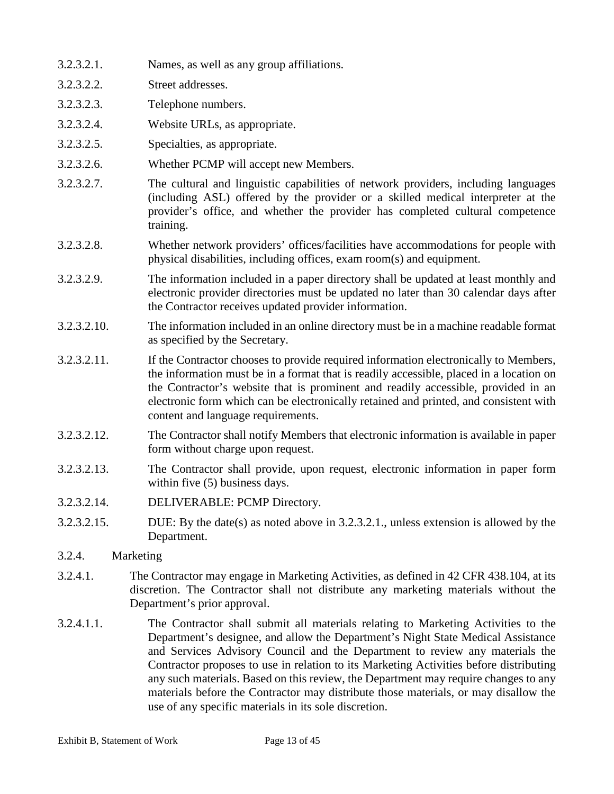- 3.2.3.2.1. Names, as well as any group affiliations.
- 3.2.3.2.2. Street addresses.
- 3.2.3.2.3. Telephone numbers.
- 3.2.3.2.4. Website URLs, as appropriate.
- 3.2.3.2.5. Specialties, as appropriate.
- 3.2.3.2.6. Whether PCMP will accept new Members.
- 3.2.3.2.7. The cultural and linguistic capabilities of network providers, including languages (including ASL) offered by the provider or a skilled medical interpreter at the provider's office, and whether the provider has completed cultural competence training.
- 3.2.3.2.8. Whether network providers' offices/facilities have accommodations for people with physical disabilities, including offices, exam room(s) and equipment.
- 3.2.3.2.9. The information included in a paper directory shall be updated at least monthly and electronic provider directories must be updated no later than 30 calendar days after the Contractor receives updated provider information.
- 3.2.3.2.10. The information included in an online directory must be in a machine readable format as specified by the Secretary.
- 3.2.3.2.11. If the Contractor chooses to provide required information electronically to Members, the information must be in a format that is readily accessible, placed in a location on the Contractor's website that is prominent and readily accessible, provided in an electronic form which can be electronically retained and printed, and consistent with content and language requirements.
- 3.2.3.2.12. The Contractor shall notify Members that electronic information is available in paper form without charge upon request.
- 3.2.3.2.13. The Contractor shall provide, upon request, electronic information in paper form within five (5) business days.
- 3.2.3.2.14. DELIVERABLE: PCMP Directory.
- 3.2.3.2.15. DUE: By the date(s) as noted above in 3.2.3.2.1., unless extension is allowed by the Department.

#### 3.2.4. Marketing

- 3.2.4.1. The Contractor may engage in Marketing Activities, as defined in 42 CFR 438.104, at its discretion. The Contractor shall not distribute any marketing materials without the Department's prior approval.
- 3.2.4.1.1. The Contractor shall submit all materials relating to Marketing Activities to the Department's designee, and allow the Department's Night State Medical Assistance and Services Advisory Council and the Department to review any materials the Contractor proposes to use in relation to its Marketing Activities before distributing any such materials. Based on this review, the Department may require changes to any materials before the Contractor may distribute those materials, or may disallow the use of any specific materials in its sole discretion.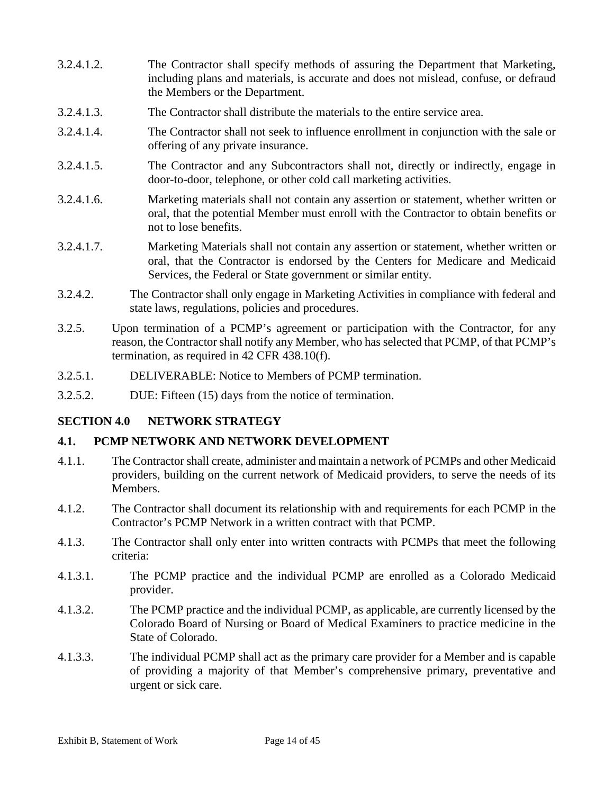- 3.2.4.1.2. The Contractor shall specify methods of assuring the Department that Marketing, including plans and materials, is accurate and does not mislead, confuse, or defraud the Members or the Department.
- 3.2.4.1.3. The Contractor shall distribute the materials to the entire service area.
- 3.2.4.1.4. The Contractor shall not seek to influence enrollment in conjunction with the sale or offering of any private insurance.
- 3.2.4.1.5. The Contractor and any Subcontractors shall not, directly or indirectly, engage in door-to-door, telephone, or other cold call marketing activities.
- 3.2.4.1.6. Marketing materials shall not contain any assertion or statement, whether written or oral, that the potential Member must enroll with the Contractor to obtain benefits or not to lose benefits.
- 3.2.4.1.7. Marketing Materials shall not contain any assertion or statement, whether written or oral, that the Contractor is endorsed by the Centers for Medicare and Medicaid Services, the Federal or State government or similar entity.
- 3.2.4.2. The Contractor shall only engage in Marketing Activities in compliance with federal and state laws, regulations, policies and procedures.
- 3.2.5. Upon termination of a PCMP's agreement or participation with the Contractor, for any reason, the Contractor shall notify any Member, who has selected that PCMP, of that PCMP's termination, as required in 42 CFR 438.10(f).
- 3.2.5.1. DELIVERABLE: Notice to Members of PCMP termination.
- 3.2.5.2. DUE: Fifteen (15) days from the notice of termination.

#### **SECTION 4.0 NETWORK STRATEGY**

#### **4.1. PCMP NETWORK AND NETWORK DEVELOPMENT**

- 4.1.1. The Contractor shall create, administer and maintain a network of PCMPs and other Medicaid providers, building on the current network of Medicaid providers, to serve the needs of its Members.
- 4.1.2. The Contractor shall document its relationship with and requirements for each PCMP in the Contractor's PCMP Network in a written contract with that PCMP.
- 4.1.3. The Contractor shall only enter into written contracts with PCMPs that meet the following criteria:
- 4.1.3.1. The PCMP practice and the individual PCMP are enrolled as a Colorado Medicaid provider.
- 4.1.3.2. The PCMP practice and the individual PCMP, as applicable, are currently licensed by the Colorado Board of Nursing or Board of Medical Examiners to practice medicine in the State of Colorado.
- 4.1.3.3. The individual PCMP shall act as the primary care provider for a Member and is capable of providing a majority of that Member's comprehensive primary, preventative and urgent or sick care.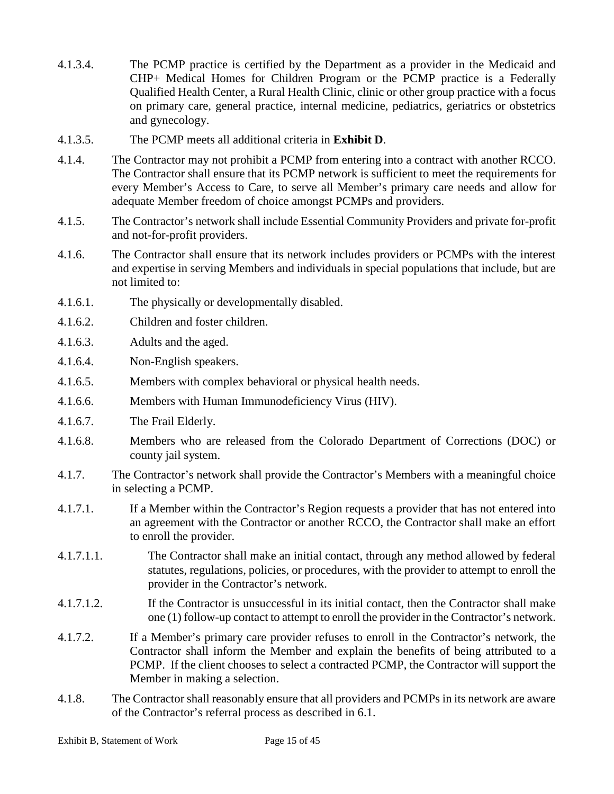- 4.1.3.4. The PCMP practice is certified by the Department as a provider in the Medicaid and CHP+ Medical Homes for Children Program or the PCMP practice is a Federally Qualified Health Center, a Rural Health Clinic, clinic or other group practice with a focus on primary care, general practice, internal medicine, pediatrics, geriatrics or obstetrics and gynecology.
- 4.1.3.5. The PCMP meets all additional criteria in **Exhibit D**.
- 4.1.4. The Contractor may not prohibit a PCMP from entering into a contract with another RCCO. The Contractor shall ensure that its PCMP network is sufficient to meet the requirements for every Member's Access to Care, to serve all Member's primary care needs and allow for adequate Member freedom of choice amongst PCMPs and providers.
- 4.1.5. The Contractor's network shall include Essential Community Providers and private for-profit and not-for-profit providers.
- 4.1.6. The Contractor shall ensure that its network includes providers or PCMPs with the interest and expertise in serving Members and individuals in special populations that include, but are not limited to:
- 4.1.6.1. The physically or developmentally disabled.
- 4.1.6.2. Children and foster children.
- 4.1.6.3. Adults and the aged.
- 4.1.6.4. Non-English speakers.
- 4.1.6.5. Members with complex behavioral or physical health needs.
- 4.1.6.6. Members with Human Immunodeficiency Virus (HIV).
- 4.1.6.7. The Frail Elderly.
- 4.1.6.8. Members who are released from the Colorado Department of Corrections (DOC) or county jail system.
- 4.1.7. The Contractor's network shall provide the Contractor's Members with a meaningful choice in selecting a PCMP.
- 4.1.7.1. If a Member within the Contractor's Region requests a provider that has not entered into an agreement with the Contractor or another RCCO, the Contractor shall make an effort to enroll the provider.
- 4.1.7.1.1. The Contractor shall make an initial contact, through any method allowed by federal statutes, regulations, policies, or procedures, with the provider to attempt to enroll the provider in the Contractor's network.
- 4.1.7.1.2. If the Contractor is unsuccessful in its initial contact, then the Contractor shall make one (1) follow-up contact to attempt to enroll the provider in the Contractor's network.
- 4.1.7.2. If a Member's primary care provider refuses to enroll in the Contractor's network, the Contractor shall inform the Member and explain the benefits of being attributed to a PCMP. If the client chooses to select a contracted PCMP, the Contractor will support the Member in making a selection.
- 4.1.8. The Contractor shall reasonably ensure that all providers and PCMPs in its network are aware of the Contractor's referral process as described in 6.1.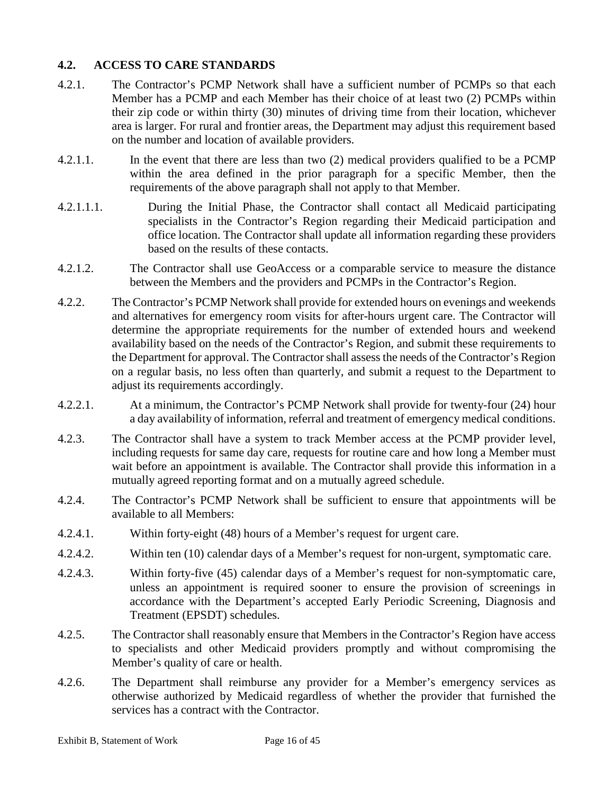### **4.2. ACCESS TO CARE STANDARDS**

- 4.2.1. The Contractor's PCMP Network shall have a sufficient number of PCMPs so that each Member has a PCMP and each Member has their choice of at least two (2) PCMPs within their zip code or within thirty (30) minutes of driving time from their location, whichever area is larger. For rural and frontier areas, the Department may adjust this requirement based on the number and location of available providers.
- 4.2.1.1. In the event that there are less than two (2) medical providers qualified to be a PCMP within the area defined in the prior paragraph for a specific Member, then the requirements of the above paragraph shall not apply to that Member.
- 4.2.1.1.1. During the Initial Phase, the Contractor shall contact all Medicaid participating specialists in the Contractor's Region regarding their Medicaid participation and office location. The Contractor shall update all information regarding these providers based on the results of these contacts.
- 4.2.1.2. The Contractor shall use GeoAccess or a comparable service to measure the distance between the Members and the providers and PCMPs in the Contractor's Region.
- 4.2.2. The Contractor's PCMP Network shall provide for extended hours on evenings and weekends and alternatives for emergency room visits for after-hours urgent care. The Contractor will determine the appropriate requirements for the number of extended hours and weekend availability based on the needs of the Contractor's Region, and submit these requirements to the Department for approval. The Contractor shall assess the needs of the Contractor's Region on a regular basis, no less often than quarterly, and submit a request to the Department to adjust its requirements accordingly.
- 4.2.2.1. At a minimum, the Contractor's PCMP Network shall provide for twenty-four (24) hour a day availability of information, referral and treatment of emergency medical conditions.
- 4.2.3. The Contractor shall have a system to track Member access at the PCMP provider level, including requests for same day care, requests for routine care and how long a Member must wait before an appointment is available. The Contractor shall provide this information in a mutually agreed reporting format and on a mutually agreed schedule.
- 4.2.4. The Contractor's PCMP Network shall be sufficient to ensure that appointments will be available to all Members:
- 4.2.4.1. Within forty-eight (48) hours of a Member's request for urgent care.
- 4.2.4.2. Within ten (10) calendar days of a Member's request for non-urgent, symptomatic care.
- 4.2.4.3. Within forty-five (45) calendar days of a Member's request for non-symptomatic care, unless an appointment is required sooner to ensure the provision of screenings in accordance with the Department's accepted Early Periodic Screening, Diagnosis and Treatment (EPSDT) schedules.
- 4.2.5. The Contractor shall reasonably ensure that Members in the Contractor's Region have access to specialists and other Medicaid providers promptly and without compromising the Member's quality of care or health.
- 4.2.6. The Department shall reimburse any provider for a Member's emergency services as otherwise authorized by Medicaid regardless of whether the provider that furnished the services has a contract with the Contractor.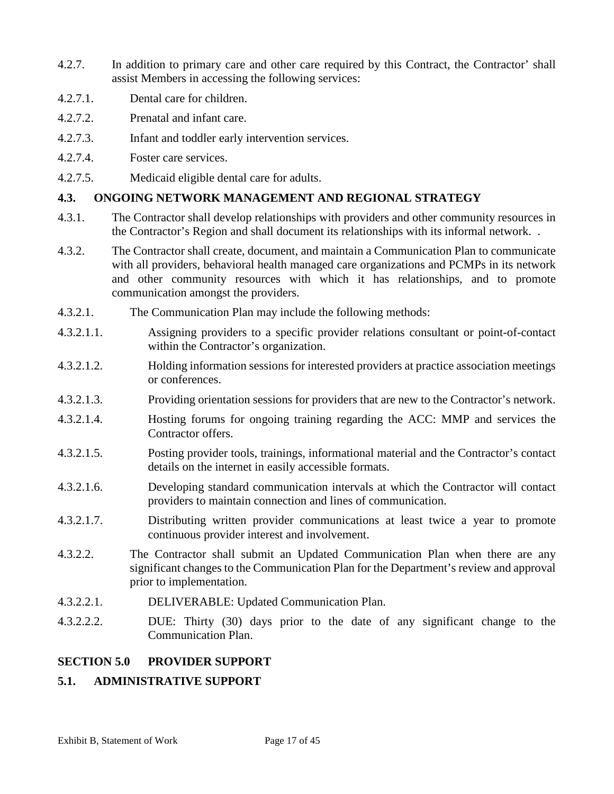- 4.2.7. In addition to primary care and other care required by this Contract, the Contractor' shall assist Members in accessing the following services:
- 4.2.7.1. Dental care for children.
- 4.2.7.2. Prenatal and infant care.
- 4.2.7.3. Infant and toddler early intervention services.
- 4.2.7.4. Foster care services.
- 4.2.7.5. Medicaid eligible dental care for adults.

### **4.3. ONGOING NETWORK MANAGEMENT AND REGIONAL STRATEGY**

- 4.3.1. The Contractor shall develop relationships with providers and other community resources in the Contractor's Region and shall document its relationships with its informal network. .
- 4.3.2. The Contractor shall create, document, and maintain a Communication Plan to communicate with all providers, behavioral health managed care organizations and PCMPs in its network and other community resources with which it has relationships, and to promote communication amongst the providers.
- 4.3.2.1. The Communication Plan may include the following methods:
- 4.3.2.1.1. Assigning providers to a specific provider relations consultant or point-of-contact within the Contractor's organization.
- 4.3.2.1.2. Holding information sessions for interested providers at practice association meetings or conferences.
- 4.3.2.1.3. Providing orientation sessions for providers that are new to the Contractor's network.
- 4.3.2.1.4. Hosting forums for ongoing training regarding the ACC: MMP and services the Contractor offers.
- 4.3.2.1.5. Posting provider tools, trainings, informational material and the Contractor's contact details on the internet in easily accessible formats.
- 4.3.2.1.6. Developing standard communication intervals at which the Contractor will contact providers to maintain connection and lines of communication.
- 4.3.2.1.7. Distributing written provider communications at least twice a year to promote continuous provider interest and involvement.
- 4.3.2.2. The Contractor shall submit an Updated Communication Plan when there are any significant changes to the Communication Plan for the Department's review and approval prior to implementation.
- 4.3.2.2.1. DELIVERABLE: Updated Communication Plan.
- 4.3.2.2.2. DUE: Thirty (30) days prior to the date of any significant change to the Communication Plan.

#### **SECTION 5.0 PROVIDER SUPPORT**

### **5.1. ADMINISTRATIVE SUPPORT**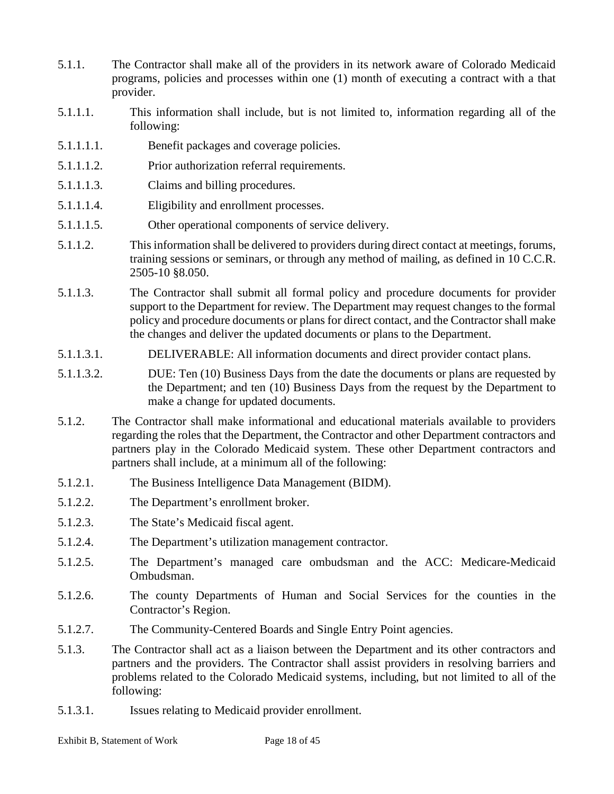- 5.1.1. The Contractor shall make all of the providers in its network aware of Colorado Medicaid programs, policies and processes within one (1) month of executing a contract with a that provider.
- 5.1.1.1. This information shall include, but is not limited to, information regarding all of the following:
- 5.1.1.1.1. Benefit packages and coverage policies.
- 5.1.1.1.2. Prior authorization referral requirements.
- 5.1.1.1.3. Claims and billing procedures.
- 5.1.1.1.4. Eligibility and enrollment processes.
- 5.1.1.1.5. Other operational components of service delivery.
- 5.1.1.2. This information shall be delivered to providers during direct contact at meetings, forums, training sessions or seminars, or through any method of mailing, as defined in 10 C.C.R. 2505-10 §8.050.
- 5.1.1.3. The Contractor shall submit all formal policy and procedure documents for provider support to the Department for review. The Department may request changes to the formal policy and procedure documents or plans for direct contact, and the Contractor shall make the changes and deliver the updated documents or plans to the Department.
- 5.1.1.3.1. DELIVERABLE: All information documents and direct provider contact plans.
- 5.1.1.3.2. DUE: Ten (10) Business Days from the date the documents or plans are requested by the Department; and ten (10) Business Days from the request by the Department to make a change for updated documents.
- 5.1.2. The Contractor shall make informational and educational materials available to providers regarding the roles that the Department, the Contractor and other Department contractors and partners play in the Colorado Medicaid system. These other Department contractors and partners shall include, at a minimum all of the following:
- 5.1.2.1. The Business Intelligence Data Management (BIDM).
- 5.1.2.2. The Department's enrollment broker.
- 5.1.2.3. The State's Medicaid fiscal agent.
- 5.1.2.4. The Department's utilization management contractor.
- 5.1.2.5. The Department's managed care ombudsman and the ACC: Medicare-Medicaid Ombudsman.
- 5.1.2.6. The county Departments of Human and Social Services for the counties in the Contractor's Region.
- 5.1.2.7. The Community-Centered Boards and Single Entry Point agencies.
- 5.1.3. The Contractor shall act as a liaison between the Department and its other contractors and partners and the providers. The Contractor shall assist providers in resolving barriers and problems related to the Colorado Medicaid systems, including, but not limited to all of the following:
- 5.1.3.1. Issues relating to Medicaid provider enrollment.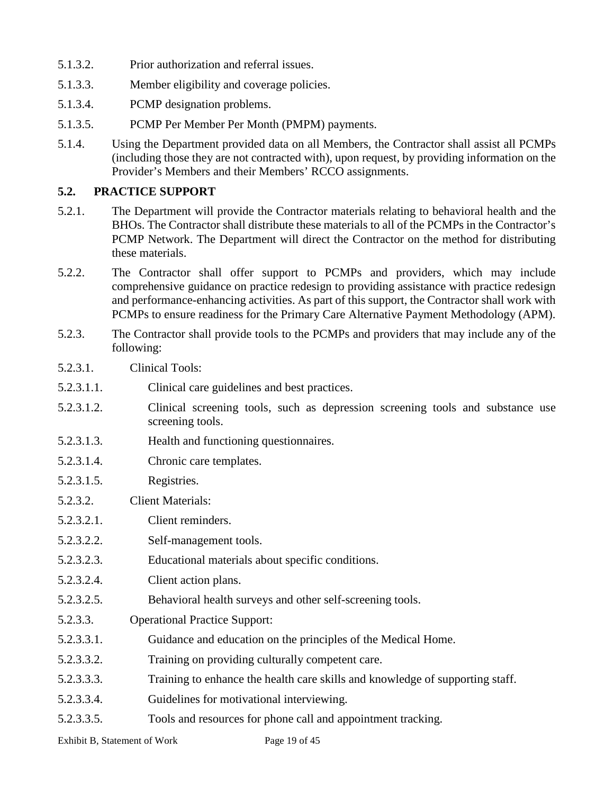- 5.1.3.2. Prior authorization and referral issues.
- 5.1.3.3. Member eligibility and coverage policies.
- 5.1.3.4. PCMP designation problems.
- 5.1.3.5. PCMP Per Member Per Month (PMPM) payments.
- 5.1.4. Using the Department provided data on all Members, the Contractor shall assist all PCMPs (including those they are not contracted with), upon request, by providing information on the Provider's Members and their Members' RCCO assignments.

#### **5.2. PRACTICE SUPPORT**

- 5.2.1. The Department will provide the Contractor materials relating to behavioral health and the BHOs. The Contractor shall distribute these materials to all of the PCMPs in the Contractor's PCMP Network. The Department will direct the Contractor on the method for distributing these materials.
- 5.2.2. The Contractor shall offer support to PCMPs and providers, which may include comprehensive guidance on practice redesign to providing assistance with practice redesign and performance-enhancing activities. As part of this support, the Contractor shall work with PCMPs to ensure readiness for the Primary Care Alternative Payment Methodology (APM).
- 5.2.3. The Contractor shall provide tools to the PCMPs and providers that may include any of the following:
- 5.2.3.1. Clinical Tools:
- 5.2.3.1.1. Clinical care guidelines and best practices.
- 5.2.3.1.2. Clinical screening tools, such as depression screening tools and substance use screening tools.
- 5.2.3.1.3. Health and functioning questionnaires.
- 5.2.3.1.4. Chronic care templates.
- 5.2.3.1.5. Registries.
- 5.2.3.2. Client Materials:
- 5.2.3.2.1. Client reminders.
- 5.2.3.2.2. Self-management tools.
- 5.2.3.2.3. Educational materials about specific conditions.
- 5.2.3.2.4. Client action plans.
- 5.2.3.2.5. Behavioral health surveys and other self-screening tools.
- 5.2.3.3. Operational Practice Support:
- 5.2.3.3.1. Guidance and education on the principles of the Medical Home.
- 5.2.3.3.2. Training on providing culturally competent care.
- 5.2.3.3.3. Training to enhance the health care skills and knowledge of supporting staff.
- 5.2.3.3.4. Guidelines for motivational interviewing.
- 5.2.3.3.5. Tools and resources for phone call and appointment tracking.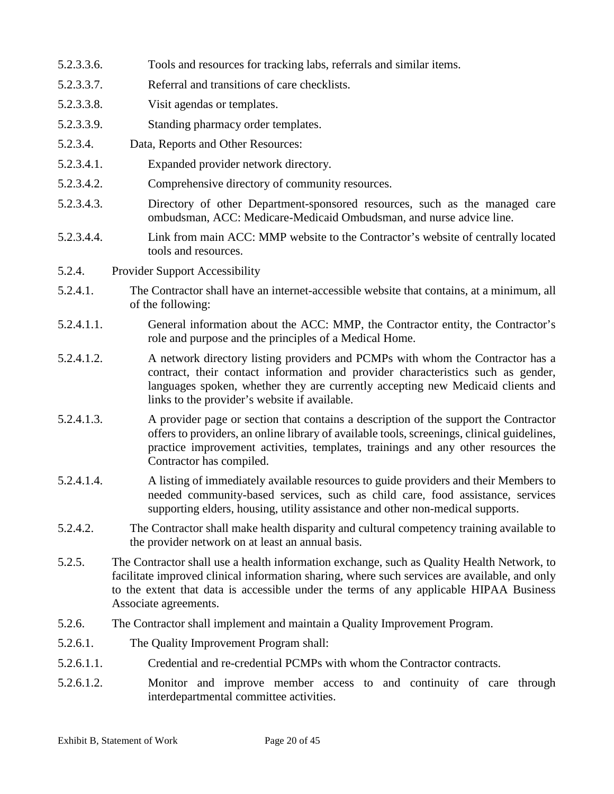- 5.2.3.3.6. Tools and resources for tracking labs, referrals and similar items.
- 5.2.3.3.7. Referral and transitions of care checklists.
- 5.2.3.3.8. Visit agendas or templates.
- 5.2.3.3.9. Standing pharmacy order templates.
- 5.2.3.4. Data, Reports and Other Resources:
- 5.2.3.4.1. Expanded provider network directory.
- 5.2.3.4.2. Comprehensive directory of community resources.
- 5.2.3.4.3. Directory of other Department-sponsored resources, such as the managed care ombudsman, ACC: Medicare-Medicaid Ombudsman, and nurse advice line.
- 5.2.3.4.4. Link from main ACC: MMP website to the Contractor's website of centrally located tools and resources.
- 5.2.4. Provider Support Accessibility
- 5.2.4.1. The Contractor shall have an internet-accessible website that contains, at a minimum, all of the following:
- 5.2.4.1.1. General information about the ACC: MMP, the Contractor entity, the Contractor's role and purpose and the principles of a Medical Home.
- 5.2.4.1.2. A network directory listing providers and PCMPs with whom the Contractor has a contract, their contact information and provider characteristics such as gender, languages spoken, whether they are currently accepting new Medicaid clients and links to the provider's website if available.
- 5.2.4.1.3. A provider page or section that contains a description of the support the Contractor offers to providers, an online library of available tools, screenings, clinical guidelines, practice improvement activities, templates, trainings and any other resources the Contractor has compiled.
- 5.2.4.1.4. A listing of immediately available resources to guide providers and their Members to needed community-based services, such as child care, food assistance, services supporting elders, housing, utility assistance and other non-medical supports.
- 5.2.4.2. The Contractor shall make health disparity and cultural competency training available to the provider network on at least an annual basis.
- 5.2.5. The Contractor shall use a health information exchange, such as Quality Health Network, to facilitate improved clinical information sharing, where such services are available, and only to the extent that data is accessible under the terms of any applicable HIPAA Business Associate agreements.
- 5.2.6. The Contractor shall implement and maintain a Quality Improvement Program.
- 5.2.6.1. The Quality Improvement Program shall:
- 5.2.6.1.1. Credential and re-credential PCMPs with whom the Contractor contracts.
- 5.2.6.1.2. Monitor and improve member access to and continuity of care through interdepartmental committee activities.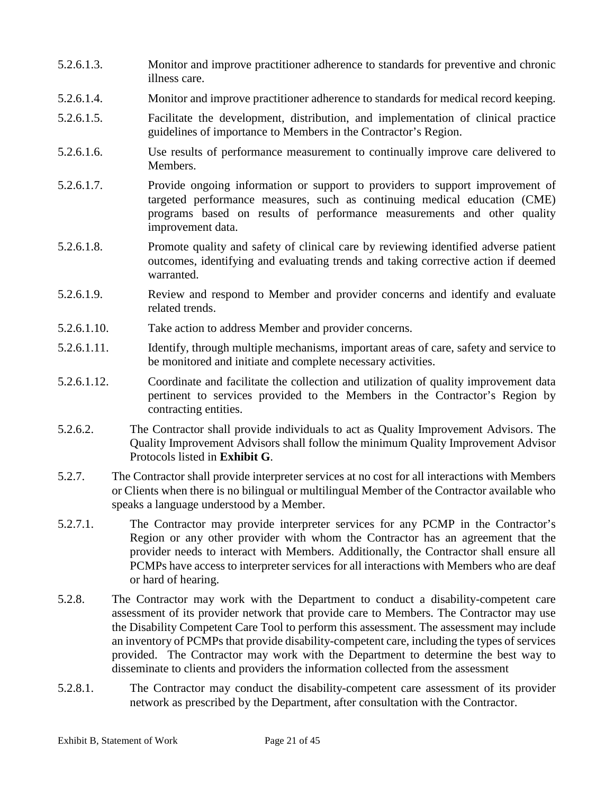- 5.2.6.1.3. Monitor and improve practitioner adherence to standards for preventive and chronic illness care.
- 5.2.6.1.4. Monitor and improve practitioner adherence to standards for medical record keeping.
- 5.2.6.1.5. Facilitate the development, distribution, and implementation of clinical practice guidelines of importance to Members in the Contractor's Region.
- 5.2.6.1.6. Use results of performance measurement to continually improve care delivered to Members.
- 5.2.6.1.7. Provide ongoing information or support to providers to support improvement of targeted performance measures, such as continuing medical education (CME) programs based on results of performance measurements and other quality improvement data.
- 5.2.6.1.8. Promote quality and safety of clinical care by reviewing identified adverse patient outcomes, identifying and evaluating trends and taking corrective action if deemed warranted.
- 5.2.6.1.9. Review and respond to Member and provider concerns and identify and evaluate related trends.
- 5.2.6.1.10. Take action to address Member and provider concerns.
- 5.2.6.1.11. Identify, through multiple mechanisms, important areas of care, safety and service to be monitored and initiate and complete necessary activities.
- 5.2.6.1.12. Coordinate and facilitate the collection and utilization of quality improvement data pertinent to services provided to the Members in the Contractor's Region by contracting entities.
- 5.2.6.2. The Contractor shall provide individuals to act as Quality Improvement Advisors. The Quality Improvement Advisors shall follow the minimum Quality Improvement Advisor Protocols listed in **Exhibit G**.
- 5.2.7. The Contractor shall provide interpreter services at no cost for all interactions with Members or Clients when there is no bilingual or multilingual Member of the Contractor available who speaks a language understood by a Member.
- 5.2.7.1. The Contractor may provide interpreter services for any PCMP in the Contractor's Region or any other provider with whom the Contractor has an agreement that the provider needs to interact with Members. Additionally, the Contractor shall ensure all PCMPs have access to interpreter services for all interactions with Members who are deaf or hard of hearing.
- 5.2.8. The Contractor may work with the Department to conduct a disability-competent care assessment of its provider network that provide care to Members. The Contractor may use the Disability Competent Care Tool to perform this assessment. The assessment may include an inventory of PCMPs that provide disability-competent care, including the types of services provided. The Contractor may work with the Department to determine the best way to disseminate to clients and providers the information collected from the assessment
- 5.2.8.1. The Contractor may conduct the disability-competent care assessment of its provider network as prescribed by the Department, after consultation with the Contractor.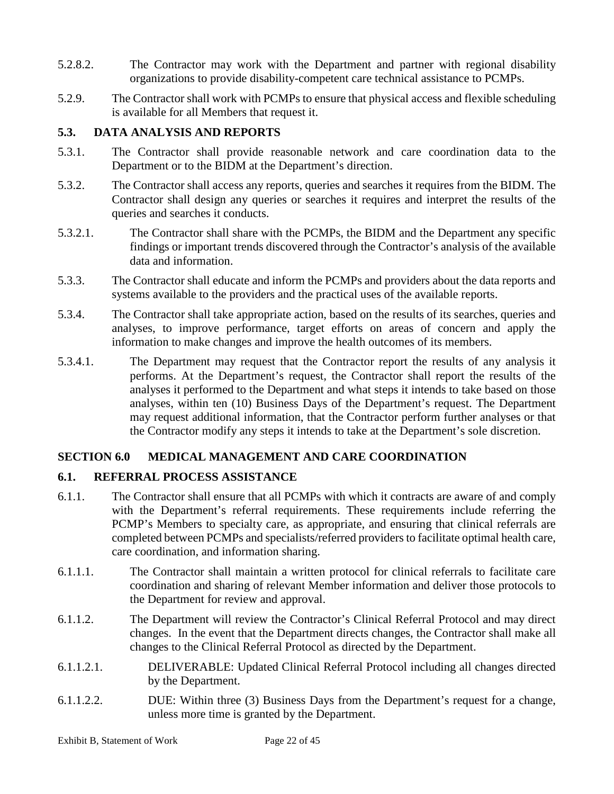- 5.2.8.2. The Contractor may work with the Department and partner with regional disability organizations to provide disability-competent care technical assistance to PCMPs.
- 5.2.9. The Contractor shall work with PCMPs to ensure that physical access and flexible scheduling is available for all Members that request it.

# **5.3. DATA ANALYSIS AND REPORTS**

- 5.3.1. The Contractor shall provide reasonable network and care coordination data to the Department or to the BIDM at the Department's direction.
- 5.3.2. The Contractor shall access any reports, queries and searches it requires from the BIDM. The Contractor shall design any queries or searches it requires and interpret the results of the queries and searches it conducts.
- 5.3.2.1. The Contractor shall share with the PCMPs, the BIDM and the Department any specific findings or important trends discovered through the Contractor's analysis of the available data and information.
- 5.3.3. The Contractor shall educate and inform the PCMPs and providers about the data reports and systems available to the providers and the practical uses of the available reports.
- 5.3.4. The Contractor shall take appropriate action, based on the results of its searches, queries and analyses, to improve performance, target efforts on areas of concern and apply the information to make changes and improve the health outcomes of its members.
- 5.3.4.1. The Department may request that the Contractor report the results of any analysis it performs. At the Department's request, the Contractor shall report the results of the analyses it performed to the Department and what steps it intends to take based on those analyses, within ten (10) Business Days of the Department's request. The Department may request additional information, that the Contractor perform further analyses or that the Contractor modify any steps it intends to take at the Department's sole discretion.

### **SECTION 6.0 MEDICAL MANAGEMENT AND CARE COORDINATION**

### **6.1. REFERRAL PROCESS ASSISTANCE**

- 6.1.1. The Contractor shall ensure that all PCMPs with which it contracts are aware of and comply with the Department's referral requirements. These requirements include referring the PCMP's Members to specialty care, as appropriate, and ensuring that clinical referrals are completed between PCMPs and specialists/referred providers to facilitate optimal health care, care coordination, and information sharing.
- 6.1.1.1. The Contractor shall maintain a written protocol for clinical referrals to facilitate care coordination and sharing of relevant Member information and deliver those protocols to the Department for review and approval.
- 6.1.1.2. The Department will review the Contractor's Clinical Referral Protocol and may direct changes. In the event that the Department directs changes, the Contractor shall make all changes to the Clinical Referral Protocol as directed by the Department.
- 6.1.1.2.1. DELIVERABLE: Updated Clinical Referral Protocol including all changes directed by the Department.
- 6.1.1.2.2. DUE: Within three (3) Business Days from the Department's request for a change, unless more time is granted by the Department.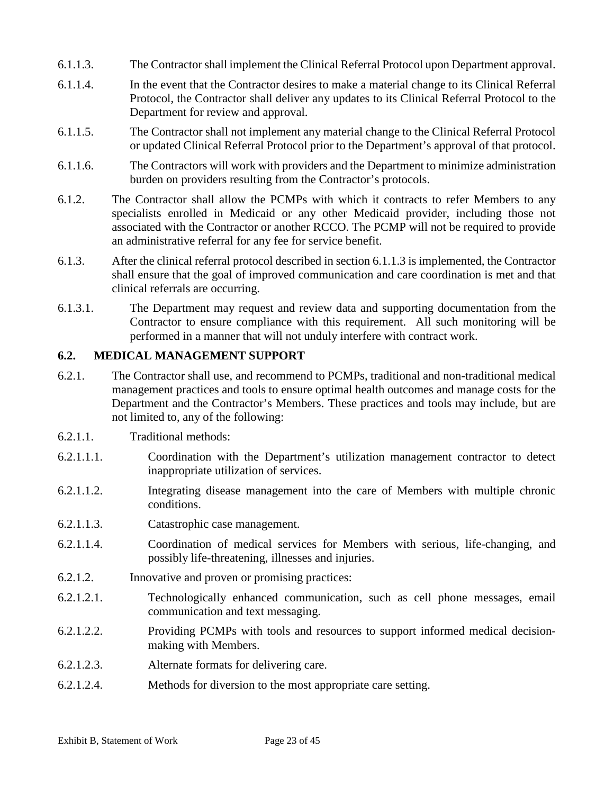- 6.1.1.3. The Contractor shall implement the Clinical Referral Protocol upon Department approval.
- 6.1.1.4. In the event that the Contractor desires to make a material change to its Clinical Referral Protocol, the Contractor shall deliver any updates to its Clinical Referral Protocol to the Department for review and approval.
- 6.1.1.5. The Contractor shall not implement any material change to the Clinical Referral Protocol or updated Clinical Referral Protocol prior to the Department's approval of that protocol.
- 6.1.1.6. The Contractors will work with providers and the Department to minimize administration burden on providers resulting from the Contractor's protocols.
- 6.1.2. The Contractor shall allow the PCMPs with which it contracts to refer Members to any specialists enrolled in Medicaid or any other Medicaid provider, including those not associated with the Contractor or another RCCO. The PCMP will not be required to provide an administrative referral for any fee for service benefit.
- 6.1.3. After the clinical referral protocol described in section 6.1.1.3 is implemented, the Contractor shall ensure that the goal of improved communication and care coordination is met and that clinical referrals are occurring.
- 6.1.3.1. The Department may request and review data and supporting documentation from the Contractor to ensure compliance with this requirement. All such monitoring will be performed in a manner that will not unduly interfere with contract work.

# **6.2. MEDICAL MANAGEMENT SUPPORT**

- 6.2.1. The Contractor shall use, and recommend to PCMPs, traditional and non-traditional medical management practices and tools to ensure optimal health outcomes and manage costs for the Department and the Contractor's Members. These practices and tools may include, but are not limited to, any of the following:
- 6.2.1.1. Traditional methods:
- 6.2.1.1.1. Coordination with the Department's utilization management contractor to detect inappropriate utilization of services.
- 6.2.1.1.2. Integrating disease management into the care of Members with multiple chronic conditions.
- 6.2.1.1.3. Catastrophic case management.
- 6.2.1.1.4. Coordination of medical services for Members with serious, life-changing, and possibly life-threatening, illnesses and injuries.
- 6.2.1.2. Innovative and proven or promising practices:
- 6.2.1.2.1. Technologically enhanced communication, such as cell phone messages, email communication and text messaging.
- 6.2.1.2.2. Providing PCMPs with tools and resources to support informed medical decisionmaking with Members.
- 6.2.1.2.3. Alternate formats for delivering care.
- 6.2.1.2.4. Methods for diversion to the most appropriate care setting.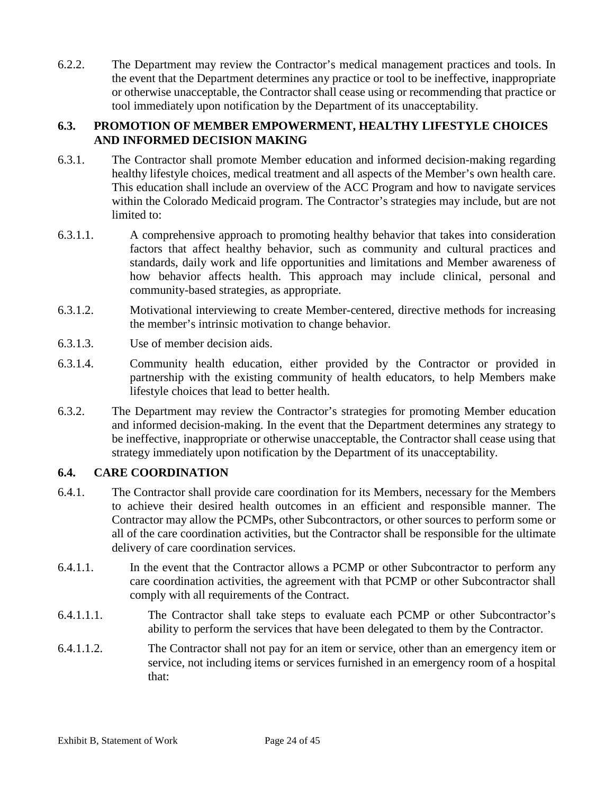6.2.2. The Department may review the Contractor's medical management practices and tools. In the event that the Department determines any practice or tool to be ineffective, inappropriate or otherwise unacceptable, the Contractor shall cease using or recommending that practice or tool immediately upon notification by the Department of its unacceptability.

### **6.3. PROMOTION OF MEMBER EMPOWERMENT, HEALTHY LIFESTYLE CHOICES AND INFORMED DECISION MAKING**

- 6.3.1. The Contractor shall promote Member education and informed decision-making regarding healthy lifestyle choices, medical treatment and all aspects of the Member's own health care. This education shall include an overview of the ACC Program and how to navigate services within the Colorado Medicaid program. The Contractor's strategies may include, but are not limited to:
- 6.3.1.1. A comprehensive approach to promoting healthy behavior that takes into consideration factors that affect healthy behavior, such as community and cultural practices and standards, daily work and life opportunities and limitations and Member awareness of how behavior affects health. This approach may include clinical, personal and community-based strategies, as appropriate.
- 6.3.1.2. Motivational interviewing to create Member-centered, directive methods for increasing the member's intrinsic motivation to change behavior.
- 6.3.1.3. Use of member decision aids.
- 6.3.1.4. Community health education, either provided by the Contractor or provided in partnership with the existing community of health educators, to help Members make lifestyle choices that lead to better health.
- 6.3.2. The Department may review the Contractor's strategies for promoting Member education and informed decision-making. In the event that the Department determines any strategy to be ineffective, inappropriate or otherwise unacceptable, the Contractor shall cease using that strategy immediately upon notification by the Department of its unacceptability.

### **6.4. CARE COORDINATION**

- 6.4.1. The Contractor shall provide care coordination for its Members, necessary for the Members to achieve their desired health outcomes in an efficient and responsible manner. The Contractor may allow the PCMPs, other Subcontractors, or other sources to perform some or all of the care coordination activities, but the Contractor shall be responsible for the ultimate delivery of care coordination services.
- 6.4.1.1. In the event that the Contractor allows a PCMP or other Subcontractor to perform any care coordination activities, the agreement with that PCMP or other Subcontractor shall comply with all requirements of the Contract.
- 6.4.1.1.1. The Contractor shall take steps to evaluate each PCMP or other Subcontractor's ability to perform the services that have been delegated to them by the Contractor.
- 6.4.1.1.2. The Contractor shall not pay for an item or service, other than an emergency item or service, not including items or services furnished in an emergency room of a hospital that: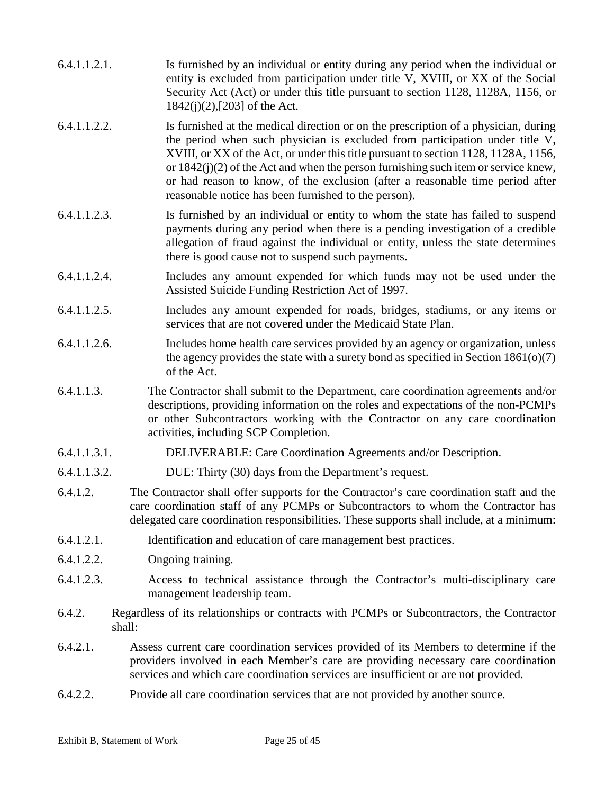- 6.4.1.1.2.1. Is furnished by an individual or entity during any period when the individual or entity is excluded from participation under title V, XVIII, or XX of the Social Security Act (Act) or under this title pursuant to section 1128, 1128A, 1156, or 1842(j)(2),[203] of the Act.
- 6.4.1.1.2.2. Is furnished at the medical direction or on the prescription of a physician, during the period when such physician is excluded from participation under title V, XVIII, or XX of the Act, or under this title pursuant to section 1128, 1128A, 1156, or  $1842(i)(2)$  of the Act and when the person furnishing such item or service knew, or had reason to know, of the exclusion (after a reasonable time period after reasonable notice has been furnished to the person).
- 6.4.1.1.2.3. Is furnished by an individual or entity to whom the state has failed to suspend payments during any period when there is a pending investigation of a credible allegation of fraud against the individual or entity, unless the state determines there is good cause not to suspend such payments.
- 6.4.1.1.2.4. Includes any amount expended for which funds may not be used under the Assisted Suicide Funding Restriction Act of 1997.
- 6.4.1.1.2.5. Includes any amount expended for roads, bridges, stadiums, or any items or services that are not covered under the Medicaid State Plan.
- 6.4.1.1.2.6. Includes home health care services provided by an agency or organization, unless the agency provides the state with a surety bond as specified in Section  $1861(o)(7)$ of the Act.
- 6.4.1.1.3. The Contractor shall submit to the Department, care coordination agreements and/or descriptions, providing information on the roles and expectations of the non-PCMPs or other Subcontractors working with the Contractor on any care coordination activities, including SCP Completion.
- 6.4.1.1.3.1. DELIVERABLE: Care Coordination Agreements and/or Description.
- 6.4.1.1.3.2. DUE: Thirty (30) days from the Department's request.
- 6.4.1.2. The Contractor shall offer supports for the Contractor's care coordination staff and the care coordination staff of any PCMPs or Subcontractors to whom the Contractor has delegated care coordination responsibilities. These supports shall include, at a minimum:
- 6.4.1.2.1. Identification and education of care management best practices.
- 6.4.1.2.2. Ongoing training.
- 6.4.1.2.3. Access to technical assistance through the Contractor's multi-disciplinary care management leadership team.
- 6.4.2. Regardless of its relationships or contracts with PCMPs or Subcontractors, the Contractor shall:
- 6.4.2.1. Assess current care coordination services provided of its Members to determine if the providers involved in each Member's care are providing necessary care coordination services and which care coordination services are insufficient or are not provided.
- 6.4.2.2. Provide all care coordination services that are not provided by another source.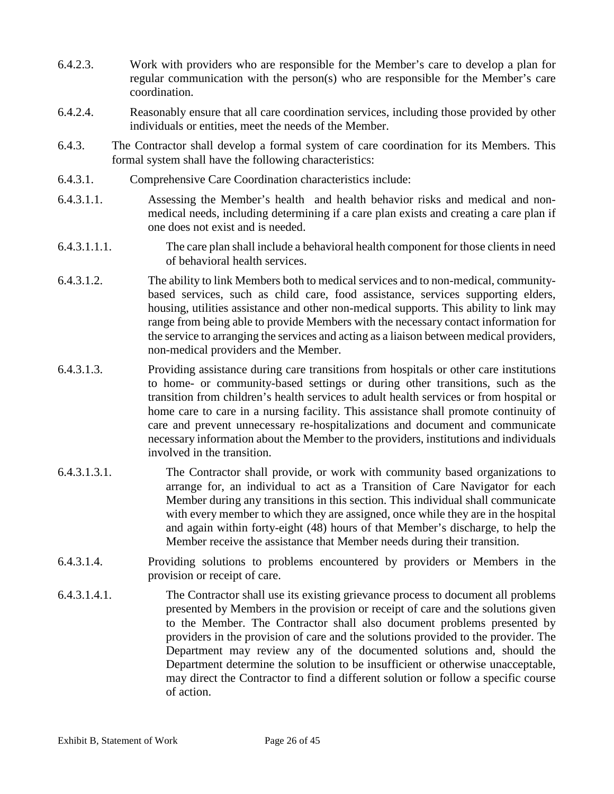- 6.4.2.3. Work with providers who are responsible for the Member's care to develop a plan for regular communication with the person(s) who are responsible for the Member's care coordination.
- 6.4.2.4. Reasonably ensure that all care coordination services, including those provided by other individuals or entities, meet the needs of the Member.
- 6.4.3. The Contractor shall develop a formal system of care coordination for its Members. This formal system shall have the following characteristics:
- 6.4.3.1. Comprehensive Care Coordination characteristics include:
- 6.4.3.1.1. Assessing the Member's health and health behavior risks and medical and nonmedical needs, including determining if a care plan exists and creating a care plan if one does not exist and is needed.
- 6.4.3.1.1.1. The care plan shall include a behavioral health component for those clients in need of behavioral health services.
- 6.4.3.1.2. The ability to link Members both to medical services and to non-medical, communitybased services, such as child care, food assistance, services supporting elders, housing, utilities assistance and other non-medical supports. This ability to link may range from being able to provide Members with the necessary contact information for the service to arranging the services and acting as a liaison between medical providers, non-medical providers and the Member.
- 6.4.3.1.3. Providing assistance during care transitions from hospitals or other care institutions to home- or community-based settings or during other transitions, such as the transition from children's health services to adult health services or from hospital or home care to care in a nursing facility. This assistance shall promote continuity of care and prevent unnecessary re-hospitalizations and document and communicate necessary information about the Member to the providers, institutions and individuals involved in the transition.
- 6.4.3.1.3.1. The Contractor shall provide, or work with community based organizations to arrange for, an individual to act as a Transition of Care Navigator for each Member during any transitions in this section. This individual shall communicate with every member to which they are assigned, once while they are in the hospital and again within forty-eight (48) hours of that Member's discharge, to help the Member receive the assistance that Member needs during their transition.
- 6.4.3.1.4. Providing solutions to problems encountered by providers or Members in the provision or receipt of care.
- 6.4.3.1.4.1. The Contractor shall use its existing grievance process to document all problems presented by Members in the provision or receipt of care and the solutions given to the Member. The Contractor shall also document problems presented by providers in the provision of care and the solutions provided to the provider. The Department may review any of the documented solutions and, should the Department determine the solution to be insufficient or otherwise unacceptable, may direct the Contractor to find a different solution or follow a specific course of action.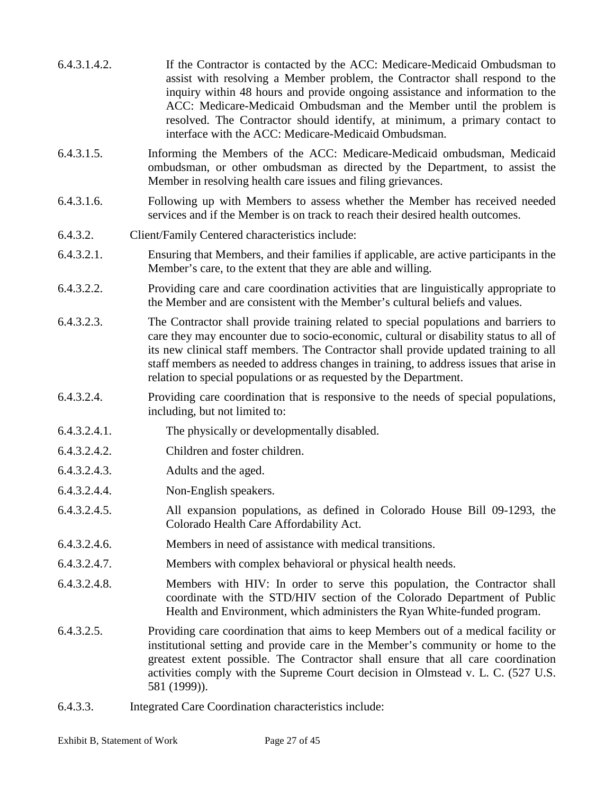| 6.4.3.1.4.2. | If the Contractor is contacted by the ACC: Medicare-Medicaid Ombudsman to<br>assist with resolving a Member problem, the Contractor shall respond to the<br>inquiry within 48 hours and provide ongoing assistance and information to the<br>ACC: Medicare-Medicaid Ombudsman and the Member until the problem is<br>resolved. The Contractor should identify, at minimum, a primary contact to |
|--------------|-------------------------------------------------------------------------------------------------------------------------------------------------------------------------------------------------------------------------------------------------------------------------------------------------------------------------------------------------------------------------------------------------|
|              | interface with the ACC: Medicare-Medicaid Ombudsman.                                                                                                                                                                                                                                                                                                                                            |

- 6.4.3.1.5. Informing the Members of the ACC: Medicare-Medicaid ombudsman, Medicaid ombudsman, or other ombudsman as directed by the Department, to assist the Member in resolving health care issues and filing grievances.
- 6.4.3.1.6. Following up with Members to assess whether the Member has received needed services and if the Member is on track to reach their desired health outcomes.
- 6.4.3.2. Client/Family Centered characteristics include:
- 6.4.3.2.1. Ensuring that Members, and their families if applicable, are active participants in the Member's care, to the extent that they are able and willing.
- 6.4.3.2.2. Providing care and care coordination activities that are linguistically appropriate to the Member and are consistent with the Member's cultural beliefs and values.
- 6.4.3.2.3. The Contractor shall provide training related to special populations and barriers to care they may encounter due to socio-economic, cultural or disability status to all of its new clinical staff members. The Contractor shall provide updated training to all staff members as needed to address changes in training, to address issues that arise in relation to special populations or as requested by the Department.
- 6.4.3.2.4. Providing care coordination that is responsive to the needs of special populations, including, but not limited to:
- 6.4.3.2.4.1. The physically or developmentally disabled.
- 6.4.3.2.4.2. Children and foster children.
- 6.4.3.2.4.3. Adults and the aged.
- 6.4.3.2.4.4. Non-English speakers.
- 6.4.3.2.4.5. All expansion populations, as defined in Colorado House Bill 09-1293, the Colorado Health Care Affordability Act.
- 6.4.3.2.4.6. Members in need of assistance with medical transitions.
- 6.4.3.2.4.7. Members with complex behavioral or physical health needs.
- 6.4.3.2.4.8. Members with HIV: In order to serve this population, the Contractor shall coordinate with the STD/HIV section of the Colorado Department of Public Health and Environment, which administers the Ryan White-funded program.
- 6.4.3.2.5. Providing care coordination that aims to keep Members out of a medical facility or institutional setting and provide care in the Member's community or home to the greatest extent possible. The Contractor shall ensure that all care coordination activities comply with the Supreme Court decision in Olmstead v. L. C. (527 U.S. 581 (1999)).
- 6.4.3.3. Integrated Care Coordination characteristics include: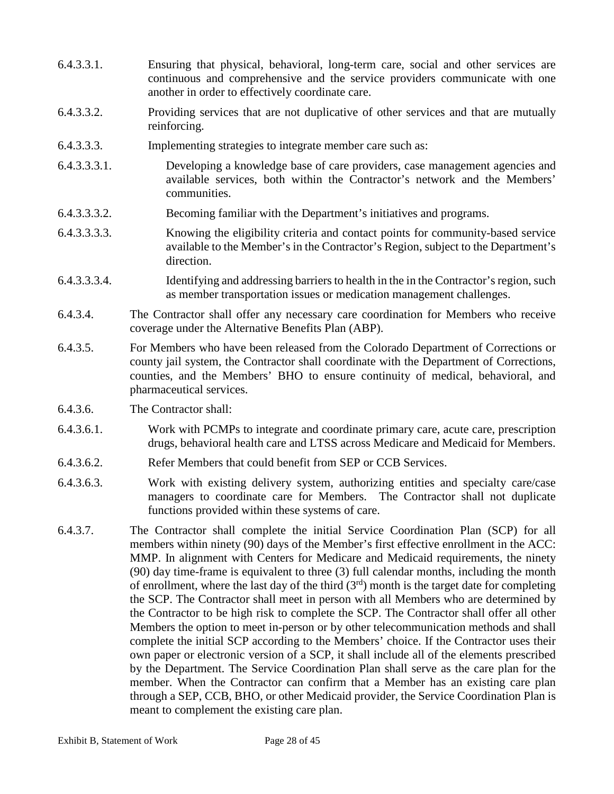- 6.4.3.3.1. Ensuring that physical, behavioral, long-term care, social and other services are continuous and comprehensive and the service providers communicate with one another in order to effectively coordinate care.
- 6.4.3.3.2. Providing services that are not duplicative of other services and that are mutually reinforcing.
- 6.4.3.3.3. Implementing strategies to integrate member care such as:
- 6.4.3.3.3.1. Developing a knowledge base of care providers, case management agencies and available services, both within the Contractor's network and the Members' communities.
- 6.4.3.3.3.2. Becoming familiar with the Department's initiatives and programs.
- 6.4.3.3.3.3. Knowing the eligibility criteria and contact points for community-based service available to the Member's in the Contractor's Region, subject to the Department's direction.
- 6.4.3.3.3.4. Identifying and addressing barriers to health in the in the Contractor's region, such as member transportation issues or medication management challenges.
- 6.4.3.4. The Contractor shall offer any necessary care coordination for Members who receive coverage under the Alternative Benefits Plan (ABP).
- 6.4.3.5. For Members who have been released from the Colorado Department of Corrections or county jail system, the Contractor shall coordinate with the Department of Corrections, counties, and the Members' BHO to ensure continuity of medical, behavioral, and pharmaceutical services.
- 6.4.3.6. The Contractor shall:
- 6.4.3.6.1. Work with PCMPs to integrate and coordinate primary care, acute care, prescription drugs, behavioral health care and LTSS across Medicare and Medicaid for Members.
- 6.4.3.6.2. Refer Members that could benefit from SEP or CCB Services.
- 6.4.3.6.3. Work with existing delivery system, authorizing entities and specialty care/case managers to coordinate care for Members. The Contractor shall not duplicate functions provided within these systems of care.
- 6.4.3.7. The Contractor shall complete the initial Service Coordination Plan (SCP) for all members within ninety (90) days of the Member's first effective enrollment in the ACC: MMP. In alignment with Centers for Medicare and Medicaid requirements, the ninety (90) day time-frame is equivalent to three (3) full calendar months, including the month of enrollment, where the last day of the third  $(3<sup>rd</sup>)$  month is the target date for completing the SCP. The Contractor shall meet in person with all Members who are determined by the Contractor to be high risk to complete the SCP. The Contractor shall offer all other Members the option to meet in-person or by other telecommunication methods and shall complete the initial SCP according to the Members' choice. If the Contractor uses their own paper or electronic version of a SCP, it shall include all of the elements prescribed by the Department. The Service Coordination Plan shall serve as the care plan for the member. When the Contractor can confirm that a Member has an existing care plan through a SEP, CCB, BHO, or other Medicaid provider, the Service Coordination Plan is meant to complement the existing care plan.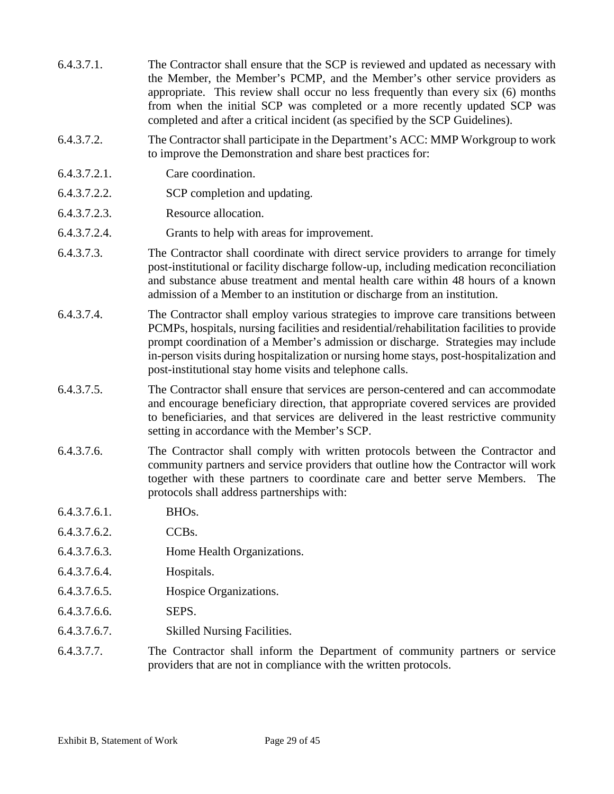- 6.4.3.7.1. The Contractor shall ensure that the SCP is reviewed and updated as necessary with the Member, the Member's PCMP, and the Member's other service providers as appropriate. This review shall occur no less frequently than every six (6) months from when the initial SCP was completed or a more recently updated SCP was completed and after a critical incident (as specified by the SCP Guidelines).
- 6.4.3.7.2. The Contractor shall participate in the Department's ACC: MMP Workgroup to work to improve the Demonstration and share best practices for:
- 6.4.3.7.2.1. Care coordination.
- 6.4.3.7.2.2. SCP completion and updating.
- 6.4.3.7.2.3. Resource allocation.
- 6.4.3.7.2.4. Grants to help with areas for improvement.
- 6.4.3.7.3. The Contractor shall coordinate with direct service providers to arrange for timely post-institutional or facility discharge follow-up, including medication reconciliation and substance abuse treatment and mental health care within 48 hours of a known admission of a Member to an institution or discharge from an institution.
- 6.4.3.7.4. The Contractor shall employ various strategies to improve care transitions between PCMPs, hospitals, nursing facilities and residential/rehabilitation facilities to provide prompt coordination of a Member's admission or discharge. Strategies may include in-person visits during hospitalization or nursing home stays, post-hospitalization and post-institutional stay home visits and telephone calls.
- 6.4.3.7.5. The Contractor shall ensure that services are person-centered and can accommodate and encourage beneficiary direction, that appropriate covered services are provided to beneficiaries, and that services are delivered in the least restrictive community setting in accordance with the Member's SCP.
- 6.4.3.7.6. The Contractor shall comply with written protocols between the Contractor and community partners and service providers that outline how the Contractor will work together with these partners to coordinate care and better serve Members. The protocols shall address partnerships with:
- 6.4.3.7.6.1. BHOs.
- 6.4.3.7.6.2. CCBs.
- 6.4.3.7.6.3. Home Health Organizations.
- 6.4.3.7.6.4. Hospitals.
- 6.4.3.7.6.5. Hospice Organizations.
- 6.4.3.7.6.6. SEPS.
- 6.4.3.7.6.7. Skilled Nursing Facilities.
- 6.4.3.7.7. The Contractor shall inform the Department of community partners or service providers that are not in compliance with the written protocols.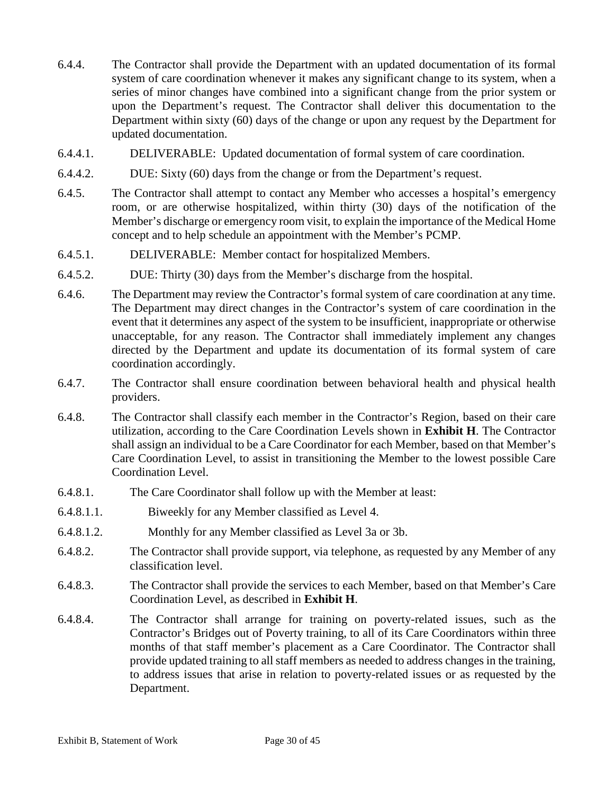- 6.4.4. The Contractor shall provide the Department with an updated documentation of its formal system of care coordination whenever it makes any significant change to its system, when a series of minor changes have combined into a significant change from the prior system or upon the Department's request. The Contractor shall deliver this documentation to the Department within sixty (60) days of the change or upon any request by the Department for updated documentation.
- 6.4.4.1. DELIVERABLE: Updated documentation of formal system of care coordination.
- 6.4.4.2. DUE: Sixty (60) days from the change or from the Department's request.
- 6.4.5. The Contractor shall attempt to contact any Member who accesses a hospital's emergency room, or are otherwise hospitalized, within thirty (30) days of the notification of the Member's discharge or emergency room visit, to explain the importance of the Medical Home concept and to help schedule an appointment with the Member's PCMP.
- 6.4.5.1. DELIVERABLE: Member contact for hospitalized Members.
- 6.4.5.2. DUE: Thirty (30) days from the Member's discharge from the hospital.
- 6.4.6. The Department may review the Contractor's formal system of care coordination at any time. The Department may direct changes in the Contractor's system of care coordination in the event that it determines any aspect of the system to be insufficient, inappropriate or otherwise unacceptable, for any reason. The Contractor shall immediately implement any changes directed by the Department and update its documentation of its formal system of care coordination accordingly.
- 6.4.7. The Contractor shall ensure coordination between behavioral health and physical health providers.
- 6.4.8. The Contractor shall classify each member in the Contractor's Region, based on their care utilization, according to the Care Coordination Levels shown in **Exhibit H**. The Contractor shall assign an individual to be a Care Coordinator for each Member, based on that Member's Care Coordination Level, to assist in transitioning the Member to the lowest possible Care Coordination Level.
- 6.4.8.1. The Care Coordinator shall follow up with the Member at least:
- 6.4.8.1.1. Biweekly for any Member classified as Level 4.
- 6.4.8.1.2. Monthly for any Member classified as Level 3a or 3b.
- 6.4.8.2. The Contractor shall provide support, via telephone, as requested by any Member of any classification level.
- 6.4.8.3. The Contractor shall provide the services to each Member, based on that Member's Care Coordination Level, as described in **Exhibit H**.
- 6.4.8.4. The Contractor shall arrange for training on poverty-related issues, such as the Contractor's Bridges out of Poverty training, to all of its Care Coordinators within three months of that staff member's placement as a Care Coordinator. The Contractor shall provide updated training to all staff members as needed to address changes in the training, to address issues that arise in relation to poverty-related issues or as requested by the Department.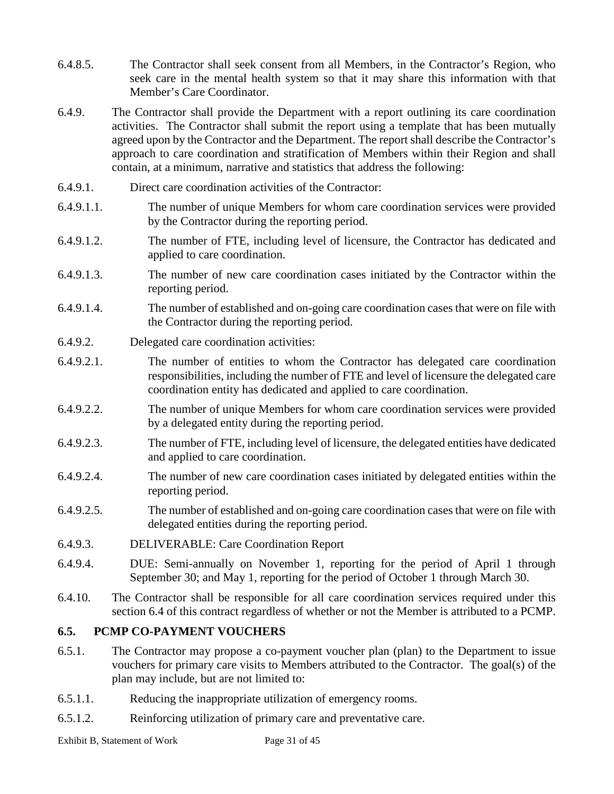- 6.4.8.5. The Contractor shall seek consent from all Members, in the Contractor's Region, who seek care in the mental health system so that it may share this information with that Member's Care Coordinator.
- 6.4.9. The Contractor shall provide the Department with a report outlining its care coordination activities. The Contractor shall submit the report using a template that has been mutually agreed upon by the Contractor and the Department. The report shall describe the Contractor's approach to care coordination and stratification of Members within their Region and shall contain, at a minimum, narrative and statistics that address the following:
- 6.4.9.1. Direct care coordination activities of the Contractor:
- 6.4.9.1.1. The number of unique Members for whom care coordination services were provided by the Contractor during the reporting period.
- 6.4.9.1.2. The number of FTE, including level of licensure, the Contractor has dedicated and applied to care coordination.
- 6.4.9.1.3. The number of new care coordination cases initiated by the Contractor within the reporting period.
- 6.4.9.1.4. The number of established and on-going care coordination cases that were on file with the Contractor during the reporting period.
- 6.4.9.2. Delegated care coordination activities:
- 6.4.9.2.1. The number of entities to whom the Contractor has delegated care coordination responsibilities, including the number of FTE and level of licensure the delegated care coordination entity has dedicated and applied to care coordination.
- 6.4.9.2.2. The number of unique Members for whom care coordination services were provided by a delegated entity during the reporting period.
- 6.4.9.2.3. The number of FTE, including level of licensure, the delegated entities have dedicated and applied to care coordination.
- 6.4.9.2.4. The number of new care coordination cases initiated by delegated entities within the reporting period.
- 6.4.9.2.5. The number of established and on-going care coordination cases that were on file with delegated entities during the reporting period.
- 6.4.9.3. DELIVERABLE: Care Coordination Report
- 6.4.9.4. DUE: Semi-annually on November 1, reporting for the period of April 1 through September 30; and May 1, reporting for the period of October 1 through March 30.
- 6.4.10. The Contractor shall be responsible for all care coordination services required under this section 6.4 of this contract regardless of whether or not the Member is attributed to a PCMP.

#### **6.5. PCMP CO-PAYMENT VOUCHERS**

- 6.5.1. The Contractor may propose a co-payment voucher plan (plan) to the Department to issue vouchers for primary care visits to Members attributed to the Contractor. The goal(s) of the plan may include, but are not limited to:
- 6.5.1.1. Reducing the inappropriate utilization of emergency rooms.
- 6.5.1.2. Reinforcing utilization of primary care and preventative care.

Exhibit B, Statement of Work Page 31 of 45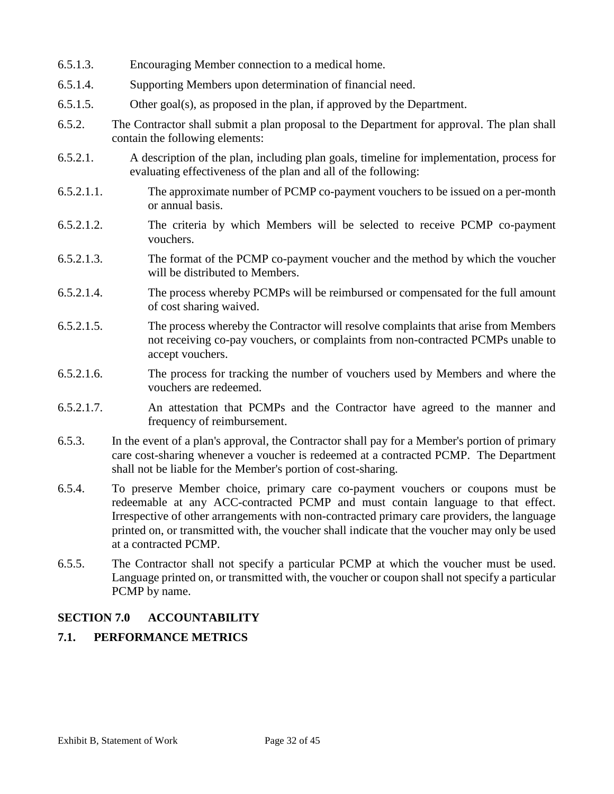- 6.5.1.3. Encouraging Member connection to a medical home.
- 6.5.1.4. Supporting Members upon determination of financial need.
- 6.5.1.5. Other goal(s), as proposed in the plan, if approved by the Department.
- 6.5.2. The Contractor shall submit a plan proposal to the Department for approval. The plan shall contain the following elements:
- 6.5.2.1. A description of the plan, including plan goals, timeline for implementation, process for evaluating effectiveness of the plan and all of the following:
- 6.5.2.1.1. The approximate number of PCMP co-payment vouchers to be issued on a per-month or annual basis.
- 6.5.2.1.2. The criteria by which Members will be selected to receive PCMP co-payment vouchers.
- 6.5.2.1.3. The format of the PCMP co-payment voucher and the method by which the voucher will be distributed to Members.
- 6.5.2.1.4. The process whereby PCMPs will be reimbursed or compensated for the full amount of cost sharing waived.
- 6.5.2.1.5. The process whereby the Contractor will resolve complaints that arise from Members not receiving co-pay vouchers, or complaints from non-contracted PCMPs unable to accept vouchers.
- 6.5.2.1.6. The process for tracking the number of vouchers used by Members and where the vouchers are redeemed.
- 6.5.2.1.7. An attestation that PCMPs and the Contractor have agreed to the manner and frequency of reimbursement.
- 6.5.3. In the event of a plan's approval, the Contractor shall pay for a Member's portion of primary care cost-sharing whenever a voucher is redeemed at a contracted PCMP. The Department shall not be liable for the Member's portion of cost-sharing.
- 6.5.4. To preserve Member choice, primary care co-payment vouchers or coupons must be redeemable at any ACC-contracted PCMP and must contain language to that effect. Irrespective of other arrangements with non-contracted primary care providers, the language printed on, or transmitted with, the voucher shall indicate that the voucher may only be used at a contracted PCMP.
- 6.5.5. The Contractor shall not specify a particular PCMP at which the voucher must be used. Language printed on, or transmitted with, the voucher or coupon shall not specify a particular PCMP by name.

# **SECTION 7.0 ACCOUNTABILITY**

# **7.1. PERFORMANCE METRICS**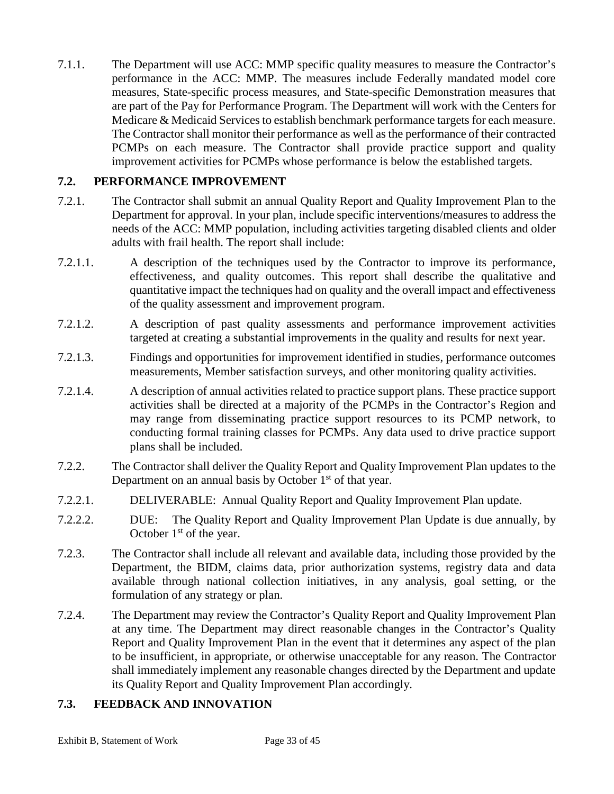7.1.1. The Department will use ACC: MMP specific quality measures to measure the Contractor's performance in the ACC: MMP. The measures include Federally mandated model core measures, State-specific process measures, and State-specific Demonstration measures that are part of the Pay for Performance Program. The Department will work with the Centers for Medicare & Medicaid Services to establish benchmark performance targets for each measure. The Contractor shall monitor their performance as well as the performance of their contracted PCMPs on each measure. The Contractor shall provide practice support and quality improvement activities for PCMPs whose performance is below the established targets.

# **7.2. PERFORMANCE IMPROVEMENT**

- 7.2.1. The Contractor shall submit an annual Quality Report and Quality Improvement Plan to the Department for approval. In your plan, include specific interventions/measures to address the needs of the ACC: MMP population, including activities targeting disabled clients and older adults with frail health. The report shall include:
- 7.2.1.1. A description of the techniques used by the Contractor to improve its performance, effectiveness, and quality outcomes. This report shall describe the qualitative and quantitative impact the techniques had on quality and the overall impact and effectiveness of the quality assessment and improvement program.
- 7.2.1.2. A description of past quality assessments and performance improvement activities targeted at creating a substantial improvements in the quality and results for next year.
- 7.2.1.3. Findings and opportunities for improvement identified in studies, performance outcomes measurements, Member satisfaction surveys, and other monitoring quality activities.
- 7.2.1.4. A description of annual activities related to practice support plans. These practice support activities shall be directed at a majority of the PCMPs in the Contractor's Region and may range from disseminating practice support resources to its PCMP network, to conducting formal training classes for PCMPs. Any data used to drive practice support plans shall be included.
- 7.2.2. The Contractor shall deliver the Quality Report and Quality Improvement Plan updates to the Department on an annual basis by October  $1<sup>st</sup>$  of that year.
- 7.2.2.1. DELIVERABLE: Annual Quality Report and Quality Improvement Plan update.
- 7.2.2.2. DUE: The Quality Report and Quality Improvement Plan Update is due annually, by October  $1<sup>st</sup>$  of the year.
- 7.2.3. The Contractor shall include all relevant and available data, including those provided by the Department, the BIDM, claims data, prior authorization systems, registry data and data available through national collection initiatives, in any analysis, goal setting, or the formulation of any strategy or plan.
- 7.2.4. The Department may review the Contractor's Quality Report and Quality Improvement Plan at any time. The Department may direct reasonable changes in the Contractor's Quality Report and Quality Improvement Plan in the event that it determines any aspect of the plan to be insufficient, in appropriate, or otherwise unacceptable for any reason. The Contractor shall immediately implement any reasonable changes directed by the Department and update its Quality Report and Quality Improvement Plan accordingly.

### **7.3. FEEDBACK AND INNOVATION**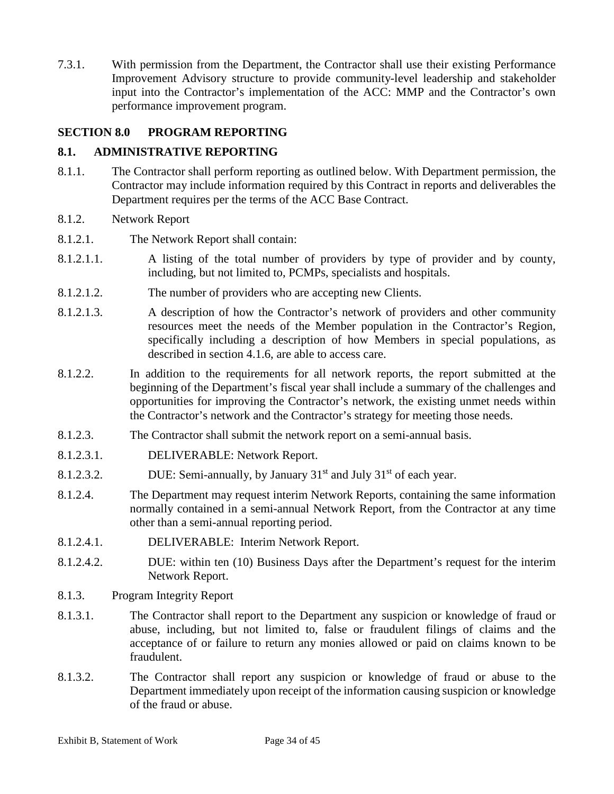7.3.1. With permission from the Department, the Contractor shall use their existing Performance Improvement Advisory structure to provide community-level leadership and stakeholder input into the Contractor's implementation of the ACC: MMP and the Contractor's own performance improvement program.

### **SECTION 8.0 PROGRAM REPORTING**

### **8.1. ADMINISTRATIVE REPORTING**

- 8.1.1. The Contractor shall perform reporting as outlined below. With Department permission, the Contractor may include information required by this Contract in reports and deliverables the Department requires per the terms of the ACC Base Contract.
- 8.1.2. Network Report
- 8.1.2.1. The Network Report shall contain:
- 8.1.2.1.1. A listing of the total number of providers by type of provider and by county, including, but not limited to, PCMPs, specialists and hospitals.
- 8.1.2.1.2. The number of providers who are accepting new Clients.
- 8.1.2.1.3. A description of how the Contractor's network of providers and other community resources meet the needs of the Member population in the Contractor's Region, specifically including a description of how Members in special populations, as described in section 4.1.6, are able to access care.
- 8.1.2.2. In addition to the requirements for all network reports, the report submitted at the beginning of the Department's fiscal year shall include a summary of the challenges and opportunities for improving the Contractor's network, the existing unmet needs within the Contractor's network and the Contractor's strategy for meeting those needs.
- 8.1.2.3. The Contractor shall submit the network report on a semi-annual basis.
- 8.1.2.3.1. DELIVERABLE: Network Report.
- 8.1.2.3.2. DUE: Semi-annually, by January  $31<sup>st</sup>$  and July  $31<sup>st</sup>$  of each year.
- 8.1.2.4. The Department may request interim Network Reports, containing the same information normally contained in a semi-annual Network Report, from the Contractor at any time other than a semi-annual reporting period.
- 8.1.2.4.1. DELIVERABLE: Interim Network Report.
- 8.1.2.4.2. DUE: within ten (10) Business Days after the Department's request for the interim Network Report.
- 8.1.3. Program Integrity Report
- 8.1.3.1. The Contractor shall report to the Department any suspicion or knowledge of fraud or abuse, including, but not limited to, false or fraudulent filings of claims and the acceptance of or failure to return any monies allowed or paid on claims known to be fraudulent.
- 8.1.3.2. The Contractor shall report any suspicion or knowledge of fraud or abuse to the Department immediately upon receipt of the information causing suspicion or knowledge of the fraud or abuse.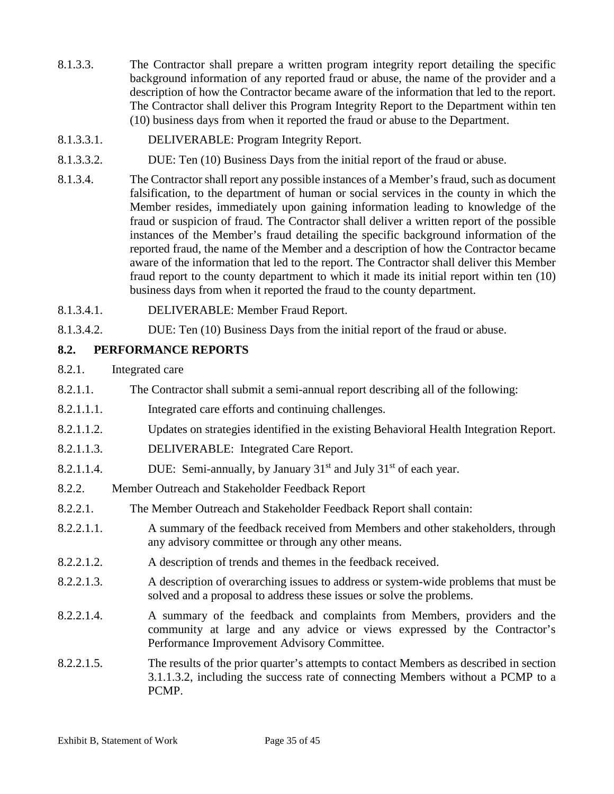- 8.1.3.3. The Contractor shall prepare a written program integrity report detailing the specific background information of any reported fraud or abuse, the name of the provider and a description of how the Contractor became aware of the information that led to the report. The Contractor shall deliver this Program Integrity Report to the Department within ten (10) business days from when it reported the fraud or abuse to the Department.
- 8.1.3.3.1. DELIVERABLE: Program Integrity Report.
- 8.1.3.3.2. DUE: Ten (10) Business Days from the initial report of the fraud or abuse.
- 8.1.3.4. The Contractor shall report any possible instances of a Member's fraud, such as document falsification, to the department of human or social services in the county in which the Member resides, immediately upon gaining information leading to knowledge of the fraud or suspicion of fraud. The Contractor shall deliver a written report of the possible instances of the Member's fraud detailing the specific background information of the reported fraud, the name of the Member and a description of how the Contractor became aware of the information that led to the report. The Contractor shall deliver this Member fraud report to the county department to which it made its initial report within ten (10) business days from when it reported the fraud to the county department.
- 8.1.3.4.1. DELIVERABLE: Member Fraud Report.
- 8.1.3.4.2. DUE: Ten (10) Business Days from the initial report of the fraud or abuse.

### **8.2. PERFORMANCE REPORTS**

- 8.2.1. Integrated care
- 8.2.1.1. The Contractor shall submit a semi-annual report describing all of the following:
- 8.2.1.1.1. Integrated care efforts and continuing challenges.
- 8.2.1.1.2. Updates on strategies identified in the existing Behavioral Health Integration Report.
- 8.2.1.1.3. DELIVERABLE: Integrated Care Report.
- 8.2.1.1.4. DUE: Semi-annually, by January  $31<sup>st</sup>$  and July  $31<sup>st</sup>$  of each year.
- 8.2.2. Member Outreach and Stakeholder Feedback Report
- 8.2.2.1. The Member Outreach and Stakeholder Feedback Report shall contain:
- 8.2.2.1.1. A summary of the feedback received from Members and other stakeholders, through any advisory committee or through any other means.
- 8.2.2.1.2. A description of trends and themes in the feedback received.
- 8.2.2.1.3. A description of overarching issues to address or system-wide problems that must be solved and a proposal to address these issues or solve the problems.
- 8.2.2.1.4. A summary of the feedback and complaints from Members, providers and the community at large and any advice or views expressed by the Contractor's Performance Improvement Advisory Committee.
- 8.2.2.1.5. The results of the prior quarter's attempts to contact Members as described in section 3.1.1.3.2, including the success rate of connecting Members without a PCMP to a PCMP.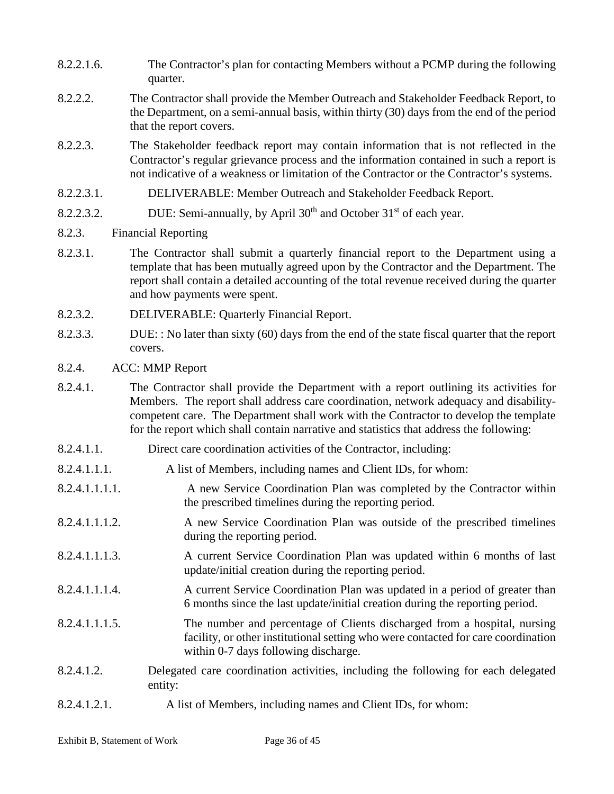- 8.2.2.1.6. The Contractor's plan for contacting Members without a PCMP during the following quarter.
- 8.2.2.2. The Contractor shall provide the Member Outreach and Stakeholder Feedback Report, to the Department, on a semi-annual basis, within thirty (30) days from the end of the period that the report covers.
- 8.2.2.3. The Stakeholder feedback report may contain information that is not reflected in the Contractor's regular grievance process and the information contained in such a report is not indicative of a weakness or limitation of the Contractor or the Contractor's systems.
- 8.2.2.3.1. DELIVERABLE: Member Outreach and Stakeholder Feedback Report.
- 8.2.2.3.2. DUE: Semi-annually, by April  $30<sup>th</sup>$  and October  $31<sup>st</sup>$  of each year.
- 8.2.3. Financial Reporting
- 8.2.3.1. The Contractor shall submit a quarterly financial report to the Department using a template that has been mutually agreed upon by the Contractor and the Department. The report shall contain a detailed accounting of the total revenue received during the quarter and how payments were spent.
- 8.2.3.2. DELIVERABLE: Quarterly Financial Report.
- 8.2.3.3. DUE: : No later than sixty (60) days from the end of the state fiscal quarter that the report covers.
- 8.2.4. ACC: MMP Report
- 8.2.4.1. The Contractor shall provide the Department with a report outlining its activities for Members. The report shall address care coordination, network adequacy and disabilitycompetent care. The Department shall work with the Contractor to develop the template for the report which shall contain narrative and statistics that address the following:
- 8.2.4.1.1. Direct care coordination activities of the Contractor, including:
- 8.2.4.1.1.1. A list of Members, including names and Client IDs, for whom:
- 8.2.4.1.1.1.1. A new Service Coordination Plan was completed by the Contractor within the prescribed timelines during the reporting period.
- 8.2.4.1.1.1.2. A new Service Coordination Plan was outside of the prescribed timelines during the reporting period.
- 8.2.4.1.1.1.3. A current Service Coordination Plan was updated within 6 months of last update/initial creation during the reporting period.
- 8.2.4.1.1.1.4. A current Service Coordination Plan was updated in a period of greater than 6 months since the last update/initial creation during the reporting period.
- 8.2.4.1.1.1.5. The number and percentage of Clients discharged from a hospital, nursing facility, or other institutional setting who were contacted for care coordination within 0-7 days following discharge.
- 8.2.4.1.2. Delegated care coordination activities, including the following for each delegated entity:
- 8.2.4.1.2.1. A list of Members, including names and Client IDs, for whom: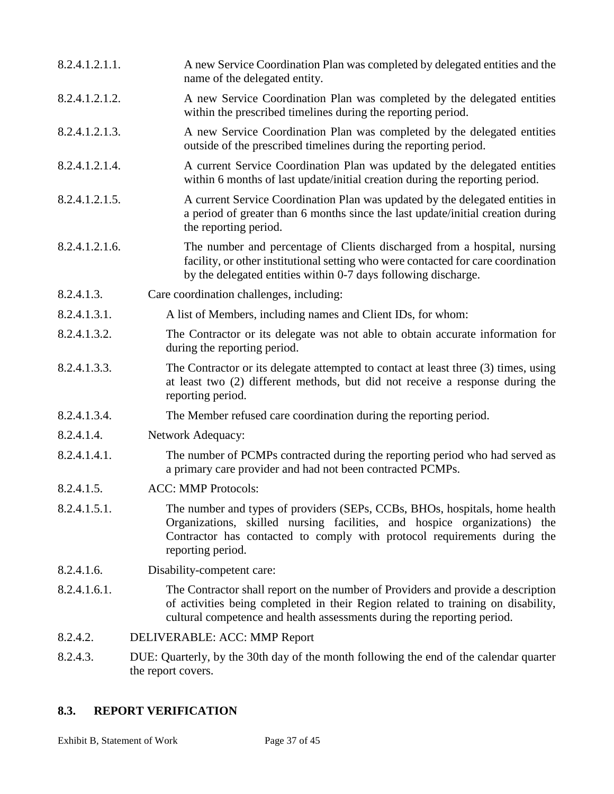| 8.2.4.1.2.1.1. | A new Service Coordination Plan was completed by delegated entities and the<br>name of the delegated entity.                                                                                                                                              |
|----------------|-----------------------------------------------------------------------------------------------------------------------------------------------------------------------------------------------------------------------------------------------------------|
| 8.2.4.1.2.1.2. | A new Service Coordination Plan was completed by the delegated entities<br>within the prescribed timelines during the reporting period.                                                                                                                   |
| 8.2.4.1.2.1.3. | A new Service Coordination Plan was completed by the delegated entities<br>outside of the prescribed timelines during the reporting period.                                                                                                               |
| 8.2.4.1.2.1.4. | A current Service Coordination Plan was updated by the delegated entities<br>within 6 months of last update/initial creation during the reporting period.                                                                                                 |
| 8.2.4.1.2.1.5. | A current Service Coordination Plan was updated by the delegated entities in<br>a period of greater than 6 months since the last update/initial creation during<br>the reporting period.                                                                  |
| 8.2.4.1.2.1.6. | The number and percentage of Clients discharged from a hospital, nursing<br>facility, or other institutional setting who were contacted for care coordination<br>by the delegated entities within 0-7 days following discharge.                           |
| 8.2.4.1.3.     | Care coordination challenges, including:                                                                                                                                                                                                                  |
| 8.2.4.1.3.1.   | A list of Members, including names and Client IDs, for whom:                                                                                                                                                                                              |
| 8.2.4.1.3.2.   | The Contractor or its delegate was not able to obtain accurate information for<br>during the reporting period.                                                                                                                                            |
| 8.2.4.1.3.3.   | The Contractor or its delegate attempted to contact at least three (3) times, using<br>at least two (2) different methods, but did not receive a response during the<br>reporting period.                                                                 |
| 8.2.4.1.3.4.   | The Member refused care coordination during the reporting period.                                                                                                                                                                                         |
| 8.2.4.1.4.     | Network Adequacy:                                                                                                                                                                                                                                         |
| 8.2.4.1.4.1.   | The number of PCMPs contracted during the reporting period who had served as<br>a primary care provider and had not been contracted PCMPs.                                                                                                                |
| 8.2.4.1.5.     | <b>ACC: MMP Protocols:</b>                                                                                                                                                                                                                                |
| 8.2.4.1.5.1.   | The number and types of providers (SEPs, CCBs, BHOs, hospitals, home health<br>Organizations, skilled nursing facilities, and hospice organizations) the<br>Contractor has contacted to comply with protocol requirements during the<br>reporting period. |
| 8.2.4.1.6.     | Disability-competent care:                                                                                                                                                                                                                                |
| 8.2.4.1.6.1.   | The Contractor shall report on the number of Providers and provide a description<br>of activities being completed in their Region related to training on disability,<br>cultural competence and health assessments during the reporting period.           |
| 8.2.4.2.       | DELIVERABLE: ACC: MMP Report                                                                                                                                                                                                                              |
| 8.2.4.3.       | DUE: Quarterly, by the 30th day of the month following the end of the calendar quarter<br>the report covers.                                                                                                                                              |

# **8.3. REPORT VERIFICATION**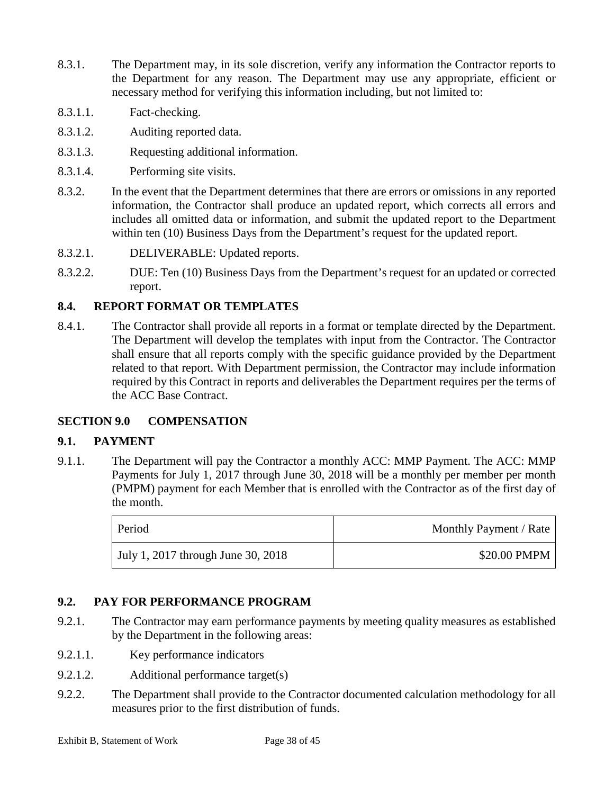- 8.3.1. The Department may, in its sole discretion, verify any information the Contractor reports to the Department for any reason. The Department may use any appropriate, efficient or necessary method for verifying this information including, but not limited to:
- 8.3.1.1. Fact-checking.
- 8.3.1.2. Auditing reported data.
- 8.3.1.3. Requesting additional information.
- 8.3.1.4. Performing site visits.
- 8.3.2. In the event that the Department determines that there are errors or omissions in any reported information, the Contractor shall produce an updated report, which corrects all errors and includes all omitted data or information, and submit the updated report to the Department within ten (10) Business Days from the Department's request for the updated report.
- 8.3.2.1. DELIVERABLE: Updated reports.
- 8.3.2.2. DUE: Ten (10) Business Days from the Department's request for an updated or corrected report.

# **8.4. REPORT FORMAT OR TEMPLATES**

8.4.1. The Contractor shall provide all reports in a format or template directed by the Department. The Department will develop the templates with input from the Contractor. The Contractor shall ensure that all reports comply with the specific guidance provided by the Department related to that report. With Department permission, the Contractor may include information required by this Contract in reports and deliverables the Department requires per the terms of the ACC Base Contract.

# **SECTION 9.0 COMPENSATION**

# **9.1. PAYMENT**

9.1.1. The Department will pay the Contractor a monthly ACC: MMP Payment. The ACC: MMP Payments for July 1, 2017 through June 30, 2018 will be a monthly per member per month (PMPM) payment for each Member that is enrolled with the Contractor as of the first day of the month.

| Period                             | Monthly Payment / Rate |
|------------------------------------|------------------------|
| July 1, 2017 through June 30, 2018 | \$20.00 PMPM           |

# **9.2. PAY FOR PERFORMANCE PROGRAM**

- 9.2.1. The Contractor may earn performance payments by meeting quality measures as established by the Department in the following areas:
- 9.2.1.1. Key performance indicators
- 9.2.1.2. Additional performance target(s)
- 9.2.2. The Department shall provide to the Contractor documented calculation methodology for all measures prior to the first distribution of funds.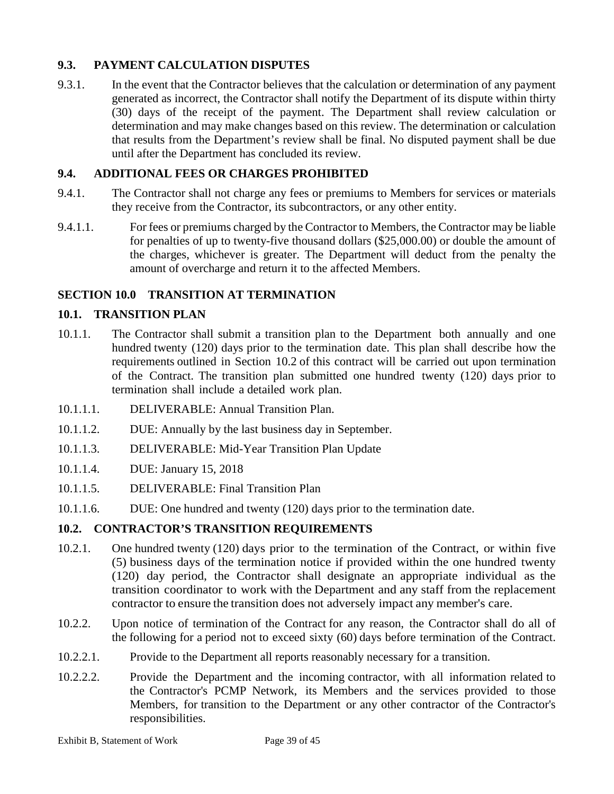# **9.3. PAYMENT CALCULATION DISPUTES**

9.3.1. In the event that the Contractor believes that the calculation or determination of any payment generated as incorrect, the Contractor shall notify the Department of its dispute within thirty (30) days of the receipt of the payment. The Department shall review calculation or determination and may make changes based on this review. The determination or calculation that results from the Department's review shall be final. No disputed payment shall be due until after the Department has concluded its review.

# **9.4. ADDITIONAL FEES OR CHARGES PROHIBITED**

- 9.4.1. The Contractor shall not charge any fees or premiums to Members for services or materials they receive from the Contractor, its subcontractors, or any other entity.
- 9.4.1.1. For fees or premiums charged by the Contractor to Members, the Contractor may be liable for penalties of up to twenty-five thousand dollars (\$25,000.00) or double the amount of the charges, whichever is greater. The Department will deduct from the penalty the amount of overcharge and return it to the affected Members.

# **SECTION 10.0 TRANSITION AT TERMINATION**

# **10.1. TRANSITION PLAN**

- 10.1.1. The Contractor shall submit a transition plan to the Department both annually and one hundred twenty (120) days prior to the termination date. This plan shall describe how the requirements outlined in Section 10.2 of this contract will be carried out upon termination of the Contract. The transition plan submitted one hundred twenty (120) days prior to termination shall include a detailed work plan.
- 10.1.1.1. DELIVERABLE: Annual Transition Plan.
- 10.1.1.2. DUE: Annually by the last business day in September.
- 10.1.1.3. DELIVERABLE: Mid-Year Transition Plan Update
- 10.1.1.4. DUE: January 15, 2018
- 10.1.1.5. DELIVERABLE: Final Transition Plan
- 10.1.1.6. DUE: One hundred and twenty (120) days prior to the termination date.

# **10.2. CONTRACTOR'S TRANSITION REQUIREMENTS**

- 10.2.1. One hundred twenty (120) days prior to the termination of the Contract, or within five (5) business days of the termination notice if provided within the one hundred twenty (120) day period, the Contractor shall designate an appropriate individual as the transition coordinator to work with the Department and any staff from the replacement contractor to ensure the transition does not adversely impact any member's care.
- 10.2.2. Upon notice of termination of the Contract for any reason, the Contractor shall do all of the following for a period not to exceed sixty (60) days before termination of the Contract.
- 10.2.2.1. Provide to the Department all reports reasonably necessary for a transition.
- 10.2.2.2. Provide the Department and the incoming contractor, with all information related to the Contractor's PCMP Network, its Members and the services provided to those Members, for transition to the Department or any other contractor of the Contractor's responsibilities.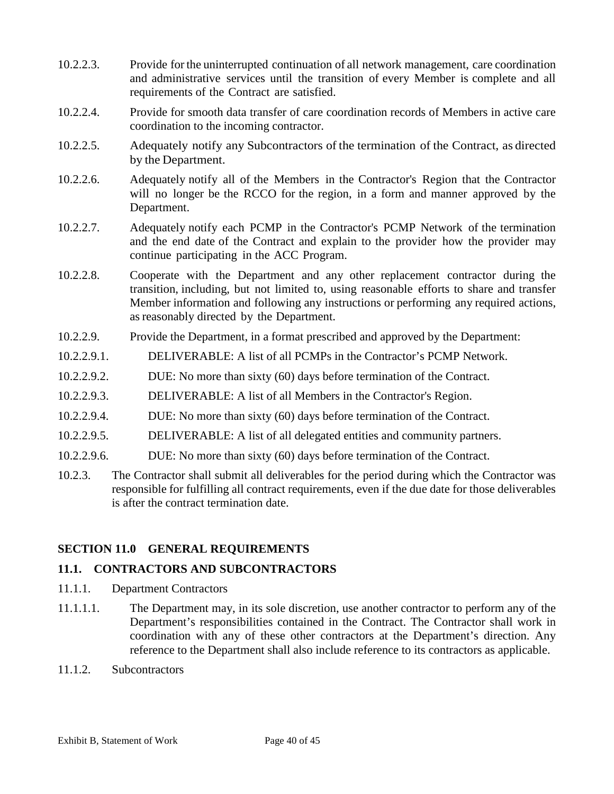- 10.2.2.3. Provide for the uninterrupted continuation of all network management, care coordination and administrative services until the transition of every Member is complete and all requirements of the Contract are satisfied.
- 10.2.2.4. Provide for smooth data transfer of care coordination records of Members in active care coordination to the incoming contractor.
- 10.2.2.5. Adequately notify any Subcontractors of the termination of the Contract, as directed by the Department.
- 10.2.2.6. Adequately notify all of the Members in the Contractor's Region that the Contractor will no longer be the RCCO for the region, in a form and manner approved by the Department.
- 10.2.2.7. Adequately notify each PCMP in the Contractor's PCMP Network of the termination and the end date of the Contract and explain to the provider how the provider may continue participating in the ACC Program.
- 10.2.2.8. Cooperate with the Department and any other replacement contractor during the transition, including, but not limited to, using reasonable efforts to share and transfer Member information and following any instructions or performing any required actions, as reasonably directed by the Department.
- 10.2.2.9. Provide the Department, in a format prescribed and approved by the Department:
- 10.2.2.9.1. DELIVERABLE: A list of all PCMPs in the Contractor's PCMP Network.
- 10.2.2.9.2. DUE: No more than sixty (60) days before termination of the Contract.
- 10.2.2.9.3. DELIVERABLE: A list of all Members in the Contractor's Region.
- 10.2.2.9.4. DUE: No more than sixty (60) days before termination of the Contract.
- 10.2.2.9.5. DELIVERABLE: A list of all delegated entities and community partners.
- 10.2.2.9.6. DUE: No more than sixty (60) days before termination of the Contract.
- 10.2.3. The Contractor shall submit all deliverables for the period during which the Contractor was responsible for fulfilling all contract requirements, even if the due date for those deliverables is after the contract termination date.

## **SECTION 11.0 GENERAL REQUIREMENTS**

## **11.1. CONTRACTORS AND SUBCONTRACTORS**

- 11.1.1. Department Contractors
- 11.1.1.1. The Department may, in its sole discretion, use another contractor to perform any of the Department's responsibilities contained in the Contract. The Contractor shall work in coordination with any of these other contractors at the Department's direction. Any reference to the Department shall also include reference to its contractors as applicable.
- 11.1.2. Subcontractors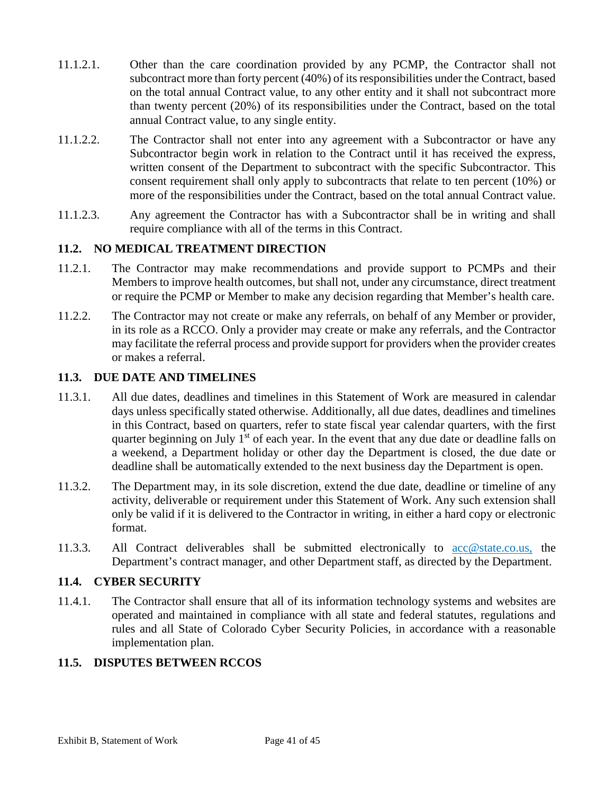- 11.1.2.1. Other than the care coordination provided by any PCMP, the Contractor shall not subcontract more than forty percent (40%) of its responsibilities under the Contract, based on the total annual Contract value, to any other entity and it shall not subcontract more than twenty percent (20%) of its responsibilities under the Contract, based on the total annual Contract value, to any single entity.
- 11.1.2.2. The Contractor shall not enter into any agreement with a Subcontractor or have any Subcontractor begin work in relation to the Contract until it has received the express, written consent of the Department to subcontract with the specific Subcontractor. This consent requirement shall only apply to subcontracts that relate to ten percent (10%) or more of the responsibilities under the Contract, based on the total annual Contract value.
- 11.1.2.3. Any agreement the Contractor has with a Subcontractor shall be in writing and shall require compliance with all of the terms in this Contract.

# **11.2. NO MEDICAL TREATMENT DIRECTION**

- 11.2.1. The Contractor may make recommendations and provide support to PCMPs and their Members to improve health outcomes, but shall not, under any circumstance, direct treatment or require the PCMP or Member to make any decision regarding that Member's health care.
- 11.2.2. The Contractor may not create or make any referrals, on behalf of any Member or provider, in its role as a RCCO. Only a provider may create or make any referrals, and the Contractor may facilitate the referral process and provide support for providers when the provider creates or makes a referral.

# **11.3. DUE DATE AND TIMELINES**

- 11.3.1. All due dates, deadlines and timelines in this Statement of Work are measured in calendar days unless specifically stated otherwise. Additionally, all due dates, deadlines and timelines in this Contract, based on quarters, refer to state fiscal year calendar quarters, with the first quarter beginning on July  $1<sup>st</sup>$  of each year. In the event that any due date or deadline falls on a weekend, a Department holiday or other day the Department is closed, the due date or deadline shall be automatically extended to the next business day the Department is open.
- 11.3.2. The Department may, in its sole discretion, extend the due date, deadline or timeline of any activity, deliverable or requirement under this Statement of Work. Any such extension shall only be valid if it is delivered to the Contractor in writing, in either a hard copy or electronic format.
- 11.3.3. All Contract deliverables shall be submitted electronically to [acc@state.co.us,](mailto:acc@state.co.us) the Department's contract manager, and other Department staff, as directed by the Department.

## **11.4. CYBER SECURITY**

11.4.1. The Contractor shall ensure that all of its information technology systems and websites are operated and maintained in compliance with all state and federal statutes, regulations and rules and all State of Colorado Cyber Security Policies, in accordance with a reasonable implementation plan.

# **11.5. DISPUTES BETWEEN RCCOS**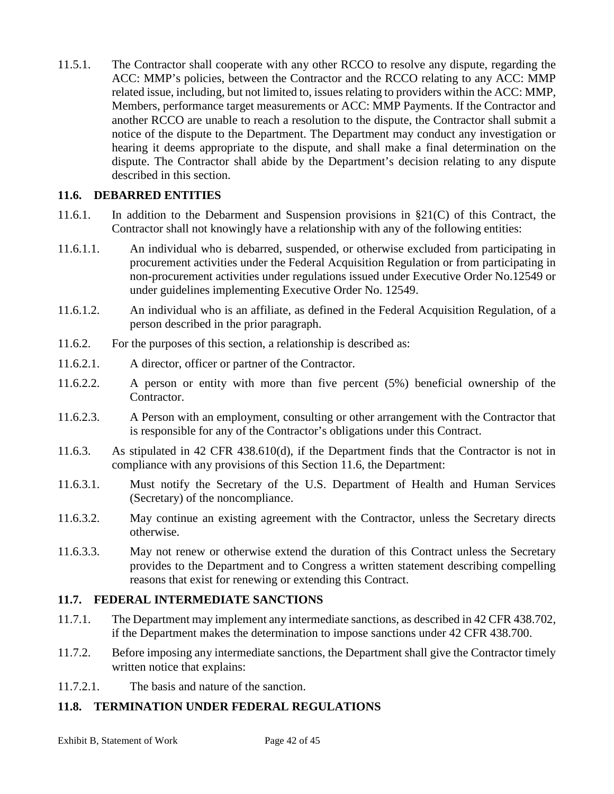11.5.1. The Contractor shall cooperate with any other RCCO to resolve any dispute, regarding the ACC: MMP's policies, between the Contractor and the RCCO relating to any ACC: MMP related issue, including, but not limited to, issues relating to providers within the ACC: MMP, Members, performance target measurements or ACC: MMP Payments. If the Contractor and another RCCO are unable to reach a resolution to the dispute, the Contractor shall submit a notice of the dispute to the Department. The Department may conduct any investigation or hearing it deems appropriate to the dispute, and shall make a final determination on the dispute. The Contractor shall abide by the Department's decision relating to any dispute described in this section.

# **11.6. DEBARRED ENTITIES**

- 11.6.1. In addition to the Debarment and Suspension provisions in §21(C) of this Contract, the Contractor shall not knowingly have a relationship with any of the following entities:
- 11.6.1.1. An individual who is debarred, suspended, or otherwise excluded from participating in procurement activities under the Federal Acquisition Regulation or from participating in non-procurement activities under regulations issued under Executive Order No.12549 or under guidelines implementing Executive Order No. 12549.
- 11.6.1.2. An individual who is an affiliate, as defined in the Federal Acquisition Regulation, of a person described in the prior paragraph.
- 11.6.2. For the purposes of this section, a relationship is described as:
- 11.6.2.1. A director, officer or partner of the Contractor.
- 11.6.2.2. A person or entity with more than five percent (5%) beneficial ownership of the Contractor.
- 11.6.2.3. A Person with an employment, consulting or other arrangement with the Contractor that is responsible for any of the Contractor's obligations under this Contract.
- 11.6.3. As stipulated in 42 CFR 438.610(d), if the Department finds that the Contractor is not in compliance with any provisions of this Section 11.6, the Department:
- 11.6.3.1. Must notify the Secretary of the U.S. Department of Health and Human Services (Secretary) of the noncompliance.
- 11.6.3.2. May continue an existing agreement with the Contractor, unless the Secretary directs otherwise.
- 11.6.3.3. May not renew or otherwise extend the duration of this Contract unless the Secretary provides to the Department and to Congress a written statement describing compelling reasons that exist for renewing or extending this Contract.

## **11.7. FEDERAL INTERMEDIATE SANCTIONS**

- 11.7.1. The Department may implement any intermediate sanctions, as described in 42 CFR 438.702, if the Department makes the determination to impose sanctions under 42 CFR 438.700.
- 11.7.2. Before imposing any intermediate sanctions, the Department shall give the Contractor timely written notice that explains:
- 11.7.2.1. The basis and nature of the sanction.

## **11.8. TERMINATION UNDER FEDERAL REGULATIONS**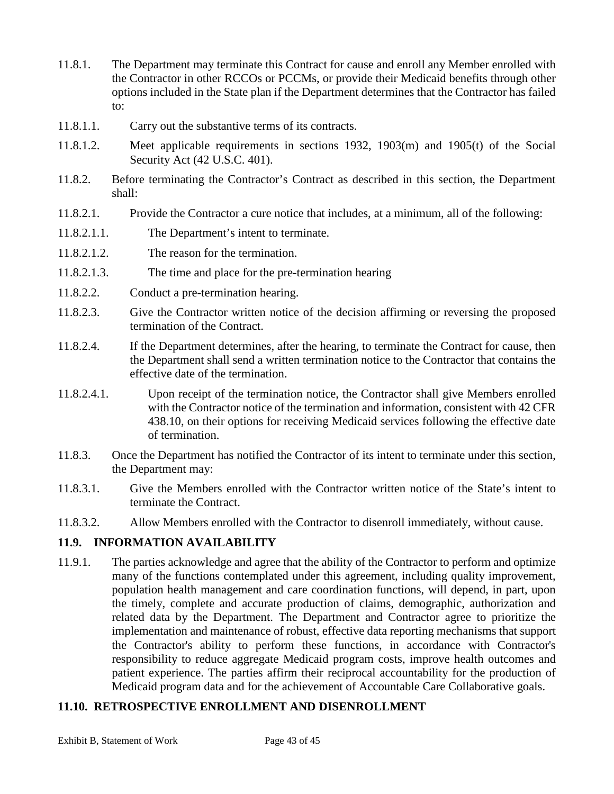- 11.8.1. The Department may terminate this Contract for cause and enroll any Member enrolled with the Contractor in other RCCOs or PCCMs, or provide their Medicaid benefits through other options included in the State plan if the Department determines that the Contractor has failed to:
- 11.8.1.1. Carry out the substantive terms of its contracts.
- 11.8.1.2. Meet applicable requirements in sections 1932, 1903(m) and 1905(t) of the Social Security Act (42 U.S.C. 401).
- 11.8.2. Before terminating the Contractor's Contract as described in this section, the Department shall:
- 11.8.2.1. Provide the Contractor a cure notice that includes, at a minimum, all of the following:
- 11.8.2.1.1. The Department's intent to terminate.
- 11.8.2.1.2. The reason for the termination.
- 11.8.2.1.3. The time and place for the pre-termination hearing
- 11.8.2.2. Conduct a pre-termination hearing.
- 11.8.2.3. Give the Contractor written notice of the decision affirming or reversing the proposed termination of the Contract.
- 11.8.2.4. If the Department determines, after the hearing, to terminate the Contract for cause, then the Department shall send a written termination notice to the Contractor that contains the effective date of the termination.
- 11.8.2.4.1. Upon receipt of the termination notice, the Contractor shall give Members enrolled with the Contractor notice of the termination and information, consistent with 42 CFR 438.10, on their options for receiving Medicaid services following the effective date of termination.
- 11.8.3. Once the Department has notified the Contractor of its intent to terminate under this section, the Department may:
- 11.8.3.1. Give the Members enrolled with the Contractor written notice of the State's intent to terminate the Contract.
- 11.8.3.2. Allow Members enrolled with the Contractor to disenroll immediately, without cause.

# **11.9. INFORMATION AVAILABILITY**

11.9.1. The parties acknowledge and agree that the ability of the Contractor to perform and optimize many of the functions contemplated under this agreement, including quality improvement, population health management and care coordination functions, will depend, in part, upon the timely, complete and accurate production of claims, demographic, authorization and related data by the Department. The Department and Contractor agree to prioritize the implementation and maintenance of robust, effective data reporting mechanisms that support the Contractor's ability to perform these functions, in accordance with Contractor's responsibility to reduce aggregate Medicaid program costs, improve health outcomes and patient experience. The parties affirm their reciprocal accountability for the production of Medicaid program data and for the achievement of Accountable Care Collaborative goals.

# **11.10. RETROSPECTIVE ENROLLMENT AND DISENROLLMENT**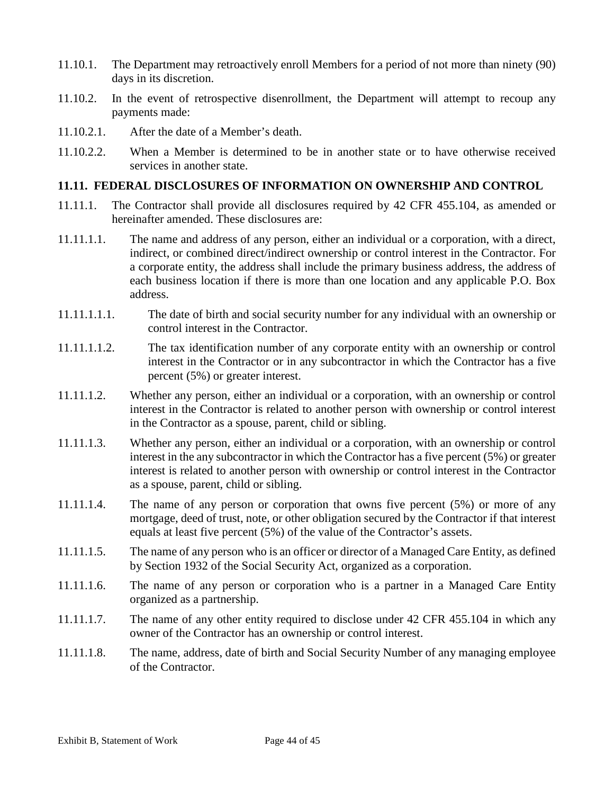- 11.10.1. The Department may retroactively enroll Members for a period of not more than ninety (90) days in its discretion.
- 11.10.2. In the event of retrospective disenrollment, the Department will attempt to recoup any payments made:
- 11.10.2.1. After the date of a Member's death.
- 11.10.2.2. When a Member is determined to be in another state or to have otherwise received services in another state.

# **11.11. FEDERAL DISCLOSURES OF INFORMATION ON OWNERSHIP AND CONTROL**

- 11.11.1. The Contractor shall provide all disclosures required by 42 CFR 455.104, as amended or hereinafter amended. These disclosures are:
- 11.11.1.1. The name and address of any person, either an individual or a corporation, with a direct, indirect, or combined direct/indirect ownership or control interest in the Contractor. For a corporate entity, the address shall include the primary business address, the address of each business location if there is more than one location and any applicable P.O. Box address.
- 11.11.1.1.1. The date of birth and social security number for any individual with an ownership or control interest in the Contractor.
- 11.11.1.1.2. The tax identification number of any corporate entity with an ownership or control interest in the Contractor or in any subcontractor in which the Contractor has a five percent (5%) or greater interest.
- 11.11.1.2. Whether any person, either an individual or a corporation, with an ownership or control interest in the Contractor is related to another person with ownership or control interest in the Contractor as a spouse, parent, child or sibling.
- 11.11.1.3. Whether any person, either an individual or a corporation, with an ownership or control interest in the any subcontractor in which the Contractor has a five percent (5%) or greater interest is related to another person with ownership or control interest in the Contractor as a spouse, parent, child or sibling.
- 11.11.1.4. The name of any person or corporation that owns five percent (5%) or more of any mortgage, deed of trust, note, or other obligation secured by the Contractor if that interest equals at least five percent (5%) of the value of the Contractor's assets.
- 11.11.1.5. The name of any person who is an officer or director of a Managed Care Entity, as defined by Section 1932 of the Social Security Act, organized as a corporation.
- 11.11.1.6. The name of any person or corporation who is a partner in a Managed Care Entity organized as a partnership.
- 11.11.1.7. The name of any other entity required to disclose under 42 CFR 455.104 in which any owner of the Contractor has an ownership or control interest.
- 11.11.1.8. The name, address, date of birth and Social Security Number of any managing employee of the Contractor.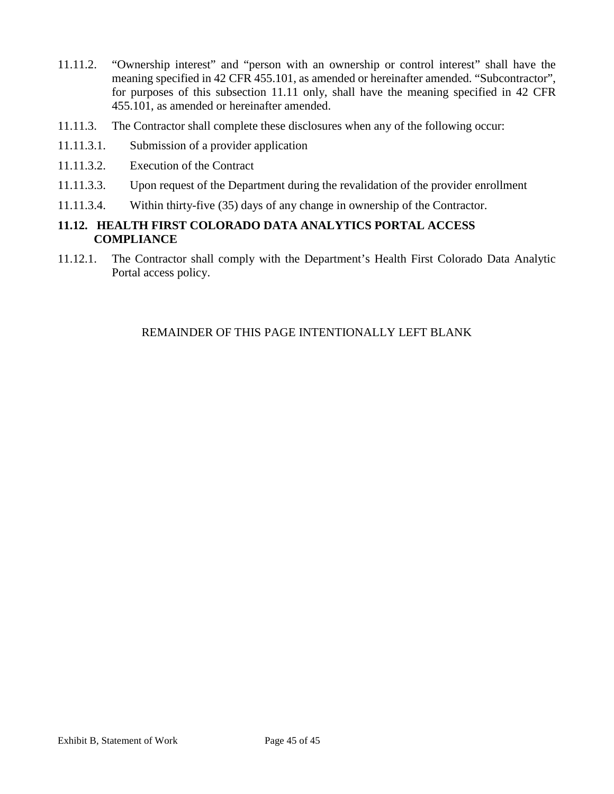- 11.11.2. "Ownership interest" and "person with an ownership or control interest" shall have the meaning specified in 42 CFR 455.101, as amended or hereinafter amended. "Subcontractor", for purposes of this subsection 11.11 only, shall have the meaning specified in 42 CFR 455.101, as amended or hereinafter amended.
- 11.11.3. The Contractor shall complete these disclosures when any of the following occur:
- 11.11.3.1. Submission of a provider application
- 11.11.3.2. Execution of the Contract
- 11.11.3.3. Upon request of the Department during the revalidation of the provider enrollment
- 11.11.3.4. Within thirty-five (35) days of any change in ownership of the Contractor.

# **11.12. HEALTH FIRST COLORADO DATA ANALYTICS PORTAL ACCESS COMPLIANCE**

11.12.1. The Contractor shall comply with the Department's Health First Colorado Data Analytic Portal access policy.

# REMAINDER OF THIS PAGE INTENTIONALLY LEFT BLANK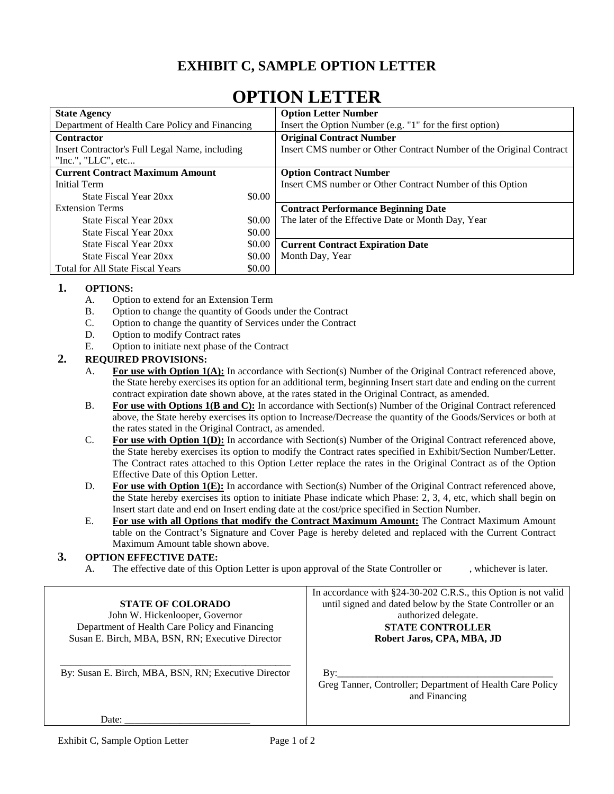# **EXHIBIT C, SAMPLE OPTION LETTER**

| <b>State Agency</b>                            |        | <b>Option Letter Number</b>                                         |
|------------------------------------------------|--------|---------------------------------------------------------------------|
| Department of Health Care Policy and Financing |        | Insert the Option Number (e.g. "1" for the first option)            |
| Contractor                                     |        | <b>Original Contract Number</b>                                     |
| Insert Contractor's Full Legal Name, including |        | Insert CMS number or Other Contract Number of the Original Contract |
| "Inc.", "LLC", etc                             |        |                                                                     |
| <b>Current Contract Maximum Amount</b>         |        | <b>Option Contract Number</b>                                       |
| Initial Term                                   |        | Insert CMS number or Other Contract Number of this Option           |
| State Fiscal Year 20xx                         | \$0.00 |                                                                     |
| <b>Extension Terms</b>                         |        | <b>Contract Performance Beginning Date</b>                          |
| State Fiscal Year 20xx                         | \$0.00 | The later of the Effective Date or Month Day, Year                  |
| State Fiscal Year 20xx                         | \$0.00 |                                                                     |
| State Fiscal Year 20xx                         | \$0.00 | <b>Current Contract Expiration Date</b>                             |
| State Fiscal Year 20xx                         | \$0.00 | Month Day, Year                                                     |
| Total for All State Fiscal Years               | \$0.00 |                                                                     |

# **1. OPTIONS:**

- A. Option to extend for an Extension Term
- B. Option to change the quantity of Goods under the Contract
- C. Option to change the quantity of Services under the Contract
- D. Option to modify Contract rates
- E. Option to initiate next phase of the Contract

#### **2. REQUIRED PROVISIONS:**

- A. **For use with Option 1(A):** In accordance with Section(s) Number of the Original Contract referenced above, the State hereby exercises its option for an additional term, beginning Insert start date and ending on the current contract expiration date shown above, at the rates stated in the Original Contract, as amended.
- B. **For use with Options 1(B and C):** In accordance with Section(s) Number of the Original Contract referenced above, the State hereby exercises its option to Increase/Decrease the quantity of the Goods/Services or both at the rates stated in the Original Contract, as amended.
- C. **For use with Option 1(D):** In accordance with Section(s) Number of the Original Contract referenced above, the State hereby exercises its option to modify the Contract rates specified in Exhibit/Section Number/Letter. The Contract rates attached to this Option Letter replace the rates in the Original Contract as of the Option Effective Date of this Option Letter.
- D. **For use with Option 1(E):** In accordance with Section(s) Number of the Original Contract referenced above, the State hereby exercises its option to initiate Phase indicate which Phase: 2, 3, 4, etc, which shall begin on Insert start date and end on Insert ending date at the cost/price specified in Section Number.
- E. **For use with all Options that modify the Contract Maximum Amount:** The Contract Maximum Amount table on the Contract's Signature and Cover Page is hereby deleted and replaced with the Current Contract Maximum Amount table shown above.

#### **3. OPTION EFFECTIVE DATE:**

A. The effective date of this Option Letter is upon approval of the State Controller or , whichever is later.

| <b>STATE OF COLORADO</b><br>John W. Hickenlooper, Governor<br>Department of Health Care Policy and Financing<br>Susan E. Birch, MBA, BSN, RN; Executive Director | In accordance with $\S$ 24-30-202 C.R.S., this Option is not valid<br>until signed and dated below by the State Controller or an<br>authorized delegate.<br><b>STATE CONTROLLER</b><br>Robert Jaros, CPA, MBA, JD |
|------------------------------------------------------------------------------------------------------------------------------------------------------------------|-------------------------------------------------------------------------------------------------------------------------------------------------------------------------------------------------------------------|
| By: Susan E. Birch, MBA, BSN, RN; Executive Director                                                                                                             | Bv:<br>Greg Tanner, Controller; Department of Health Care Policy<br>and Financing                                                                                                                                 |
| Date:                                                                                                                                                            |                                                                                                                                                                                                                   |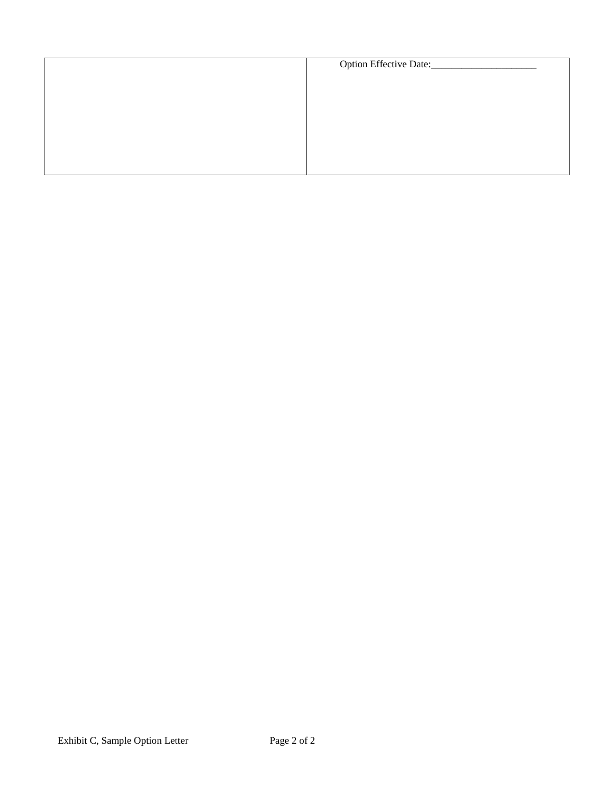| Option Effective Date: |
|------------------------|
|                        |
|                        |
|                        |
|                        |
|                        |
|                        |
|                        |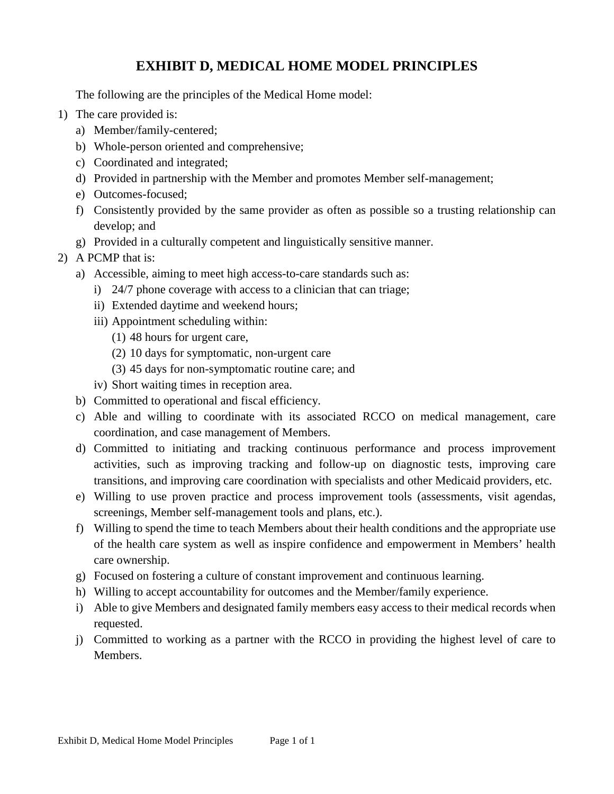# **EXHIBIT D, MEDICAL HOME MODEL PRINCIPLES**

The following are the principles of the Medical Home model:

- 1) The care provided is:
	- a) Member/family-centered;
	- b) Whole-person oriented and comprehensive;
	- c) Coordinated and integrated;
	- d) Provided in partnership with the Member and promotes Member self-management;
	- e) Outcomes-focused;
	- f) Consistently provided by the same provider as often as possible so a trusting relationship can develop; and
	- g) Provided in a culturally competent and linguistically sensitive manner.
- 2) A PCMP that is:
	- a) Accessible, aiming to meet high access-to-care standards such as:
		- i) 24/7 phone coverage with access to a clinician that can triage;
		- ii) Extended daytime and weekend hours;
		- iii) Appointment scheduling within:
			- (1) 48 hours for urgent care,
			- (2) 10 days for symptomatic, non-urgent care
			- (3) 45 days for non-symptomatic routine care; and
		- iv) Short waiting times in reception area.
	- b) Committed to operational and fiscal efficiency.
	- c) Able and willing to coordinate with its associated RCCO on medical management, care coordination, and case management of Members.
	- d) Committed to initiating and tracking continuous performance and process improvement activities, such as improving tracking and follow-up on diagnostic tests, improving care transitions, and improving care coordination with specialists and other Medicaid providers, etc.
	- e) Willing to use proven practice and process improvement tools (assessments, visit agendas, screenings, Member self-management tools and plans, etc.).
	- f) Willing to spend the time to teach Members about their health conditions and the appropriate use of the health care system as well as inspire confidence and empowerment in Members' health care ownership.
	- g) Focused on fostering a culture of constant improvement and continuous learning.
	- h) Willing to accept accountability for outcomes and the Member/family experience.
	- i) Able to give Members and designated family members easy access to their medical records when requested.
	- j) Committed to working as a partner with the RCCO in providing the highest level of care to Members.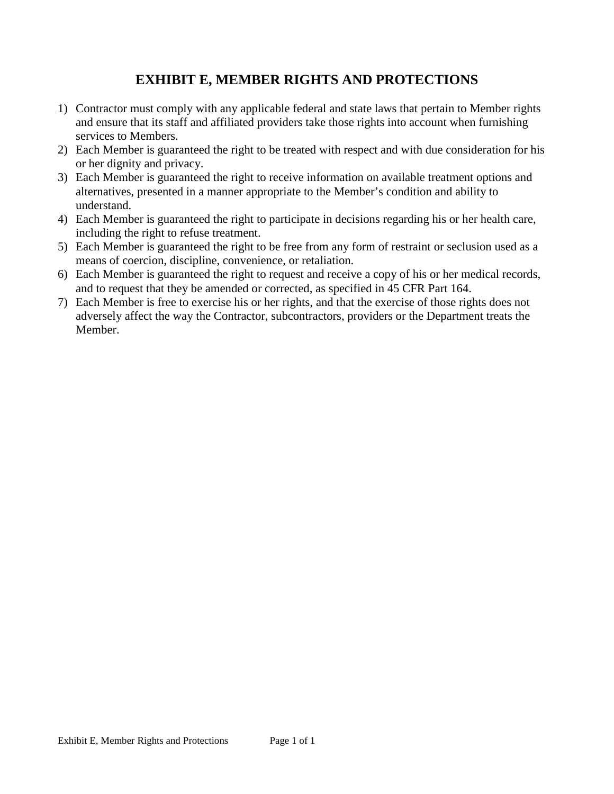# **EXHIBIT E, MEMBER RIGHTS AND PROTECTIONS**

- 1) Contractor must comply with any applicable federal and state laws that pertain to Member rights and ensure that its staff and affiliated providers take those rights into account when furnishing services to Members.
- 2) Each Member is guaranteed the right to be treated with respect and with due consideration for his or her dignity and privacy.
- 3) Each Member is guaranteed the right to receive information on available treatment options and alternatives, presented in a manner appropriate to the Member's condition and ability to understand.
- 4) Each Member is guaranteed the right to participate in decisions regarding his or her health care, including the right to refuse treatment.
- 5) Each Member is guaranteed the right to be free from any form of restraint or seclusion used as a means of coercion, discipline, convenience, or retaliation.
- 6) Each Member is guaranteed the right to request and receive a copy of his or her medical records, and to request that they be amended or corrected, as specified in 45 CFR Part 164.
- 7) Each Member is free to exercise his or her rights, and that the exercise of those rights does not adversely affect the way the Contractor, subcontractors, providers or the Department treats the Member.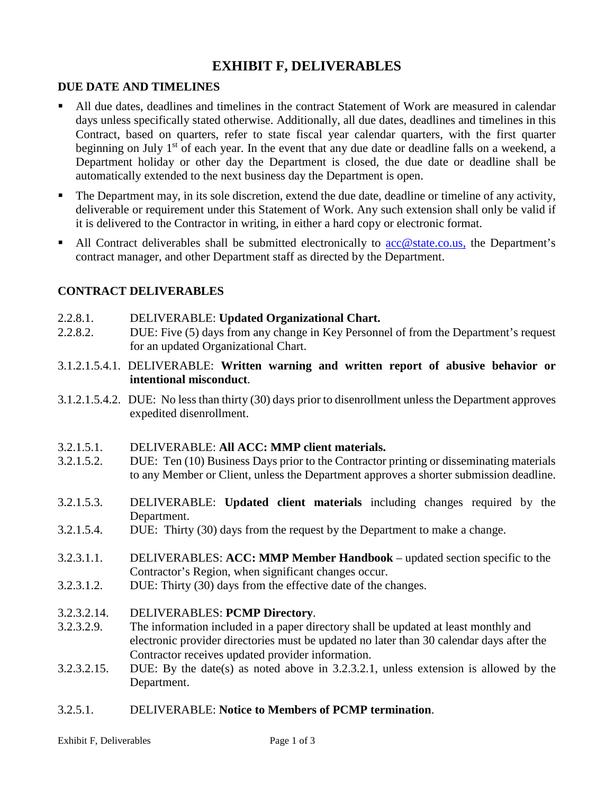# **EXHIBIT F, DELIVERABLES**

# **DUE DATE AND TIMELINES**

- All due dates, deadlines and timelines in the contract Statement of Work are measured in calendar days unless specifically stated otherwise. Additionally, all due dates, deadlines and timelines in this Contract, based on quarters, refer to state fiscal year calendar quarters, with the first quarter beginning on July 1<sup>st</sup> of each year. In the event that any due date or deadline falls on a weekend, a Department holiday or other day the Department is closed, the due date or deadline shall be automatically extended to the next business day the Department is open.
- The Department may, in its sole discretion, extend the due date, deadline or timeline of any activity, deliverable or requirement under this Statement of Work. Any such extension shall only be valid if it is delivered to the Contractor in writing, in either a hard copy or electronic format.
- $\blacksquare$  All Contract deliverables shall be submitted electronically to [acc@state.co.us,](mailto:acc@state.co.us) the Department's contract manager, and other Department staff as directed by the Department.

# **CONTRACT DELIVERABLES**

- 2.2.8.1. DELIVERABLE: **Updated Organizational Chart.**
- 2.2.8.2. DUE: Five (5) days from any change in Key Personnel of from the Department's request for an updated Organizational Chart.
- 3.1.2.1.5.4.1. DELIVERABLE: **Written warning and written report of abusive behavior or intentional misconduct**.
- 3.1.2.1.5.4.2. DUE: No less than thirty (30) days prior to disenrollment unless the Department approves expedited disenrollment.
- 3.2.1.5.1. DELIVERABLE: **All ACC: MMP client materials.**
- 3.2.1.5.2. DUE: Ten (10) Business Days prior to the Contractor printing or disseminating materials to any Member or Client, unless the Department approves a shorter submission deadline.
- 3.2.1.5.3. DELIVERABLE: **Updated client materials** including changes required by the Department.
- 3.2.1.5.4. DUE: Thirty (30) days from the request by the Department to make a change.
- 3.2.3.1.1. DELIVERABLES: **ACC: MMP Member Handbook** updated section specific to the Contractor's Region, when significant changes occur.
- 3.2.3.1.2. DUE: Thirty (30) days from the effective date of the changes.

## 3.2.3.2.14. DELIVERABLES: **PCMP Directory**.

- 3.2.3.2.9. The information included in a paper directory shall be updated at least monthly and electronic provider directories must be updated no later than 30 calendar days after the Contractor receives updated provider information.
- 3.2.3.2.15. DUE: By the date(s) as noted above in 3.2.3.2.1, unless extension is allowed by the Department.
- 3.2.5.1. DELIVERABLE: **Notice to Members of PCMP termination**.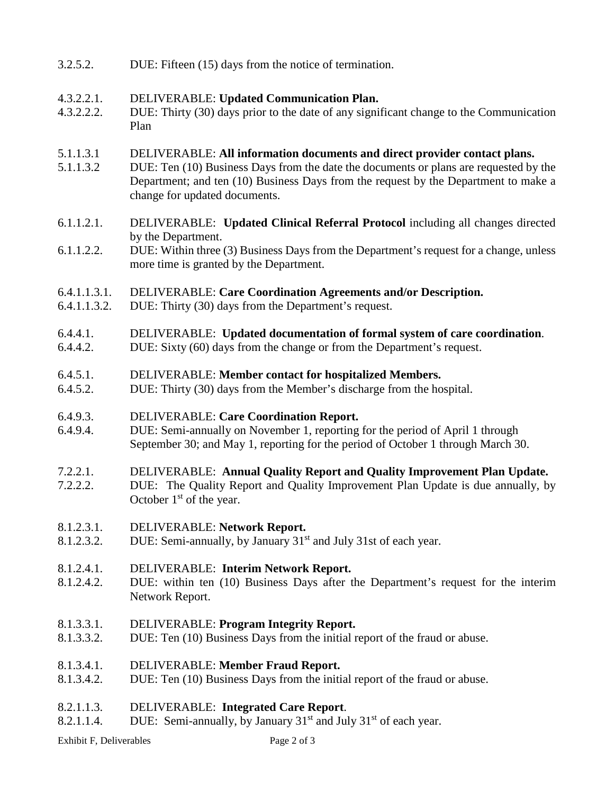3.2.5.2. DUE: Fifteen (15) days from the notice of termination.

# 4.3.2.2.1. DELIVERABLE: **Updated Communication Plan.**

4.3.2.2.2. DUE: Thirty (30) days prior to the date of any significant change to the Communication Plan

## 5.1.1.3.1 DELIVERABLE: **All information documents and direct provider contact plans.**

- 5.1.1.3.2 DUE: Ten (10) Business Days from the date the documents or plans are requested by the Department; and ten (10) Business Days from the request by the Department to make a change for updated documents.
- 6.1.1.2.1. DELIVERABLE: **Updated Clinical Referral Protocol** including all changes directed by the Department.
- 6.1.1.2.2. DUE: Within three (3) Business Days from the Department's request for a change, unless more time is granted by the Department.

## 6.4.1.1.3.1. DELIVERABLE: **Care Coordination Agreements and/or Description.**

- 6.4.1.1.3.2. DUE: Thirty (30) days from the Department's request.
- 6.4.4.1. DELIVERABLE: **Updated documentation of formal system of care coordination**.
- 6.4.4.2. DUE: Sixty (60) days from the change or from the Department's request.

# 6.4.5.1. DELIVERABLE: **Member contact for hospitalized Members.**

6.4.5.2. DUE: Thirty (30) days from the Member's discharge from the hospital.

## 6.4.9.3. DELIVERABLE: **Care Coordination Report.**

- 6.4.9.4. DUE: Semi-annually on November 1, reporting for the period of April 1 through September 30; and May 1, reporting for the period of October 1 through March 30.
- 7.2.2.1. DELIVERABLE: **Annual Quality Report and Quality Improvement Plan Update.**
- 7.2.2.2. DUE: The Quality Report and Quality Improvement Plan Update is due annually, by October  $1<sup>st</sup>$  of the year.

## 8.1.2.3.1. DELIVERABLE: **Network Report.**

8.1.2.3.2. DUE: Semi-annually, by January  $31<sup>st</sup>$  and July 31st of each year.

## 8.1.2.4.1. DELIVERABLE: **Interim Network Report.**

8.1.2.4.2. DUE: within ten (10) Business Days after the Department's request for the interim Network Report.

## 8.1.3.3.1. DELIVERABLE: **Program Integrity Report.**

8.1.3.3.2. DUE: Ten (10) Business Days from the initial report of the fraud or abuse.

## 8.1.3.4.1. DELIVERABLE: **Member Fraud Report.**

8.1.3.4.2. DUE: Ten (10) Business Days from the initial report of the fraud or abuse.

## 8.2.1.1.3. DELIVERABLE: **Integrated Care Report**.

8.2.1.1.4. DUE: Semi-annually, by January  $31<sup>st</sup>$  and July  $31<sup>st</sup>$  of each year.

Exhibit F, Deliverables Page 2 of 3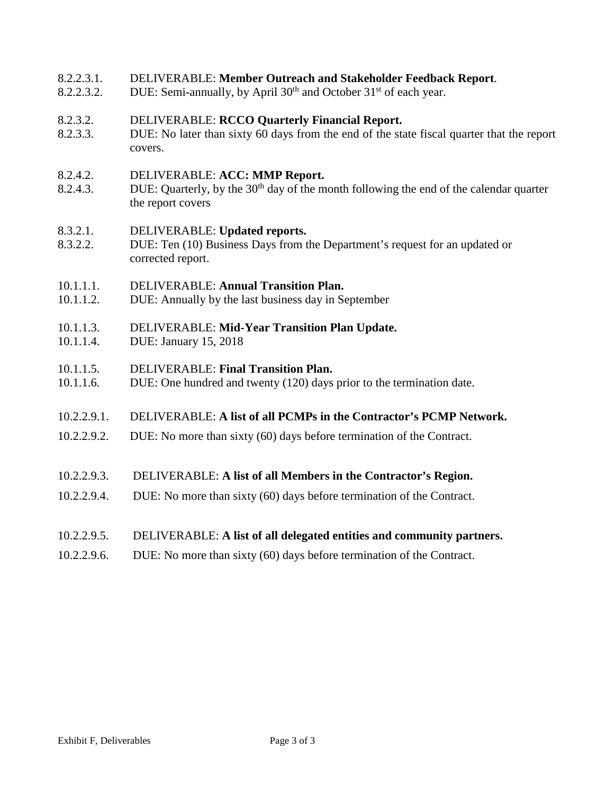# 8.2.2.3.1. DELIVERABLE: **Member Outreach and Stakeholder Feedback Report**.

8.2.2.3.2. DUE: Semi-annually, by April  $30<sup>th</sup>$  and October  $31<sup>st</sup>$  of each year.

#### 8.2.3.2. DELIVERABLE: **RCCO Quarterly Financial Report.**

8.2.3.3. DUE: No later than sixty 60 days from the end of the state fiscal quarter that the report covers.

#### 8.2.4.2. DELIVERABLE: **ACC: MMP Report.**

8.2.4.3. DUE: Quarterly, by the  $30<sup>th</sup>$  day of the month following the end of the calendar quarter the report covers

#### 8.3.2.1. DELIVERABLE: **Updated reports.**

8.3.2.2. DUE: Ten (10) Business Days from the Department's request for an updated or corrected report.

#### 10.1.1.1. DELIVERABLE: **Annual Transition Plan.**

10.1.1.2. DUE: Annually by the last business day in September

## 10.1.1.3. DELIVERABLE: **Mid-Year Transition Plan Update.**

10.1.1.4. DUE: January 15, 2018

## 10.1.1.5. DELIVERABLE: **Final Transition Plan.**

10.1.1.6. DUE: One hundred and twenty (120) days prior to the termination date.

#### 10.2.2.9.1. DELIVERABLE: **A list of all PCMPs in the Contractor's PCMP Network.**

10.2.2.9.2. DUE: No more than sixty (60) days before termination of the Contract.

#### 10.2.2.9.3. DELIVERABLE: **A list of all Members in the Contractor's Region.**

10.2.2.9.4. DUE: No more than sixty (60) days before termination of the Contract.

#### 10.2.2.9.5. DELIVERABLE: **A list of all delegated entities and community partners.**

10.2.2.9.6. DUE: No more than sixty (60) days before termination of the Contract.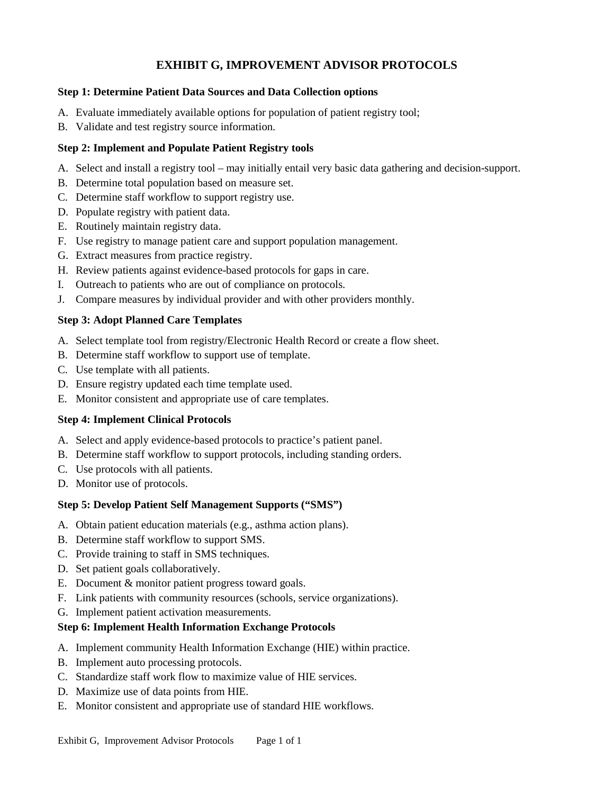# **EXHIBIT G, IMPROVEMENT ADVISOR PROTOCOLS**

#### **Step 1: Determine Patient Data Sources and Data Collection options**

- A. Evaluate immediately available options for population of patient registry tool;
- B. Validate and test registry source information.

#### **Step 2: Implement and Populate Patient Registry tools**

- A. Select and install a registry tool may initially entail very basic data gathering and decision-support.
- B. Determine total population based on measure set.
- C. Determine staff workflow to support registry use.
- D. Populate registry with patient data.
- E. Routinely maintain registry data.
- F. Use registry to manage patient care and support population management.
- G. Extract measures from practice registry.
- H. Review patients against evidence-based protocols for gaps in care.
- I. Outreach to patients who are out of compliance on protocols.
- J. Compare measures by individual provider and with other providers monthly.

#### **Step 3: Adopt Planned Care Templates**

- A. Select template tool from registry/Electronic Health Record or create a flow sheet.
- B. Determine staff workflow to support use of template.
- C. Use template with all patients.
- D. Ensure registry updated each time template used.
- E. Monitor consistent and appropriate use of care templates.

## **Step 4: Implement Clinical Protocols**

- A. Select and apply evidence-based protocols to practice's patient panel.
- B. Determine staff workflow to support protocols, including standing orders.
- C. Use protocols with all patients.
- D. Monitor use of protocols.

## **Step 5: Develop Patient Self Management Supports ("SMS")**

- A. Obtain patient education materials (e.g., asthma action plans).
- B. Determine staff workflow to support SMS.
- C. Provide training to staff in SMS techniques.
- D. Set patient goals collaboratively.
- E. Document & monitor patient progress toward goals.
- F. Link patients with community resources (schools, service organizations).
- G. Implement patient activation measurements.

## **Step 6: Implement Health Information Exchange Protocols**

- A. Implement community Health Information Exchange (HIE) within practice.
- B. Implement auto processing protocols.
- C. Standardize staff work flow to maximize value of HIE services.
- D. Maximize use of data points from HIE.
- E. Monitor consistent and appropriate use of standard HIE workflows.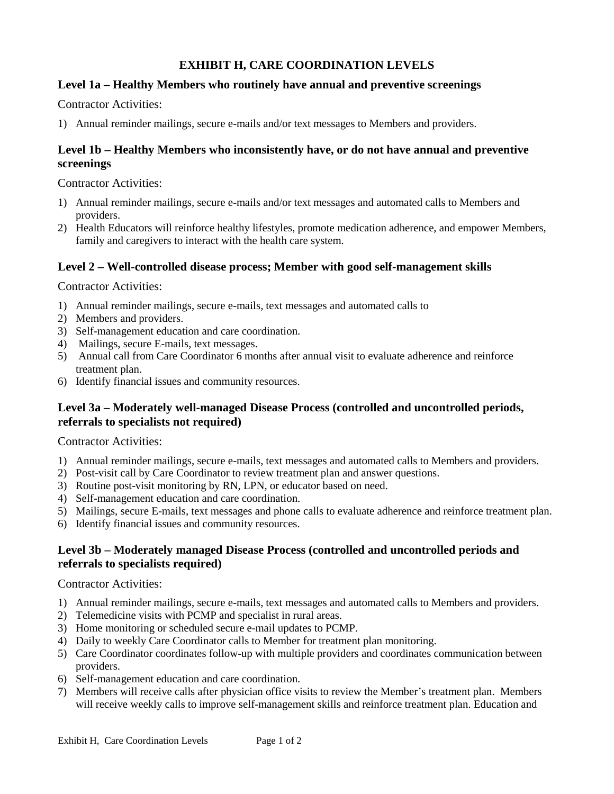# **EXHIBIT H, CARE COORDINATION LEVELS**

# **Level 1a – Healthy Members who routinely have annual and preventive screenings**

Contractor Activities:

1) Annual reminder mailings, secure e-mails and/or text messages to Members and providers.

# **Level 1b – Healthy Members who inconsistently have, or do not have annual and preventive screenings**

Contractor Activities:

- 1) Annual reminder mailings, secure e-mails and/or text messages and automated calls to Members and providers.
- 2) Health Educators will reinforce healthy lifestyles, promote medication adherence, and empower Members, family and caregivers to interact with the health care system.

## **Level 2 – Well-controlled disease process; Member with good self-management skills**

Contractor Activities:

- 1) Annual reminder mailings, secure e-mails, text messages and automated calls to
- 2) Members and providers.
- 3) Self-management education and care coordination.
- 4) Mailings, secure E-mails, text messages.
- 5) Annual call from Care Coordinator 6 months after annual visit to evaluate adherence and reinforce treatment plan.
- 6) Identify financial issues and community resources.

# **Level 3a – Moderately well-managed Disease Process (controlled and uncontrolled periods, referrals to specialists not required)**

Contractor Activities:

- 1) Annual reminder mailings, secure e-mails, text messages and automated calls to Members and providers.
- 2) Post-visit call by Care Coordinator to review treatment plan and answer questions.
- 3) Routine post-visit monitoring by RN, LPN, or educator based on need.
- 4) Self-management education and care coordination.
- 5) Mailings, secure E-mails, text messages and phone calls to evaluate adherence and reinforce treatment plan.
- 6) Identify financial issues and community resources.

## **Level 3b – Moderately managed Disease Process (controlled and uncontrolled periods and referrals to specialists required)**

Contractor Activities:

- 1) Annual reminder mailings, secure e-mails, text messages and automated calls to Members and providers.
- 2) Telemedicine visits with PCMP and specialist in rural areas.
- 3) Home monitoring or scheduled secure e-mail updates to PCMP.
- 4) Daily to weekly Care Coordinator calls to Member for treatment plan monitoring.
- 5) Care Coordinator coordinates follow-up with multiple providers and coordinates communication between providers.
- 6) Self-management education and care coordination.
- 7) Members will receive calls after physician office visits to review the Member's treatment plan. Members will receive weekly calls to improve self-management skills and reinforce treatment plan. Education and